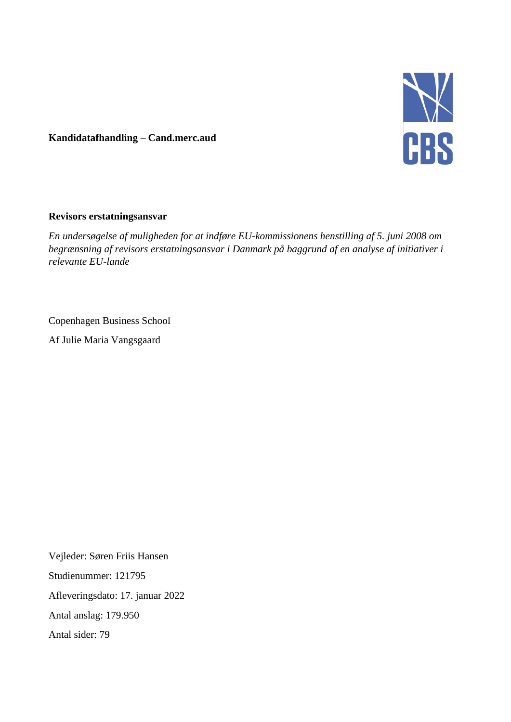

# **Kandidatafhandling – Cand.merc.aud**

#### **Revisors erstatningsansvar**

*En undersøgelse af muligheden for at indføre EU-kommissionens henstilling af 5. juni 2008 om begrænsning af revisors erstatningsansvar i Danmark på baggrund af en analyse af initiativer i relevante EU-lande*

## Copenhagen Business School

Af Julie Maria Vangsgaard

Vejleder: Søren Friis Hansen Studienummer: 121795 Afleveringsdato: 17. januar 2022 Antal anslag: 179.950 Antal sider: 79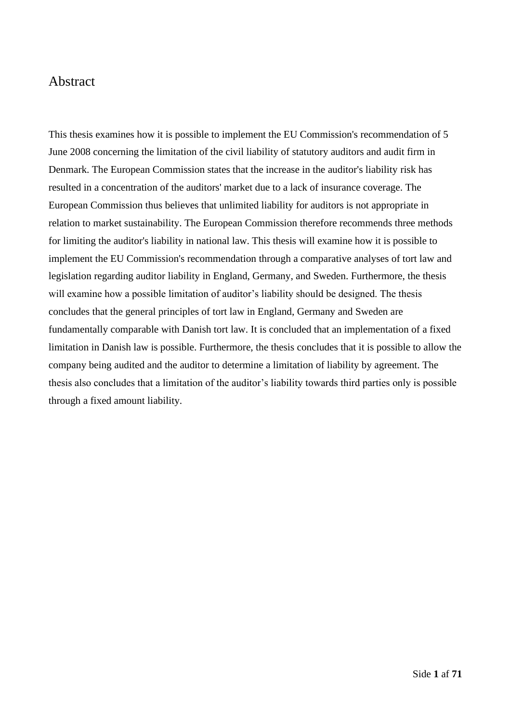# Abstract

This thesis examines how it is possible to implement the EU Commission's recommendation of 5 June 2008 concerning the limitation of the civil liability of statutory auditors and audit firm in Denmark. The European Commission states that the increase in the auditor's liability risk has resulted in a concentration of the auditors' market due to a lack of insurance coverage. The European Commission thus believes that unlimited liability for auditors is not appropriate in relation to market sustainability. The European Commission therefore recommends three methods for limiting the auditor's liability in national law. This thesis will examine how it is possible to implement the EU Commission's recommendation through a comparative analyses of tort law and legislation regarding auditor liability in England, Germany, and Sweden. Furthermore, the thesis will examine how a possible limitation of auditor's liability should be designed. The thesis concludes that the general principles of tort law in England, Germany and Sweden are fundamentally comparable with Danish tort law. It is concluded that an implementation of a fixed limitation in Danish law is possible. Furthermore, the thesis concludes that it is possible to allow the company being audited and the auditor to determine a limitation of liability by agreement. The thesis also concludes that a limitation of the auditor's liability towards third parties only is possible through a fixed amount liability.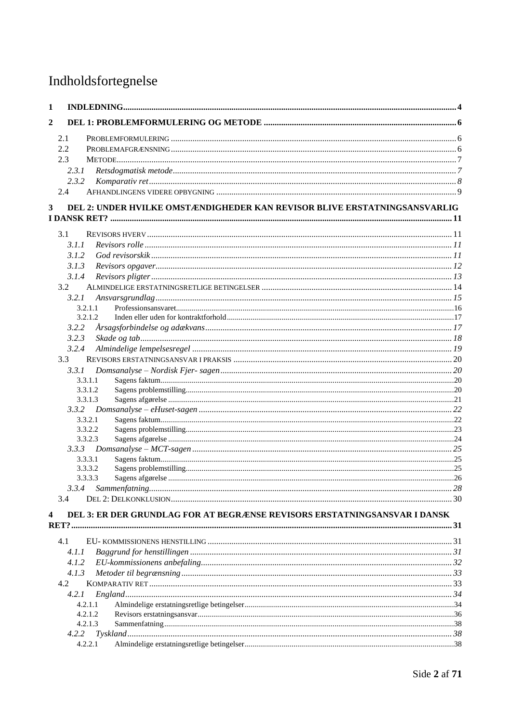# Indholdsfortegnelse

| $\mathbf{1}$            |                                                                           |  |
|-------------------------|---------------------------------------------------------------------------|--|
| $\overline{\mathbf{2}}$ |                                                                           |  |
|                         | 2.1                                                                       |  |
|                         | 2.2                                                                       |  |
|                         | 2.3                                                                       |  |
|                         | 2.3.1                                                                     |  |
|                         | 2.3.2                                                                     |  |
|                         | 2.4                                                                       |  |
| 3                       | DEL 2: UNDER HVILKE OMSTÆNDIGHEDER KAN REVISOR BLIVE ERSTATNINGSANSVARLIG |  |
|                         |                                                                           |  |
|                         | 3.1                                                                       |  |
|                         | 3.1.1                                                                     |  |
|                         | 3.1.2                                                                     |  |
|                         | 3.1.3                                                                     |  |
|                         | 3.1.4                                                                     |  |
|                         | 3.2                                                                       |  |
|                         | 3.2.1                                                                     |  |
|                         | 3.2.1.1                                                                   |  |
|                         | 3.2.1.2                                                                   |  |
|                         | 3.2.2                                                                     |  |
|                         | 3.2.3                                                                     |  |
|                         | 3.2.4                                                                     |  |
|                         | 3.3                                                                       |  |
|                         | 3.3.1                                                                     |  |
|                         | 3.3.1.1                                                                   |  |
|                         | 3.3.1.2                                                                   |  |
|                         | 3.3.1.3                                                                   |  |
|                         |                                                                           |  |
|                         | 3.3.2.1                                                                   |  |
|                         | 3.3.2.2                                                                   |  |
|                         | 3.3.2.3                                                                   |  |
|                         |                                                                           |  |
|                         | 3.3.3.1                                                                   |  |
|                         | 3.3.3.2                                                                   |  |
|                         | 3.3.3.3                                                                   |  |
|                         | 3.3.4                                                                     |  |
|                         | 3.4                                                                       |  |
| 4                       | DEL 3: ER DER GRUNDLAG FOR AT BEGRÆNSE REVISORS ERSTATNINGSANSVAR I DANSK |  |
|                         |                                                                           |  |
|                         | 4.1                                                                       |  |
|                         | 4.1.1                                                                     |  |
|                         | 4.1.2                                                                     |  |
|                         | 4.1.3                                                                     |  |
|                         | 4.2                                                                       |  |
|                         | 4.2.I                                                                     |  |
|                         | 4.2.1.1                                                                   |  |
|                         | 4.2.1.2                                                                   |  |
|                         | 4.2.1.3                                                                   |  |
|                         | 4.2.2                                                                     |  |
|                         | 4.2.2.1                                                                   |  |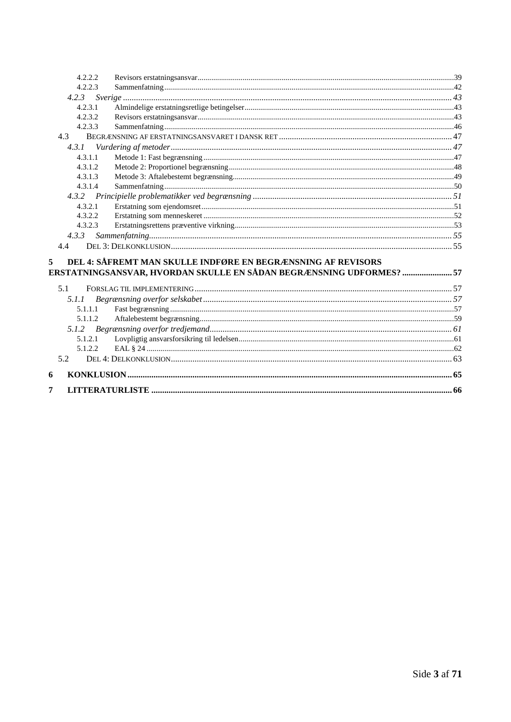| 4.2.2.2 |                                                                  |  |
|---------|------------------------------------------------------------------|--|
| 4.2.2.3 |                                                                  |  |
|         |                                                                  |  |
| 4.2.3.1 |                                                                  |  |
| 4.2.3.2 |                                                                  |  |
| 4.2.3.3 |                                                                  |  |
| 4.3     |                                                                  |  |
| 4.3.1   |                                                                  |  |
| 4.3.1.1 |                                                                  |  |
| 4.3.1.2 |                                                                  |  |
| 4.3.1.3 |                                                                  |  |
| 4.3.1.4 |                                                                  |  |
|         |                                                                  |  |
| 4.3.2.1 |                                                                  |  |
| 4.3.2.2 |                                                                  |  |
| 4.3.2.3 |                                                                  |  |
| 4.3.3   |                                                                  |  |
| 4.4     |                                                                  |  |
|         |                                                                  |  |
| 5       | DEL 4: SÅFREMT MAN SKULLE INDFØRE EN BEGRÆNSNING AF REVISORS     |  |
|         | ERSTATNINGSANSVAR, HVORDAN SKULLE EN SÅDAN BEGRÆNSNING UDFORMES? |  |
| 5.1     |                                                                  |  |
| 5.1.1   |                                                                  |  |
| 5.1.1.1 |                                                                  |  |
| 5.1.1.2 |                                                                  |  |
|         |                                                                  |  |
| 5.1.2.1 |                                                                  |  |
| 5.1.2.2 |                                                                  |  |
| 5.2     |                                                                  |  |
|         |                                                                  |  |
| 6       |                                                                  |  |
| 7       |                                                                  |  |
|         |                                                                  |  |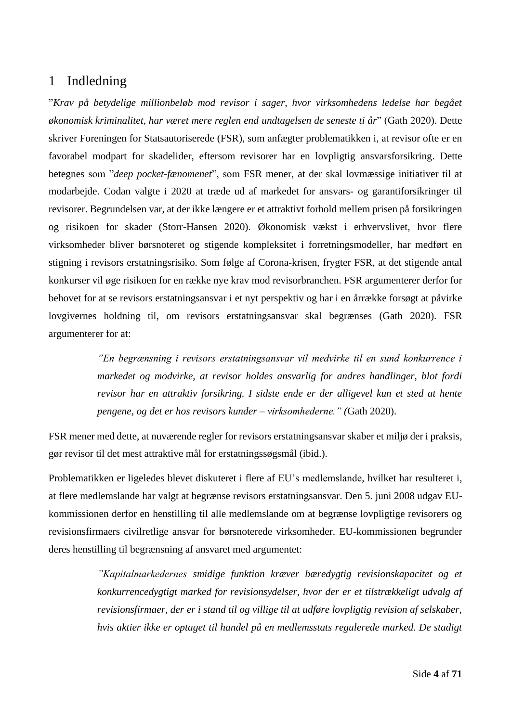# <span id="page-4-0"></span>1 Indledning

"*Krav på betydelige millionbeløb mod revisor i sager, hvor virksomhedens ledelse har begået økonomisk kriminalitet, har været mere reglen end undtagelsen de seneste ti år*" (Gath 2020). Dette skriver Foreningen for Statsautoriserede (FSR), som anfægter problematikken i, at revisor ofte er en favorabel modpart for skadelider, eftersom revisorer har en lovpligtig ansvarsforsikring. Dette betegnes som "*deep pocket-fænomenet*", som FSR mener, at der skal lovmæssige initiativer til at modarbejde. Codan valgte i 2020 at træde ud af markedet for ansvars- og garantiforsikringer til revisorer. Begrundelsen var, at der ikke længere er et attraktivt forhold mellem prisen på forsikringen og risikoen for skader (Storr-Hansen 2020). Økonomisk vækst i erhvervslivet, hvor flere virksomheder bliver børsnoteret og stigende kompleksitet i forretningsmodeller, har medført en stigning i revisors erstatningsrisiko. Som følge af Corona-krisen, frygter FSR, at det stigende antal konkurser vil øge risikoen for en række nye krav mod revisorbranchen. FSR argumenterer derfor for behovet for at se revisors erstatningsansvar i et nyt perspektiv og har i en årrække forsøgt at påvirke lovgivernes holdning til, om revisors erstatningsansvar skal begrænses (Gath 2020). FSR argumenterer for at:

> *"En begrænsning i revisors erstatningsansvar vil medvirke til en sund konkurrence i markedet og modvirke, at revisor holdes ansvarlig for andres handlinger, blot fordi revisor har en attraktiv forsikring. I sidste ende er der alligevel kun et sted at hente pengene, og det er hos revisors kunder – virksomhederne." (*Gath 2020).

FSR mener med dette, at nuværende regler for revisors erstatningsansvar skaber et miljø der i praksis, gør revisor til det mest attraktive mål for erstatningssøgsmål (ibid.).

Problematikken er ligeledes blevet diskuteret i flere af EU's medlemslande, hvilket har resulteret i, at flere medlemslande har valgt at begrænse revisors erstatningsansvar. Den 5. juni 2008 udgav EUkommissionen derfor en henstilling til alle medlemslande om at begrænse lovpligtige revisorers og revisionsfirmaers civilretlige ansvar for børsnoterede virksomheder. EU-kommissionen begrunder deres henstilling til begrænsning af ansvaret med argumentet:

> *"Kapitalmarkedernes smidige funktion kræver bæredygtig revisionskapacitet og et konkurrencedygtigt marked for revisionsydelser, hvor der er et tilstrækkeligt udvalg af revisionsfirmaer, der er i stand til og villige til at udføre lovpligtig revision af selskaber, hvis aktier ikke er optaget til handel på en medlemsstats regulerede marked. De stadigt*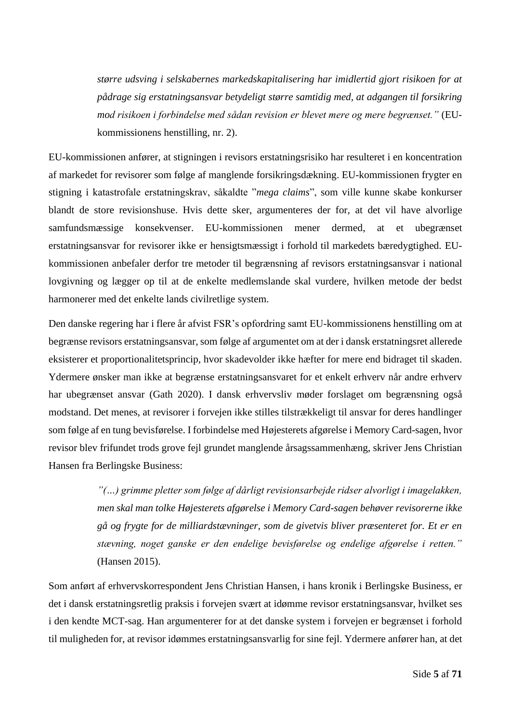*større udsving i selskabernes markedskapitalisering har imidlertid gjort risikoen for at pådrage sig erstatningsansvar betydeligt større samtidig med, at adgangen til forsikring mod risikoen i forbindelse med sådan revision er blevet mere og mere begrænset."* (EUkommissionens henstilling, nr. 2).

EU-kommissionen anfører, at stigningen i revisors erstatningsrisiko har resulteret i en koncentration af markedet for revisorer som følge af manglende forsikringsdækning. EU-kommissionen frygter en stigning i katastrofale erstatningskrav, såkaldte "*mega claims*", som ville kunne skabe konkurser blandt de store revisionshuse. Hvis dette sker, argumenteres der for, at det vil have alvorlige samfundsmæssige konsekvenser. EU-kommissionen mener dermed, at et ubegrænset erstatningsansvar for revisorer ikke er hensigtsmæssigt i forhold til markedets bæredygtighed. EUkommissionen anbefaler derfor tre metoder til begrænsning af revisors erstatningsansvar i national lovgivning og lægger op til at de enkelte medlemslande skal vurdere, hvilken metode der bedst harmonerer med det enkelte lands civilretlige system.

Den danske regering har i flere år afvist FSR's opfordring samt EU-kommissionens henstilling om at begrænse revisors erstatningsansvar, som følge af argumentet om at der i dansk erstatningsret allerede eksisterer et proportionalitetsprincip, hvor skadevolder ikke hæfter for mere end bidraget til skaden. Ydermere ønsker man ikke at begrænse erstatningsansvaret for et enkelt erhverv når andre erhverv har ubegrænset ansvar (Gath 2020). I dansk erhvervsliv møder forslaget om begrænsning også modstand. Det menes, at revisorer i forvejen ikke stilles tilstrækkeligt til ansvar for deres handlinger som følge af en tung bevisførelse. I forbindelse med Højesterets afgørelse i Memory Card-sagen, hvor revisor blev frifundet trods grove fejl grundet manglende årsagssammenhæng, skriver Jens Christian Hansen fra Berlingske Business:

> *"(…) grimme pletter som følge af dårligt revisionsarbejde ridser alvorligt i imagelakken, men skal man tolke Højesterets afgørelse i Memory Card-sagen behøver revisorerne ikke gå og frygte for de milliardstævninger, som de givetvis bliver præsenteret for. Et er en stævning, noget ganske er den endelige bevisførelse og endelige afgørelse i retten."* (Hansen 2015).

Som anført af erhvervskorrespondent Jens Christian Hansen, i hans kronik i Berlingske Business, er det i dansk erstatningsretlig praksis i forvejen svært at idømme revisor erstatningsansvar, hvilket ses i den kendte MCT-sag. Han argumenterer for at det danske system i forvejen er begrænset i forhold til muligheden for, at revisor idømmes erstatningsansvarlig for sine fejl. Ydermere anfører han, at det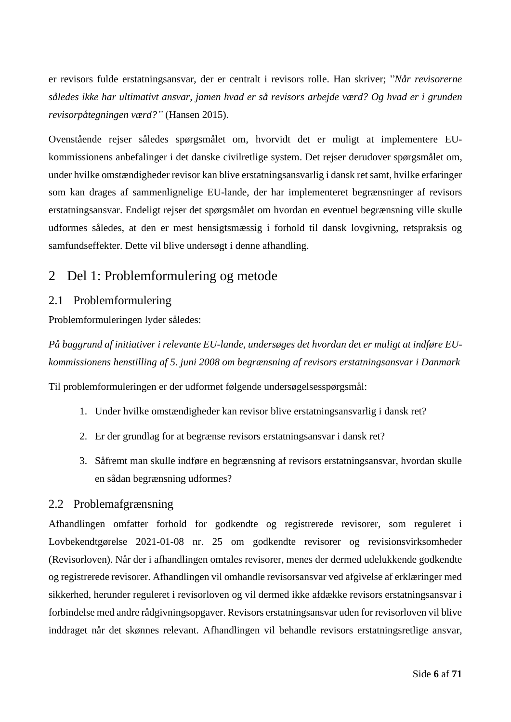er revisors fulde erstatningsansvar, der er centralt i revisors rolle. Han skriver; "*Når revisorerne således ikke har ultimativt ansvar, jamen hvad er så revisors arbejde værd? Og hvad er i grunden revisorpåtegningen værd?"* (Hansen 2015).

Ovenstående rejser således spørgsmålet om, hvorvidt det er muligt at implementere EUkommissionens anbefalinger i det danske civilretlige system. Det rejser derudover spørgsmålet om, under hvilke omstændigheder revisor kan blive erstatningsansvarlig i dansk retsamt, hvilke erfaringer som kan drages af sammenlignelige EU-lande, der har implementeret begrænsninger af revisors erstatningsansvar. Endeligt rejser det spørgsmålet om hvordan en eventuel begrænsning ville skulle udformes således, at den er mest hensigtsmæssig i forhold til dansk lovgivning, retspraksis og samfundseffekter. Dette vil blive undersøgt i denne afhandling.

# <span id="page-6-0"></span>2 Del 1: Problemformulering og metode

# <span id="page-6-1"></span>2.1 Problemformulering

Problemformuleringen lyder således:

*På baggrund af initiativer i relevante EU-lande, undersøges det hvordan det er muligt at indføre EUkommissionens henstilling af 5. juni 2008 om begrænsning af revisors erstatningsansvar i Danmark*

Til problemformuleringen er der udformet følgende undersøgelsesspørgsmål:

- 1. Under hvilke omstændigheder kan revisor blive erstatningsansvarlig i dansk ret?
- 2. Er der grundlag for at begrænse revisors erstatningsansvar i dansk ret?
- 3. Såfremt man skulle indføre en begrænsning af revisors erstatningsansvar, hvordan skulle en sådan begrænsning udformes?

# <span id="page-6-2"></span>2.2 Problemafgrænsning

Afhandlingen omfatter forhold for godkendte og registrerede revisorer, som reguleret i Lovbekendtgørelse 2021-01-08 nr. 25 om godkendte revisorer og revisionsvirksomheder (Revisorloven). Når der i afhandlingen omtales revisorer, menes der dermed udelukkende godkendte og registrerede revisorer. Afhandlingen vil omhandle revisorsansvar ved afgivelse af erklæringer med sikkerhed, herunder reguleret i revisorloven og vil dermed ikke afdække revisors erstatningsansvar i forbindelse med andre rådgivningsopgaver. Revisors erstatningsansvar uden for revisorloven vil blive inddraget når det skønnes relevant. Afhandlingen vil behandle revisors erstatningsretlige ansvar,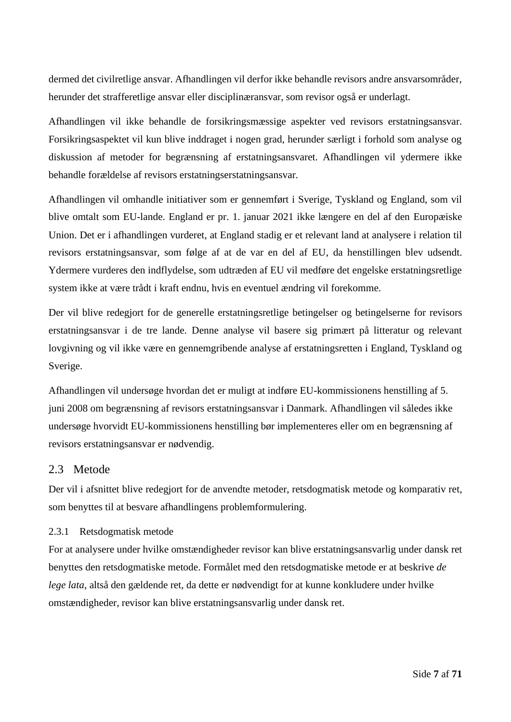dermed det civilretlige ansvar. Afhandlingen vil derfor ikke behandle revisors andre ansvarsområder, herunder det strafferetlige ansvar eller disciplinæransvar, som revisor også er underlagt.

Afhandlingen vil ikke behandle de forsikringsmæssige aspekter ved revisors erstatningsansvar. Forsikringsaspektet vil kun blive inddraget i nogen grad, herunder særligt i forhold som analyse og diskussion af metoder for begrænsning af erstatningsansvaret. Afhandlingen vil ydermere ikke behandle forældelse af revisors erstatningserstatningsansvar.

Afhandlingen vil omhandle initiativer som er gennemført i Sverige, Tyskland og England, som vil blive omtalt som EU-lande. England er pr. 1. januar 2021 ikke længere en del af den Europæiske Union. Det er i afhandlingen vurderet, at England stadig er et relevant land at analysere i relation til revisors erstatningsansvar, som følge af at de var en del af EU, da henstillingen blev udsendt. Ydermere vurderes den indflydelse, som udtræden af EU vil medføre det engelske erstatningsretlige system ikke at være trådt i kraft endnu, hvis en eventuel ændring vil forekomme.

Der vil blive redegjort for de generelle erstatningsretlige betingelser og betingelserne for revisors erstatningsansvar i de tre lande. Denne analyse vil basere sig primært på litteratur og relevant lovgivning og vil ikke være en gennemgribende analyse af erstatningsretten i England, Tyskland og Sverige.

Afhandlingen vil undersøge hvordan det er muligt at indføre EU-kommissionens henstilling af 5. juni 2008 om begrænsning af revisors erstatningsansvar i Danmark. Afhandlingen vil således ikke undersøge hvorvidt EU-kommissionens henstilling bør implementeres eller om en begrænsning af revisors erstatningsansvar er nødvendig.

# <span id="page-7-0"></span>2.3 Metode

Der vil i afsnittet blive redegjort for de anvendte metoder, retsdogmatisk metode og komparativ ret, som benyttes til at besvare afhandlingens problemformulering.

## <span id="page-7-1"></span>2.3.1 Retsdogmatisk metode

For at analysere under hvilke omstændigheder revisor kan blive erstatningsansvarlig under dansk ret benyttes den retsdogmatiske metode. Formålet med den retsdogmatiske metode er at beskrive *de lege lata*, altså den gældende ret, da dette er nødvendigt for at kunne konkludere under hvilke omstændigheder, revisor kan blive erstatningsansvarlig under dansk ret.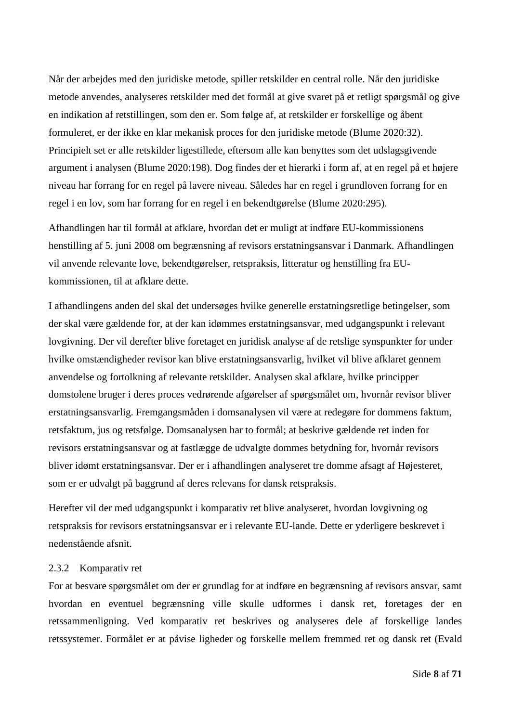Når der arbejdes med den juridiske metode, spiller retskilder en central rolle. Når den juridiske metode anvendes, analyseres retskilder med det formål at give svaret på et retligt spørgsmål og give en indikation af retstillingen, som den er. Som følge af, at retskilder er forskellige og åbent formuleret, er der ikke en klar mekanisk proces for den juridiske metode (Blume 2020:32). Principielt set er alle retskilder ligestillede, eftersom alle kan benyttes som det udslagsgivende argument i analysen (Blume 2020:198). Dog findes der et hierarki i form af, at en regel på et højere niveau har forrang for en regel på lavere niveau. Således har en regel i grundloven forrang for en regel i en lov, som har forrang for en regel i en bekendtgørelse (Blume 2020:295).

Afhandlingen har til formål at afklare, hvordan det er muligt at indføre EU-kommissionens henstilling af 5. juni 2008 om begrænsning af revisors erstatningsansvar i Danmark. Afhandlingen vil anvende relevante love, bekendtgørelser, retspraksis, litteratur og henstilling fra EUkommissionen, til at afklare dette.

I afhandlingens anden del skal det undersøges hvilke generelle erstatningsretlige betingelser, som der skal være gældende for, at der kan idømmes erstatningsansvar, med udgangspunkt i relevant lovgivning. Der vil derefter blive foretaget en juridisk analyse af de retslige synspunkter for under hvilke omstændigheder revisor kan blive erstatningsansvarlig, hvilket vil blive afklaret gennem anvendelse og fortolkning af relevante retskilder. Analysen skal afklare, hvilke principper domstolene bruger i deres proces vedrørende afgørelser af spørgsmålet om, hvornår revisor bliver erstatningsansvarlig. Fremgangsmåden i domsanalysen vil være at redegøre for dommens faktum, retsfaktum, jus og retsfølge. Domsanalysen har to formål; at beskrive gældende ret inden for revisors erstatningsansvar og at fastlægge de udvalgte dommes betydning for, hvornår revisors bliver idømt erstatningsansvar. Der er i afhandlingen analyseret tre domme afsagt af Højesteret, som er er udvalgt på baggrund af deres relevans for dansk retspraksis.

Herefter vil der med udgangspunkt i komparativ ret blive analyseret, hvordan lovgivning og retspraksis for revisors erstatningsansvar er i relevante EU-lande. Dette er yderligere beskrevet i nedenstående afsnit.

#### <span id="page-8-0"></span>2.3.2 Komparativ ret

For at besvare spørgsmålet om der er grundlag for at indføre en begrænsning af revisors ansvar, samt hvordan en eventuel begrænsning ville skulle udformes i dansk ret, foretages der en retssammenligning. Ved komparativ ret beskrives og analyseres dele af forskellige landes retssystemer. Formålet er at påvise ligheder og forskelle mellem fremmed ret og dansk ret (Evald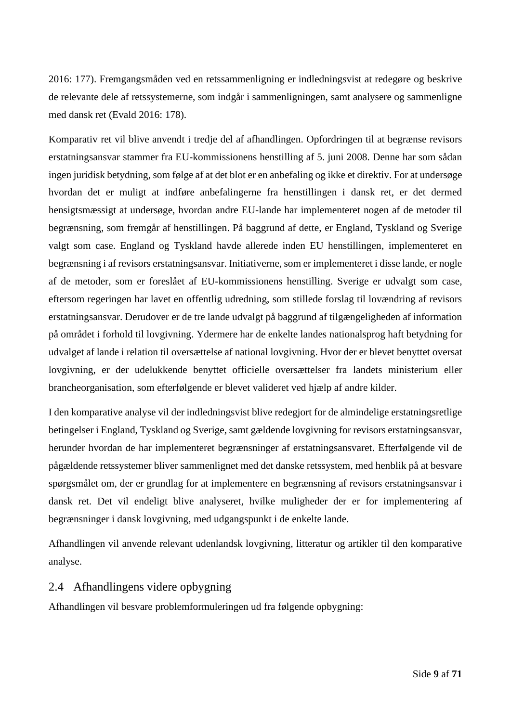2016: 177). Fremgangsmåden ved en retssammenligning er indledningsvist at redegøre og beskrive de relevante dele af retssystemerne, som indgår i sammenligningen, samt analysere og sammenligne med dansk ret (Evald 2016: 178).

Komparativ ret vil blive anvendt i tredje del af afhandlingen. Opfordringen til at begrænse revisors erstatningsansvar stammer fra EU-kommissionens henstilling af 5. juni 2008. Denne har som sådan ingen juridisk betydning, som følge af at det blot er en anbefaling og ikke et direktiv. For at undersøge hvordan det er muligt at indføre anbefalingerne fra henstillingen i dansk ret, er det dermed hensigtsmæssigt at undersøge, hvordan andre EU-lande har implementeret nogen af de metoder til begrænsning, som fremgår af henstillingen. På baggrund af dette, er England, Tyskland og Sverige valgt som case. England og Tyskland havde allerede inden EU henstillingen, implementeret en begrænsning i af revisors erstatningsansvar. Initiativerne, som er implementeret i disse lande, er nogle af de metoder, som er foreslået af EU-kommissionens henstilling. Sverige er udvalgt som case, eftersom regeringen har lavet en offentlig udredning, som stillede forslag til lovændring af revisors erstatningsansvar. Derudover er de tre lande udvalgt på baggrund af tilgængeligheden af information på området i forhold til lovgivning. Ydermere har de enkelte landes nationalsprog haft betydning for udvalget af lande i relation til oversættelse af national lovgivning. Hvor der er blevet benyttet oversat lovgivning, er der udelukkende benyttet officielle oversættelser fra landets ministerium eller brancheorganisation, som efterfølgende er blevet valideret ved hjælp af andre kilder.

I den komparative analyse vil der indledningsvist blive redegjort for de almindelige erstatningsretlige betingelser i England, Tyskland og Sverige, samt gældende lovgivning for revisors erstatningsansvar, herunder hvordan de har implementeret begrænsninger af erstatningsansvaret. Efterfølgende vil de pågældende retssystemer bliver sammenlignet med det danske retssystem, med henblik på at besvare spørgsmålet om, der er grundlag for at implementere en begrænsning af revisors erstatningsansvar i dansk ret. Det vil endeligt blive analyseret, hvilke muligheder der er for implementering af begrænsninger i dansk lovgivning, med udgangspunkt i de enkelte lande.

Afhandlingen vil anvende relevant udenlandsk lovgivning, litteratur og artikler til den komparative analyse.

# <span id="page-9-0"></span>2.4 Afhandlingens videre opbygning

Afhandlingen vil besvare problemformuleringen ud fra følgende opbygning: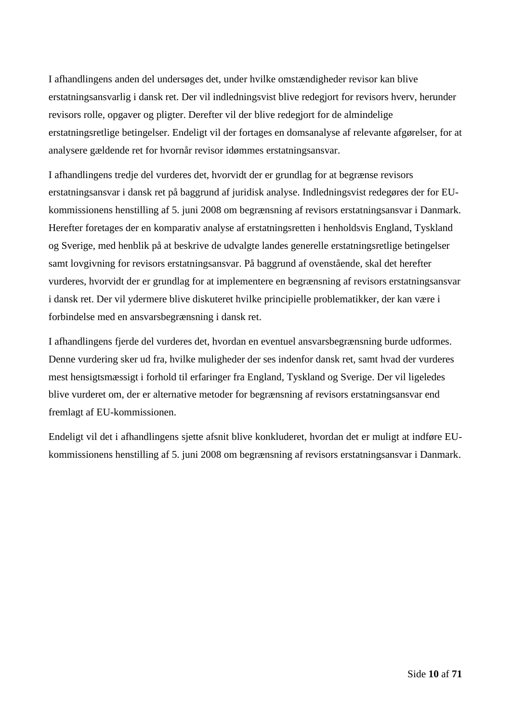I afhandlingens anden del undersøges det, under hvilke omstændigheder revisor kan blive erstatningsansvarlig i dansk ret. Der vil indledningsvist blive redegjort for revisors hverv, herunder revisors rolle, opgaver og pligter. Derefter vil der blive redegjort for de almindelige erstatningsretlige betingelser. Endeligt vil der fortages en domsanalyse af relevante afgørelser, for at analysere gældende ret for hvornår revisor idømmes erstatningsansvar.

I afhandlingens tredje del vurderes det, hvorvidt der er grundlag for at begrænse revisors erstatningsansvar i dansk ret på baggrund af juridisk analyse. Indledningsvist redegøres der for EUkommissionens henstilling af 5. juni 2008 om begrænsning af revisors erstatningsansvar i Danmark. Herefter foretages der en komparativ analyse af erstatningsretten i henholdsvis England, Tyskland og Sverige, med henblik på at beskrive de udvalgte landes generelle erstatningsretlige betingelser samt lovgivning for revisors erstatningsansvar. På baggrund af ovenstående, skal det herefter vurderes, hvorvidt der er grundlag for at implementere en begrænsning af revisors erstatningsansvar i dansk ret. Der vil ydermere blive diskuteret hvilke principielle problematikker, der kan være i forbindelse med en ansvarsbegrænsning i dansk ret.

I afhandlingens fjerde del vurderes det, hvordan en eventuel ansvarsbegrænsning burde udformes. Denne vurdering sker ud fra, hvilke muligheder der ses indenfor dansk ret, samt hvad der vurderes mest hensigtsmæssigt i forhold til erfaringer fra England, Tyskland og Sverige. Der vil ligeledes blive vurderet om, der er alternative metoder for begrænsning af revisors erstatningsansvar end fremlagt af EU-kommissionen.

Endeligt vil det i afhandlingens sjette afsnit blive konkluderet, hvordan det er muligt at indføre EUkommissionens henstilling af 5. juni 2008 om begrænsning af revisors erstatningsansvar i Danmark.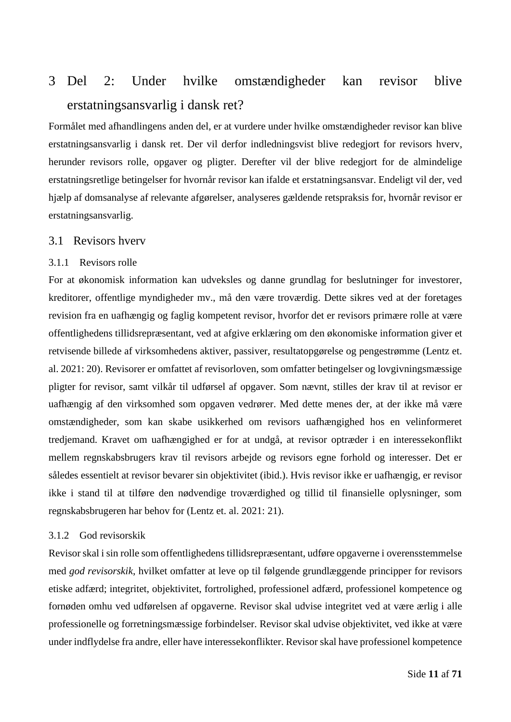# <span id="page-11-0"></span>3 Del 2: Under hvilke omstændigheder kan revisor blive erstatningsansvarlig i dansk ret?

Formålet med afhandlingens anden del, er at vurdere under hvilke omstændigheder revisor kan blive erstatningsansvarlig i dansk ret. Der vil derfor indledningsvist blive redegjort for revisors hverv, herunder revisors rolle, opgaver og pligter. Derefter vil der blive redegjort for de almindelige erstatningsretlige betingelser for hvornår revisor kan ifalde et erstatningsansvar. Endeligt vil der, ved hjælp af domsanalyse af relevante afgørelser, analyseres gældende retspraksis for, hvornår revisor er erstatningsansvarlig.

## <span id="page-11-1"></span>3.1 Revisors hverv

#### <span id="page-11-2"></span>3.1.1 Revisors rolle

For at økonomisk information kan udveksles og danne grundlag for beslutninger for investorer, kreditorer, offentlige myndigheder mv., må den være troværdig. Dette sikres ved at der foretages revision fra en uafhængig og faglig kompetent revisor, hvorfor det er revisors primære rolle at være offentlighedens tillidsrepræsentant, ved at afgive erklæring om den økonomiske information giver et retvisende billede af virksomhedens aktiver, passiver, resultatopgørelse og pengestrømme (Lentz et. al. 2021: 20). Revisorer er omfattet af revisorloven, som omfatter betingelser og lovgivningsmæssige pligter for revisor, samt vilkår til udførsel af opgaver. Som nævnt, stilles der krav til at revisor er uafhængig af den virksomhed som opgaven vedrører. Med dette menes der, at der ikke må være omstændigheder, som kan skabe usikkerhed om revisors uafhængighed hos en velinformeret tredjemand. Kravet om uafhængighed er for at undgå, at revisor optræder i en interessekonflikt mellem regnskabsbrugers krav til revisors arbejde og revisors egne forhold og interesser. Det er således essentielt at revisor bevarer sin objektivitet (ibid.). Hvis revisor ikke er uafhængig, er revisor ikke i stand til at tilføre den nødvendige troværdighed og tillid til finansielle oplysninger, som regnskabsbrugeren har behov for (Lentz et. al. 2021: 21).

## <span id="page-11-3"></span>3.1.2 God revisorskik

Revisor skal i sin rolle som offentlighedens tillidsrepræsentant, udføre opgaverne i overensstemmelse med *god revisorskik*, hvilket omfatter at leve op til følgende grundlæggende principper for revisors etiske adfærd; integritet, objektivitet, fortrolighed, professionel adfærd, professionel kompetence og fornøden omhu ved udførelsen af opgaverne. Revisor skal udvise integritet ved at være ærlig i alle professionelle og forretningsmæssige forbindelser. Revisor skal udvise objektivitet, ved ikke at være under indflydelse fra andre, eller have interessekonflikter. Revisor skal have professionel kompetence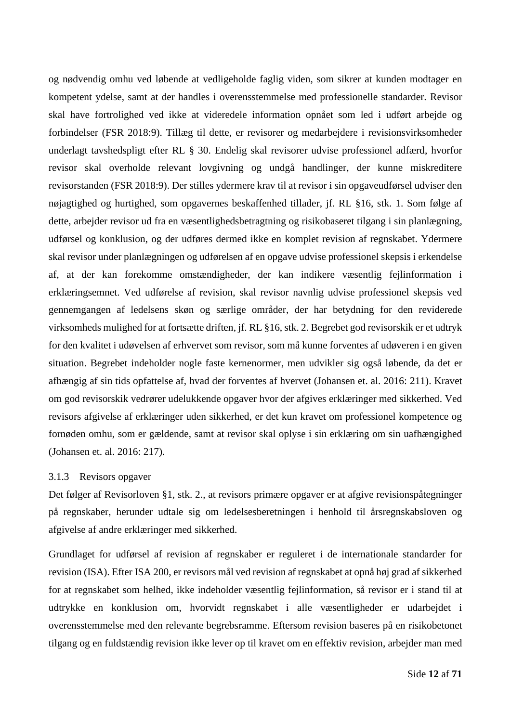og nødvendig omhu ved løbende at vedligeholde faglig viden, som sikrer at kunden modtager en kompetent ydelse, samt at der handles i overensstemmelse med professionelle standarder. Revisor skal have fortrolighed ved ikke at videredele information opnået som led i udført arbejde og forbindelser (FSR 2018:9). Tillæg til dette, er revisorer og medarbejdere i revisionsvirksomheder underlagt tavshedspligt efter RL § 30. Endelig skal revisorer udvise professionel adfærd, hvorfor revisor skal overholde relevant lovgivning og undgå handlinger, der kunne miskreditere revisorstanden (FSR 2018:9). Der stilles ydermere krav til at revisor i sin opgaveudførsel udviser den nøjagtighed og hurtighed, som opgavernes beskaffenhed tillader, jf. RL §16, stk. 1. Som følge af dette, arbejder revisor ud fra en væsentlighedsbetragtning og risikobaseret tilgang i sin planlægning, udførsel og konklusion, og der udføres dermed ikke en komplet revision af regnskabet. Ydermere skal revisor under planlægningen og udførelsen af en opgave udvise professionel skepsis i erkendelse af, at der kan forekomme omstændigheder, der kan indikere væsentlig fejlinformation i erklæringsemnet. Ved udførelse af revision, skal revisor navnlig udvise professionel skepsis ved gennemgangen af ledelsens skøn og særlige områder, der har betydning for den reviderede virksomheds mulighed for at fortsætte driften, jf. RL §16, stk. 2. Begrebet god revisorskik er et udtryk for den kvalitet i udøvelsen af erhvervet som revisor, som må kunne forventes af udøveren i en given situation. Begrebet indeholder nogle faste kernenormer, men udvikler sig også løbende, da det er afhængig af sin tids opfattelse af, hvad der forventes af hvervet (Johansen et. al. 2016: 211). Kravet om god revisorskik vedrører udelukkende opgaver hvor der afgives erklæringer med sikkerhed. Ved revisors afgivelse af erklæringer uden sikkerhed, er det kun kravet om professionel kompetence og fornøden omhu, som er gældende, samt at revisor skal oplyse i sin erklæring om sin uafhængighed (Johansen et. al. 2016: 217).

#### <span id="page-12-0"></span>3.1.3 Revisors opgaver

Det følger af Revisorloven §1, stk. 2., at revisors primære opgaver er at afgive revisionspåtegninger på regnskaber, herunder udtale sig om ledelsesberetningen i henhold til årsregnskabsloven og afgivelse af andre erklæringer med sikkerhed.

Grundlaget for udførsel af revision af regnskaber er reguleret i de internationale standarder for revision (ISA). Efter ISA 200, er revisors mål ved revision af regnskabet at opnå høj grad af sikkerhed for at regnskabet som helhed, ikke indeholder væsentlig fejlinformation, så revisor er i stand til at udtrykke en konklusion om, hvorvidt regnskabet i alle væsentligheder er udarbejdet i overensstemmelse med den relevante begrebsramme. Eftersom revision baseres på en risikobetonet tilgang og en fuldstændig revision ikke lever op til kravet om en effektiv revision, arbejder man med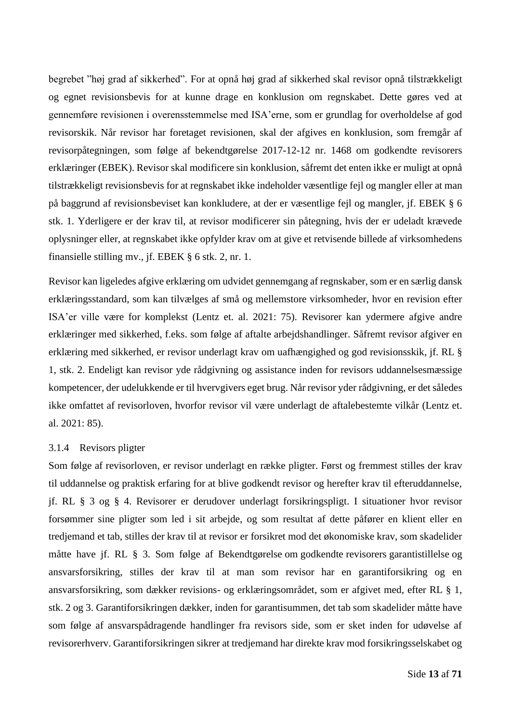begrebet "høj grad af sikkerhed". For at opnå høj grad af sikkerhed skal revisor opnå tilstrækkeligt og egnet revisionsbevis for at kunne drage en konklusion om regnskabet. Dette gøres ved at gennemføre revisionen i overensstemmelse med ISA'erne, som er grundlag for overholdelse af god revisorskik. Når revisor har foretaget revisionen, skal der afgives en konklusion, som fremgår af revisorpåtegningen, som følge af bekendtgørelse 2017-12-12 nr. 1468 om godkendte revisorers erklæringer (EBEK). Revisor skal modificere sin konklusion, såfremt det enten ikke er muligt at opnå tilstrækkeligt revisionsbevis for at regnskabet ikke indeholder væsentlige fejl og mangler eller at man på baggrund af revisionsbeviset kan konkludere, at der er væsentlige fejl og mangler, jf. EBEK § 6 stk. 1. Yderligere er der krav til, at revisor modificerer sin påtegning, hvis der er udeladt krævede oplysninger eller, at regnskabet ikke opfylder krav om at give et retvisende billede af virksomhedens finansielle stilling mv., jf. EBEK § 6 stk. 2, nr. 1.

Revisor kan ligeledes afgive erklæring om udvidet gennemgang af regnskaber, som er en særlig dansk erklæringsstandard, som kan tilvælges af små og mellemstore virksomheder, hvor en revision efter ISA'er ville være for komplekst (Lentz et. al. 2021: 75). Revisorer kan ydermere afgive andre erklæringer med sikkerhed, f.eks. som følge af aftalte arbejdshandlinger. Såfremt revisor afgiver en erklæring med sikkerhed, er revisor underlagt krav om uafhængighed og god revisionsskik, jf. RL § 1, stk. 2. Endeligt kan revisor yde rådgivning og assistance inden for revisors uddannelsesmæssige kompetencer, der udelukkende er til hvervgivers eget brug. Når revisor yder rådgivning, er det således ikke omfattet af revisorloven, hvorfor revisor vil være underlagt de aftalebestemte vilkår (Lentz et. al. 2021: 85).

#### <span id="page-13-0"></span>3.1.4 Revisors pligter

Som følge af revisorloven, er revisor underlagt en række pligter. Først og fremmest stilles der krav til uddannelse og praktisk erfaring for at blive godkendt revisor og herefter krav til efteruddannelse, jf. RL § 3 og § 4. Revisorer er derudover underlagt forsikringspligt. I situationer hvor revisor forsømmer sine pligter som led i sit arbejde, og som resultat af dette påfører en klient eller en tredjemand et tab, stilles der krav til at revisor er forsikret mod det økonomiske krav, som skadelider måtte have jf. RL § 3. Som følge af Bekendtgørelse om godkendte revisorers garantistillelse og ansvarsforsikring, stilles der krav til at man som revisor har en garantiforsikring og en ansvarsforsikring, som dækker revisions- og erklæringsområdet, som er afgivet med, efter RL § 1, stk. 2 og 3. Garantiforsikringen dækker, inden for garantisummen, det tab som skadelider måtte have som følge af ansvarspådragende handlinger fra revisors side, som er sket inden for udøvelse af revisorerhverv. Garantiforsikringen sikrer at tredjemand har direkte krav mod forsikringsselskabet og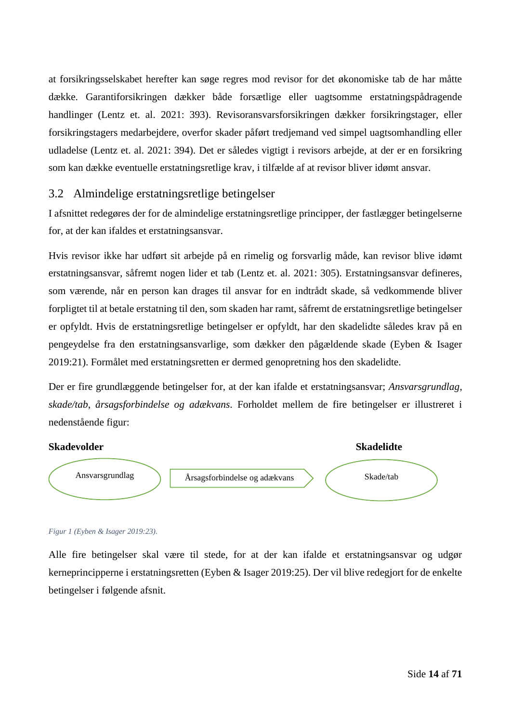at forsikringsselskabet herefter kan søge regres mod revisor for det økonomiske tab de har måtte dække. Garantiforsikringen dækker både forsætlige eller uagtsomme erstatningspådragende handlinger (Lentz et. al. 2021: 393). Revisoransvarsforsikringen dækker forsikringstager, eller forsikringstagers medarbejdere, overfor skader påført tredjemand ved simpel uagtsomhandling eller udladelse (Lentz et. al. 2021: 394). Det er således vigtigt i revisors arbejde, at der er en forsikring som kan dække eventuelle erstatningsretlige krav, i tilfælde af at revisor bliver idømt ansvar.

# <span id="page-14-0"></span>3.2 Almindelige erstatningsretlige betingelser

I afsnittet redegøres der for de almindelige erstatningsretlige principper, der fastlægger betingelserne for, at der kan ifaldes et erstatningsansvar.

Hvis revisor ikke har udført sit arbejde på en rimelig og forsvarlig måde, kan revisor blive idømt erstatningsansvar, såfremt nogen lider et tab (Lentz et. al. 2021: 305). Erstatningsansvar defineres, som værende, når en person kan drages til ansvar for en indtrådt skade, så vedkommende bliver forpligtet til at betale erstatning til den, som skaden har ramt, såfremt de erstatningsretlige betingelser er opfyldt. Hvis de erstatningsretlige betingelser er opfyldt, har den skadelidte således krav på en pengeydelse fra den erstatningsansvarlige, som dækker den pågældende skade (Eyben & Isager 2019:21). Formålet med erstatningsretten er dermed genopretning hos den skadelidte.

Der er fire grundlæggende betingelser for, at der kan ifalde et erstatningsansvar; *Ansvarsgrundlag*, *skade/tab*, *årsagsforbindelse og adækvans*. Forholdet mellem de fire betingelser er illustreret i nedenstående figur:



#### *Figur 1 (Eyben & Isager 2019:23).*

Alle fire betingelser skal være til stede, for at der kan ifalde et erstatningsansvar og udgør kerneprincipperne i erstatningsretten (Eyben & Isager 2019:25). Der vil blive redegjort for de enkelte betingelser i følgende afsnit.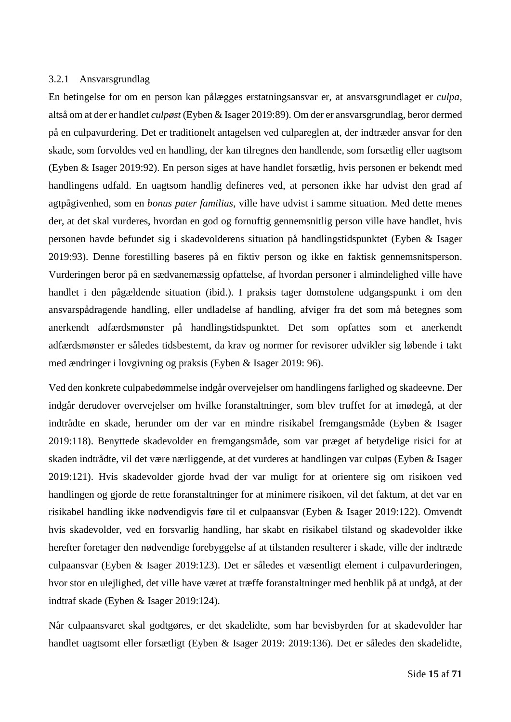#### <span id="page-15-0"></span>3.2.1 Ansvarsgrundlag

En betingelse for om en person kan pålægges erstatningsansvar er, at ansvarsgrundlaget er *culpa,*  altså om at der er handlet *culpøst* (Eyben & Isager 2019:89). Om der er ansvarsgrundlag, beror dermed på en culpavurdering. Det er traditionelt antagelsen ved culpareglen at, der indtræder ansvar for den skade, som forvoldes ved en handling, der kan tilregnes den handlende, som forsætlig eller uagtsom (Eyben & Isager 2019:92). En person siges at have handlet forsætlig, hvis personen er bekendt med handlingens udfald. En uagtsom handlig defineres ved, at personen ikke har udvist den grad af agtpågivenhed, som en *bonus pater familias*, ville have udvist i samme situation. Med dette menes der, at det skal vurderes, hvordan en god og fornuftig gennemsnitlig person ville have handlet, hvis personen havde befundet sig i skadevolderens situation på handlingstidspunktet (Eyben & Isager 2019:93). Denne forestilling baseres på en fiktiv person og ikke en faktisk gennemsnitsperson. Vurderingen beror på en sædvanemæssig opfattelse, af hvordan personer i almindelighed ville have handlet i den pågældende situation (ibid.). I praksis tager domstolene udgangspunkt i om den ansvarspådragende handling, eller undladelse af handling, afviger fra det som må betegnes som anerkendt adfærdsmønster på handlingstidspunktet. Det som opfattes som et anerkendt adfærdsmønster er således tidsbestemt, da krav og normer for revisorer udvikler sig løbende i takt med ændringer i lovgivning og praksis (Eyben & Isager 2019: 96).

Ved den konkrete culpabedømmelse indgår overvejelser om handlingens farlighed og skadeevne. Der indgår derudover overvejelser om hvilke foranstaltninger, som blev truffet for at imødegå, at der indtrådte en skade, herunder om der var en mindre risikabel fremgangsmåde (Eyben & Isager 2019:118). Benyttede skadevolder en fremgangsmåde, som var præget af betydelige risici for at skaden indtrådte, vil det være nærliggende, at det vurderes at handlingen var culpøs (Eyben & Isager 2019:121). Hvis skadevolder gjorde hvad der var muligt for at orientere sig om risikoen ved handlingen og gjorde de rette foranstaltninger for at minimere risikoen, vil det faktum, at det var en risikabel handling ikke nødvendigvis føre til et culpaansvar (Eyben & Isager 2019:122). Omvendt hvis skadevolder, ved en forsvarlig handling, har skabt en risikabel tilstand og skadevolder ikke herefter foretager den nødvendige forebyggelse af at tilstanden resulterer i skade, ville der indtræde culpaansvar (Eyben & Isager 2019:123). Det er således et væsentligt element i culpavurderingen, hvor stor en ulejlighed, det ville have været at træffe foranstaltninger med henblik på at undgå, at der indtraf skade (Eyben & Isager 2019:124).

Når culpaansvaret skal godtgøres, er det skadelidte, som har bevisbyrden for at skadevolder har handlet uagtsomt eller forsætligt (Eyben & Isager 2019: 2019:136). Det er således den skadelidte,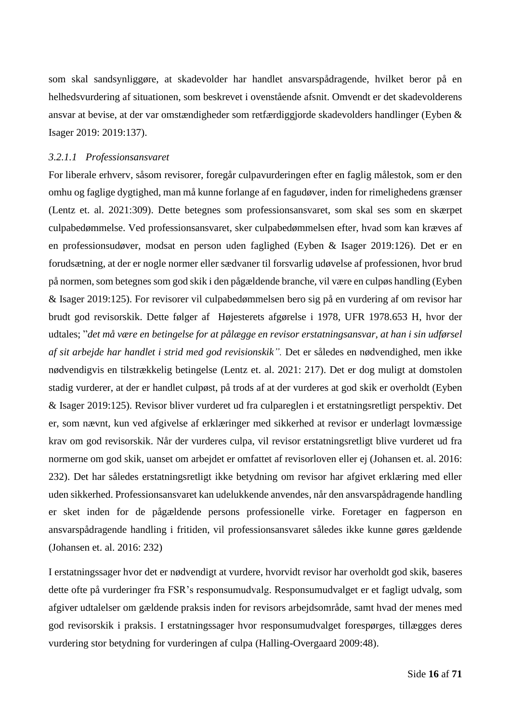som skal sandsynliggøre, at skadevolder har handlet ansvarspådragende, hvilket beror på en helhedsvurdering af situationen, som beskrevet i ovenstående afsnit. Omvendt er det skadevolderens ansvar at bevise, at der var omstændigheder som retfærdiggjorde skadevolders handlinger (Eyben & Isager 2019: 2019:137).

#### <span id="page-16-0"></span>*3.2.1.1 Professionsansvaret*

For liberale erhverv, såsom revisorer, foregår culpavurderingen efter en faglig målestok, som er den omhu og faglige dygtighed, man må kunne forlange af en fagudøver, inden for rimelighedens grænser (Lentz et. al. 2021:309). Dette betegnes som professionsansvaret, som skal ses som en skærpet culpabedømmelse. Ved professionsansvaret, sker culpabedømmelsen efter, hvad som kan kræves af en professionsudøver, modsat en person uden faglighed (Eyben & Isager 2019:126). Det er en forudsætning, at der er nogle normer eller sædvaner til forsvarlig udøvelse af professionen, hvor brud på normen, som betegnes som god skik i den pågældende branche, vil være en culpøs handling (Eyben & Isager 2019:125). For revisorer vil culpabedømmelsen bero sig på en vurdering af om revisor har brudt god revisorskik. Dette følger af Højesterets afgørelse i 1978, UFR 1978.653 H, hvor der udtales; "*det må være en betingelse for at pålægge en revisor erstatningsansvar, at han i sin udførsel af sit arbejde har handlet i strid med god revisionskik".* Det er således en nødvendighed, men ikke nødvendigvis en tilstrækkelig betingelse (Lentz et. al. 2021: 217). Det er dog muligt at domstolen stadig vurderer, at der er handlet culpøst, på trods af at der vurderes at god skik er overholdt (Eyben & Isager 2019:125). Revisor bliver vurderet ud fra culpareglen i et erstatningsretligt perspektiv. Det er, som nævnt, kun ved afgivelse af erklæringer med sikkerhed at revisor er underlagt lovmæssige krav om god revisorskik. Når der vurderes culpa, vil revisor erstatningsretligt blive vurderet ud fra normerne om god skik, uanset om arbejdet er omfattet af revisorloven eller ej (Johansen et. al. 2016: 232). Det har således erstatningsretligt ikke betydning om revisor har afgivet erklæring med eller uden sikkerhed. Professionsansvaret kan udelukkende anvendes, når den ansvarspådragende handling er sket inden for de pågældende persons professionelle virke. Foretager en fagperson en ansvarspådragende handling i fritiden, vil professionsansvaret således ikke kunne gøres gældende (Johansen et. al. 2016: 232)

I erstatningssager hvor det er nødvendigt at vurdere, hvorvidt revisor har overholdt god skik, baseres dette ofte på vurderinger fra FSR's responsumudvalg. Responsumudvalget er et fagligt udvalg, som afgiver udtalelser om gældende praksis inden for revisors arbejdsområde, samt hvad der menes med god revisorskik i praksis. I erstatningssager hvor responsumudvalget forespørges, tillægges deres vurdering stor betydning for vurderingen af culpa (Halling-Overgaard 2009:48).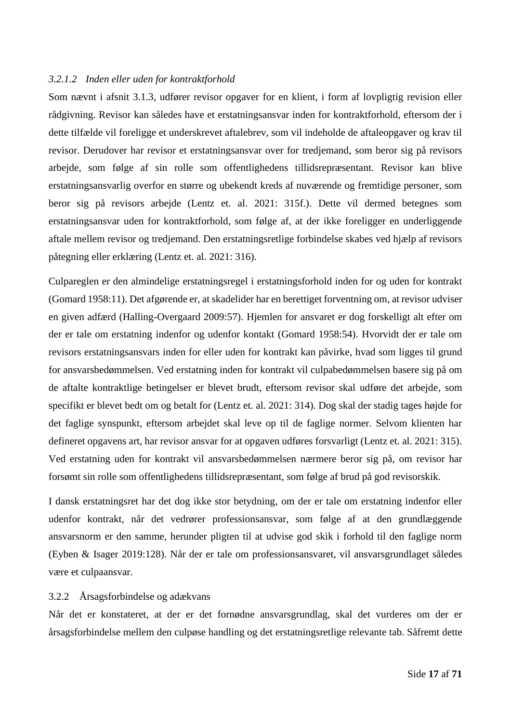#### <span id="page-17-0"></span>*3.2.1.2 Inden eller uden for kontraktforhold*

Som nævnt i afsnit [3.1.3,](#page-12-0) udfører revisor opgaver for en klient, i form af lovpligtig revision eller rådgivning. Revisor kan således have et erstatningsansvar inden for kontraktforhold, eftersom der i dette tilfælde vil foreligge et underskrevet aftalebrev, som vil indeholde de aftaleopgaver og krav til revisor. Derudover har revisor et erstatningsansvar over for tredjemand, som beror sig på revisors arbejde, som følge af sin rolle som offentlighedens tillidsrepræsentant. Revisor kan blive erstatningsansvarlig overfor en større og ubekendt kreds af nuværende og fremtidige personer, som beror sig på revisors arbejde (Lentz et. al. 2021: 315f.). Dette vil dermed betegnes som erstatningsansvar uden for kontraktforhold, som følge af, at der ikke foreligger en underliggende aftale mellem revisor og tredjemand. Den erstatningsretlige forbindelse skabes ved hjælp af revisors påtegning eller erklæring (Lentz et. al. 2021: 316).

Culpareglen er den almindelige erstatningsregel i erstatningsforhold inden for og uden for kontrakt (Gomard 1958:11). Det afgørende er, at skadelider har en berettiget forventning om, at revisor udviser en given adfærd (Halling-Overgaard 2009:57). Hjemlen for ansvaret er dog forskelligt alt efter om der er tale om erstatning indenfor og udenfor kontakt (Gomard 1958:54). Hvorvidt der er tale om revisors erstatningsansvars inden for eller uden for kontrakt kan påvirke, hvad som ligges til grund for ansvarsbedømmelsen. Ved erstatning inden for kontrakt vil culpabedømmelsen basere sig på om de aftalte kontraktlige betingelser er blevet brudt, eftersom revisor skal udføre det arbejde, som specifikt er blevet bedt om og betalt for (Lentz et. al. 2021: 314). Dog skal der stadig tages højde for det faglige synspunkt, eftersom arbejdet skal leve op til de faglige normer. Selvom klienten har defineret opgavens art, har revisor ansvar for at opgaven udføres forsvarligt (Lentz et. al. 2021: 315). Ved erstatning uden for kontrakt vil ansvarsbedømmelsen nærmere beror sig på, om revisor har forsømt sin rolle som offentlighedens tillidsrepræsentant, som følge af brud på god revisorskik.

I dansk erstatningsret har det dog ikke stor betydning, om der er tale om erstatning indenfor eller udenfor kontrakt, når det vedrører professionsansvar, som følge af at den grundlæggende ansvarsnorm er den samme, herunder pligten til at udvise god skik i forhold til den faglige norm (Eyben & Isager 2019:128). Når der er tale om professionsansvaret, vil ansvarsgrundlaget således være et culpaansvar.

#### <span id="page-17-1"></span>3.2.2 Årsagsforbindelse og adækvans

Når det er konstateret, at der er det fornødne ansvarsgrundlag, skal det vurderes om der er årsagsforbindelse mellem den culpøse handling og det erstatningsretlige relevante tab. Såfremt dette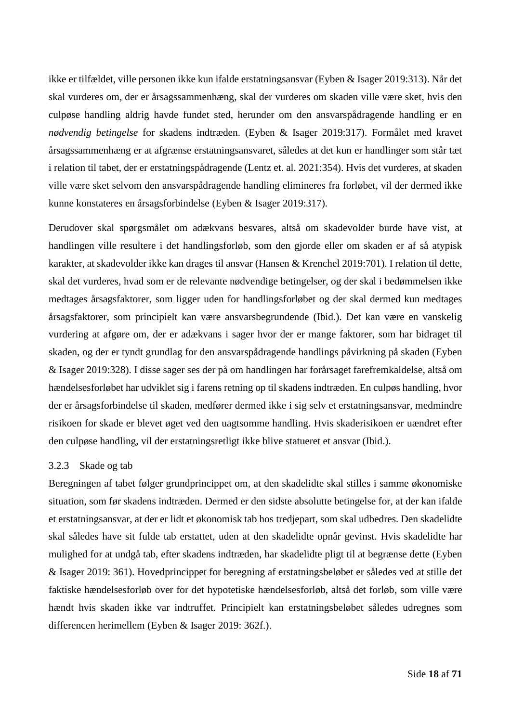ikke er tilfældet, ville personen ikke kun ifalde erstatningsansvar (Eyben & Isager 2019:313). Når det skal vurderes om, der er årsagssammenhæng, skal der vurderes om skaden ville være sket, hvis den culpøse handling aldrig havde fundet sted, herunder om den ansvarspådragende handling er en *nødvendig betingelse* for skadens indtræden. (Eyben & Isager 2019:317). Formålet med kravet årsagssammenhæng er at afgrænse erstatningsansvaret, således at det kun er handlinger som står tæt i relation til tabet, der er erstatningspådragende (Lentz et. al. 2021:354). Hvis det vurderes, at skaden ville være sket selvom den ansvarspådragende handling elimineres fra forløbet, vil der dermed ikke kunne konstateres en årsagsforbindelse (Eyben & Isager 2019:317).

Derudover skal spørgsmålet om adækvans besvares, altså om skadevolder burde have vist, at handlingen ville resultere i det handlingsforløb, som den gjorde eller om skaden er af så atypisk karakter, at skadevolder ikke kan drages til ansvar (Hansen & Krenchel 2019:701). I relation til dette, skal det vurderes, hvad som er de relevante nødvendige betingelser, og der skal i bedømmelsen ikke medtages årsagsfaktorer, som ligger uden for handlingsforløbet og der skal dermed kun medtages årsagsfaktorer, som principielt kan være ansvarsbegrundende (Ibid.). Det kan være en vanskelig vurdering at afgøre om, der er adækvans i sager hvor der er mange faktorer, som har bidraget til skaden, og der er tyndt grundlag for den ansvarspådragende handlings påvirkning på skaden (Eyben & Isager 2019:328). I disse sager ses der på om handlingen har forårsaget farefremkaldelse, altså om hændelsesforløbet har udviklet sig i farens retning op til skadens indtræden. En culpøs handling, hvor der er årsagsforbindelse til skaden, medfører dermed ikke i sig selv et erstatningsansvar, medmindre risikoen for skade er blevet øget ved den uagtsomme handling. Hvis skaderisikoen er uændret efter den culpøse handling, vil der erstatningsretligt ikke blive statueret et ansvar (Ibid.).

## <span id="page-18-0"></span>3.2.3 Skade og tab

Beregningen af tabet følger grundprincippet om, at den skadelidte skal stilles i samme økonomiske situation, som før skadens indtræden. Dermed er den sidste absolutte betingelse for, at der kan ifalde et erstatningsansvar, at der er lidt et økonomisk tab hos tredjepart, som skal udbedres. Den skadelidte skal således have sit fulde tab erstattet, uden at den skadelidte opnår gevinst. Hvis skadelidte har mulighed for at undgå tab, efter skadens indtræden, har skadelidte pligt til at begrænse dette (Eyben & Isager 2019: 361). Hovedprincippet for beregning af erstatningsbeløbet er således ved at stille det faktiske hændelsesforløb over for det hypotetiske hændelsesforløb, altså det forløb, som ville være hændt hvis skaden ikke var indtruffet. Principielt kan erstatningsbeløbet således udregnes som differencen herimellem (Eyben & Isager 2019: 362f.).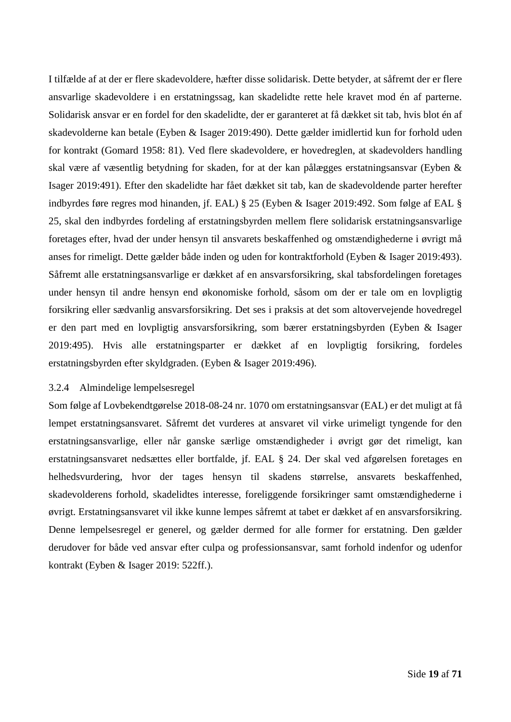I tilfælde af at der er flere skadevoldere, hæfter disse solidarisk. Dette betyder, at såfremt der er flere ansvarlige skadevoldere i en erstatningssag, kan skadelidte rette hele kravet mod én af parterne. Solidarisk ansvar er en fordel for den skadelidte, der er garanteret at få dækket sit tab, hvis blot én af skadevolderne kan betale (Eyben & Isager 2019:490). Dette gælder imidlertid kun for forhold uden for kontrakt (Gomard 1958: 81). Ved flere skadevoldere, er hovedreglen, at skadevolders handling skal være af væsentlig betydning for skaden, for at der kan pålægges erstatningsansvar (Eyben & Isager 2019:491). Efter den skadelidte har fået dækket sit tab, kan de skadevoldende parter herefter indbyrdes føre regres mod hinanden, jf. EAL) § 25 (Eyben & Isager 2019:492. Som følge af EAL § 25, skal den indbyrdes fordeling af erstatningsbyrden mellem flere solidarisk erstatningsansvarlige foretages efter, hvad der under hensyn til ansvarets beskaffenhed og omstændighederne i øvrigt må anses for rimeligt. Dette gælder både inden og uden for kontraktforhold (Eyben & Isager 2019:493). Såfremt alle erstatningsansvarlige er dækket af en ansvarsforsikring, skal tabsfordelingen foretages under hensyn til andre hensyn end økonomiske forhold, såsom om der er tale om en lovpligtig forsikring eller sædvanlig ansvarsforsikring. Det ses i praksis at det som altovervejende hovedregel er den part med en lovpligtig ansvarsforsikring, som bærer erstatningsbyrden (Eyben & Isager 2019:495). Hvis alle erstatningsparter er dækket af en lovpligtig forsikring, fordeles erstatningsbyrden efter skyldgraden. (Eyben & Isager 2019:496).

## <span id="page-19-0"></span>3.2.4 Almindelige lempelsesregel

Som følge af Lovbekendtgørelse 2018-08-24 nr. 1070 om erstatningsansvar (EAL) er det muligt at få lempet erstatningsansvaret. Såfremt det vurderes at ansvaret vil virke urimeligt tyngende for den erstatningsansvarlige, eller når ganske særlige omstændigheder i øvrigt gør det rimeligt, kan erstatningsansvaret nedsættes eller bortfalde, jf. EAL § 24. Der skal ved afgørelsen foretages en helhedsvurdering, hvor der tages hensyn til skadens størrelse, ansvarets beskaffenhed, skadevolderens forhold, skadelidtes interesse, foreliggende forsikringer samt omstændighederne i øvrigt. Erstatningsansvaret vil ikke kunne lempes såfremt at tabet er dækket af en ansvarsforsikring. Denne lempelsesregel er generel, og gælder dermed for alle former for erstatning. Den gælder derudover for både ved ansvar efter culpa og professionsansvar, samt forhold indenfor og udenfor kontrakt (Eyben & Isager 2019: 522ff.).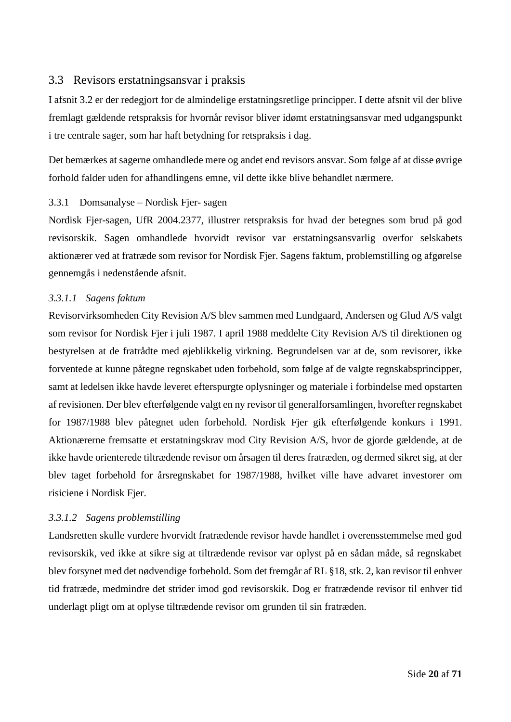# <span id="page-20-0"></span>3.3 Revisors erstatningsansvar i praksis

I afsnit [3.2](#page-14-0) er der redegjort for de almindelige erstatningsretlige principper. I dette afsnit vil der blive fremlagt gældende retspraksis for hvornår revisor bliver idømt erstatningsansvar med udgangspunkt i tre centrale sager, som har haft betydning for retspraksis i dag.

Det bemærkes at sagerne omhandlede mere og andet end revisors ansvar. Som følge af at disse øvrige forhold falder uden for afhandlingens emne, vil dette ikke blive behandlet nærmere.

## <span id="page-20-1"></span>3.3.1 Domsanalyse – Nordisk Fjer- sagen

Nordisk Fjer-sagen, UfR 2004.2377, illustrer retspraksis for hvad der betegnes som brud på god revisorskik. Sagen omhandlede hvorvidt revisor var erstatningsansvarlig overfor selskabets aktionærer ved at fratræde som revisor for Nordisk Fjer. Sagens faktum, problemstilling og afgørelse gennemgås i nedenstående afsnit.

## <span id="page-20-2"></span>*3.3.1.1 Sagens faktum*

Revisorvirksomheden City Revision A/S blev sammen med Lundgaard, Andersen og Glud A/S valgt som revisor for Nordisk Fjer i juli 1987. I april 1988 meddelte City Revision A/S til direktionen og bestyrelsen at de fratrådte med øjeblikkelig virkning. Begrundelsen var at de, som revisorer, ikke forventede at kunne påtegne regnskabet uden forbehold, som følge af de valgte regnskabsprincipper, samt at ledelsen ikke havde leveret efterspurgte oplysninger og materiale i forbindelse med opstarten af revisionen. Der blev efterfølgende valgt en ny revisor til generalforsamlingen, hvorefter regnskabet for 1987/1988 blev påtegnet uden forbehold. Nordisk Fjer gik efterfølgende konkurs i 1991. Aktionærerne fremsatte et erstatningskrav mod City Revision A/S, hvor de gjorde gældende, at de ikke havde orienterede tiltrædende revisor om årsagen til deres fratræden, og dermed sikret sig, at der blev taget forbehold for årsregnskabet for 1987/1988, hvilket ville have advaret investorer om risiciene i Nordisk Fjer.

## <span id="page-20-3"></span>*3.3.1.2 Sagens problemstilling*

Landsretten skulle vurdere hvorvidt fratrædende revisor havde handlet i overensstemmelse med god revisorskik, ved ikke at sikre sig at tiltrædende revisor var oplyst på en sådan måde, så regnskabet blev forsynet med det nødvendige forbehold. Som det fremgår af RL §18, stk. 2, kan revisor til enhver tid fratræde, medmindre det strider imod god revisorskik. Dog er fratrædende revisor til enhver tid underlagt pligt om at oplyse tiltrædende revisor om grunden til sin fratræden.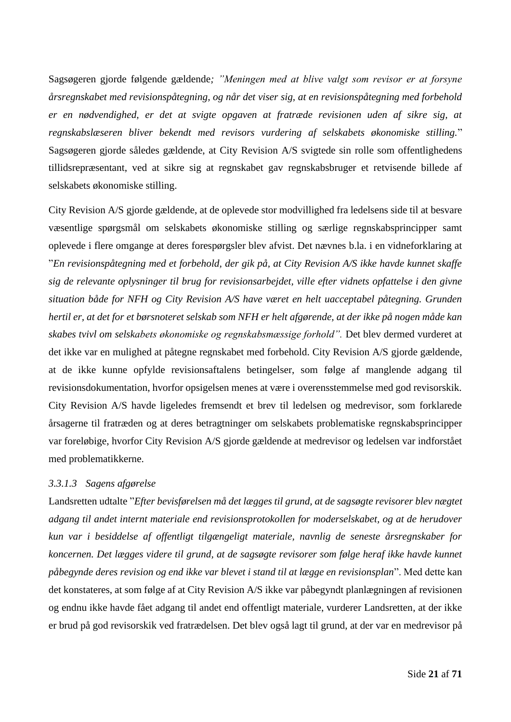Sagsøgeren gjorde følgende gældende*; "Meningen med at blive valgt som revisor er at forsyne årsregnskabet med revisionspåtegning, og når det viser sig, at en revisionspåtegning med forbehold er en nødvendighed, er det at svigte opgaven at fratræde revisionen uden af sikre sig, at regnskabslæseren bliver bekendt med revisors vurdering af selskabets økonomiske stilling.*" Sagsøgeren gjorde således gældende, at City Revision A/S svigtede sin rolle som offentlighedens tillidsrepræsentant, ved at sikre sig at regnskabet gav regnskabsbruger et retvisende billede af selskabets økonomiske stilling.

City Revision A/S gjorde gældende, at de oplevede stor modvillighed fra ledelsens side til at besvare væsentlige spørgsmål om selskabets økonomiske stilling og særlige regnskabsprincipper samt oplevede i flere omgange at deres forespørgsler blev afvist. Det nævnes b.la. i en vidneforklaring at "*En revisionspåtegning med et forbehold, der gik på, at City Revision A/S ikke havde kunnet skaffe sig de relevante oplysninger til brug for revisionsarbejdet, ville efter vidnets opfattelse i den givne situation både for NFH og City Revision A/S have været en helt uacceptabel påtegning. Grunden hertil er, at det for et børsnoteret selskab som NFH er helt afgørende, at der ikke på nogen måde kan skabes tvivl om selskabets økonomiske og regnskabsmæssige forhold".* Det blev dermed vurderet at det ikke var en mulighed at påtegne regnskabet med forbehold. City Revision A/S gjorde gældende, at de ikke kunne opfylde revisionsaftalens betingelser, som følge af manglende adgang til revisionsdokumentation, hvorfor opsigelsen menes at være i overensstemmelse med god revisorskik. City Revision A/S havde ligeledes fremsendt et brev til ledelsen og medrevisor, som forklarede årsagerne til fratræden og at deres betragtninger om selskabets problematiske regnskabsprincipper var foreløbige, hvorfor City Revision A/S gjorde gældende at medrevisor og ledelsen var indforstået med problematikkerne.

## <span id="page-21-0"></span>*3.3.1.3 Sagens afgørelse*

Landsretten udtalte "*Efter bevisførelsen må det lægges til grund, at de sagsøgte revisorer blev nægtet adgang til andet internt materiale end revisionsprotokollen for moderselskabet, og at de herudover kun var i besiddelse af offentligt tilgængeligt materiale, navnlig de seneste årsregnskaber for koncernen. Det lægges videre til grund, at de sagsøgte revisorer som følge heraf ikke havde kunnet påbegynde deres revision og end ikke var blevet i stand til at lægge en revisionsplan*". Med dette kan det konstateres, at som følge af at City Revision A/S ikke var påbegyndt planlægningen af revisionen og endnu ikke havde fået adgang til andet end offentligt materiale, vurderer Landsretten, at der ikke er brud på god revisorskik ved fratrædelsen. Det blev også lagt til grund, at der var en medrevisor på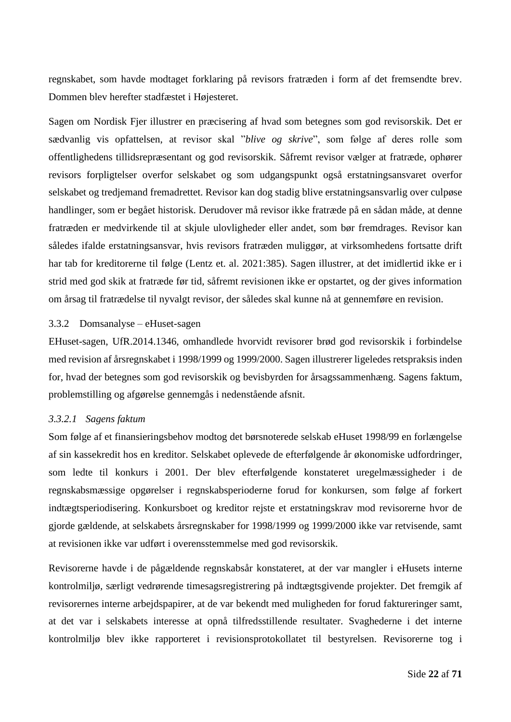regnskabet, som havde modtaget forklaring på revisors fratræden i form af det fremsendte brev. Dommen blev herefter stadfæstet i Højesteret.

Sagen om Nordisk Fjer illustrer en præcisering af hvad som betegnes som god revisorskik. Det er sædvanlig vis opfattelsen, at revisor skal "*blive og skrive*", som følge af deres rolle som offentlighedens tillidsrepræsentant og god revisorskik. Såfremt revisor vælger at fratræde, ophører revisors forpligtelser overfor selskabet og som udgangspunkt også erstatningsansvaret overfor selskabet og tredjemand fremadrettet. Revisor kan dog stadig blive erstatningsansvarlig over culpøse handlinger, som er begået historisk. Derudover må revisor ikke fratræde på en sådan måde, at denne fratræden er medvirkende til at skjule ulovligheder eller andet, som bør fremdrages. Revisor kan således ifalde erstatningsansvar, hvis revisors fratræden muliggør, at virksomhedens fortsatte drift har tab for kreditorerne til følge (Lentz et. al. 2021:385). Sagen illustrer, at det imidlertid ikke er i strid med god skik at fratræde før tid, såfremt revisionen ikke er opstartet, og der gives information om årsag til fratrædelse til nyvalgt revisor, der således skal kunne nå at gennemføre en revision.

## <span id="page-22-0"></span>3.3.2 Domsanalyse – eHuset-sagen

EHuset-sagen, UfR.2014.1346, omhandlede hvorvidt revisorer brød god revisorskik i forbindelse med revision af årsregnskabet i 1998/1999 og 1999/2000. Sagen illustrerer ligeledes retspraksis inden for, hvad der betegnes som god revisorskik og bevisbyrden for årsagssammenhæng. Sagens faktum, problemstilling og afgørelse gennemgås i nedenstående afsnit.

#### <span id="page-22-1"></span>*3.3.2.1 Sagens faktum*

Som følge af et finansieringsbehov modtog det børsnoterede selskab eHuset 1998/99 en forlængelse af sin kassekredit hos en kreditor. Selskabet oplevede de efterfølgende år økonomiske udfordringer, som ledte til konkurs i 2001. Der blev efterfølgende konstateret uregelmæssigheder i de regnskabsmæssige opgørelser i regnskabsperioderne forud for konkursen, som følge af forkert indtægtsperiodisering. Konkursboet og kreditor rejste et erstatningskrav mod revisorerne hvor de gjorde gældende, at selskabets årsregnskaber for 1998/1999 og 1999/2000 ikke var retvisende, samt at revisionen ikke var udført i overensstemmelse med god revisorskik.

Revisorerne havde i de pågældende regnskabsår konstateret, at der var mangler i eHusets interne kontrolmiljø, særligt vedrørende timesagsregistrering på indtægtsgivende projekter. Det fremgik af revisorernes interne arbejdspapirer, at de var bekendt med muligheden for forud faktureringer samt, at det var i selskabets interesse at opnå tilfredsstillende resultater. Svaghederne i det interne kontrolmiljø blev ikke rapporteret i revisionsprotokollatet til bestyrelsen. Revisorerne tog i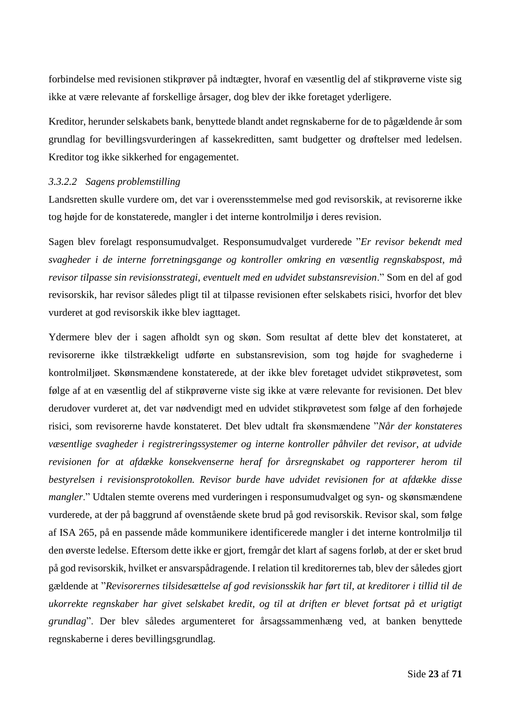forbindelse med revisionen stikprøver på indtægter, hvoraf en væsentlig del af stikprøverne viste sig ikke at være relevante af forskellige årsager, dog blev der ikke foretaget yderligere.

Kreditor, herunder selskabets bank, benyttede blandt andet regnskaberne for de to pågældende år som grundlag for bevillingsvurderingen af kassekreditten, samt budgetter og drøftelser med ledelsen. Kreditor tog ikke sikkerhed for engagementet.

#### <span id="page-23-0"></span>*3.3.2.2 Sagens problemstilling*

Landsretten skulle vurdere om, det var i overensstemmelse med god revisorskik, at revisorerne ikke tog højde for de konstaterede, mangler i det interne kontrolmiljø i deres revision.

Sagen blev forelagt responsumudvalget. Responsumudvalget vurderede "*Er revisor bekendt med svagheder i de interne forretningsgange og kontroller omkring en væsentlig regnskabspost, må revisor tilpasse sin revisionsstrategi, eventuelt med en udvidet substansrevision*." Som en del af god revisorskik, har revisor således pligt til at tilpasse revisionen efter selskabets risici, hvorfor det blev vurderet at god revisorskik ikke blev iagttaget.

Ydermere blev der i sagen afholdt syn og skøn. Som resultat af dette blev det konstateret, at revisorerne ikke tilstrækkeligt udførte en substansrevision, som tog højde for svaghederne i kontrolmiljøet. Skønsmændene konstaterede, at der ikke blev foretaget udvidet stikprøvetest, som følge af at en væsentlig del af stikprøverne viste sig ikke at være relevante for revisionen. Det blev derudover vurderet at, det var nødvendigt med en udvidet stikprøvetest som følge af den forhøjede risici, som revisorerne havde konstateret. Det blev udtalt fra skønsmændene "*Når der konstateres væsentlige svagheder i registreringssystemer og interne kontroller påhviler det revisor, at udvide revisionen for at afdække konsekvenserne heraf for årsregnskabet og rapporterer herom til bestyrelsen i revisionsprotokollen. Revisor burde have udvidet revisionen for at afdække disse mangler*." Udtalen stemte overens med vurderingen i responsumudvalget og syn- og skønsmændene vurderede, at der på baggrund af ovenstående skete brud på god revisorskik. Revisor skal, som følge af ISA 265, på en passende måde kommunikere identificerede mangler i det interne kontrolmiljø til den øverste ledelse. Eftersom dette ikke er gjort, fremgår det klart af sagens forløb, at der er sket brud på god revisorskik, hvilket er ansvarspådragende. I relation til kreditorernes tab, blev der således gjort gældende at "*Revisorernes tilsidesættelse af god revisionsskik har ført til, at kreditorer i tillid til de ukorrekte regnskaber har givet selskabet kredit, og til at driften er blevet fortsat på et urigtigt grundlag*". Der blev således argumenteret for årsagssammenhæng ved, at banken benyttede regnskaberne i deres bevillingsgrundlag.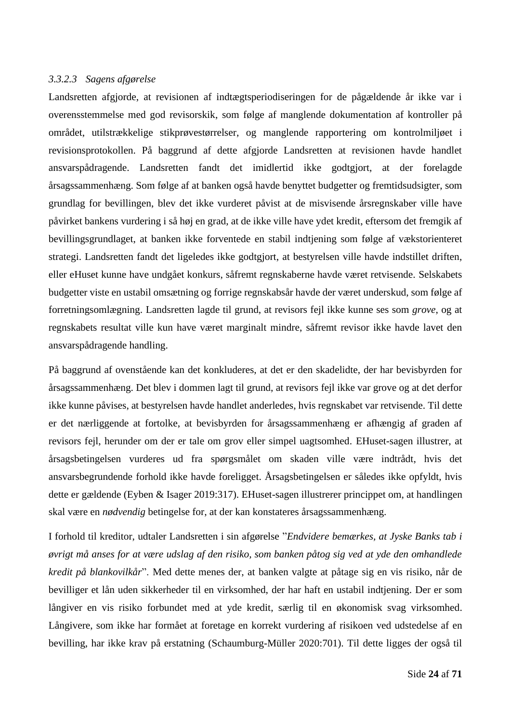## <span id="page-24-0"></span>*3.3.2.3 Sagens afgørelse*

Landsretten afgjorde, at revisionen af indtægtsperiodiseringen for de pågældende år ikke var i overensstemmelse med god revisorskik, som følge af manglende dokumentation af kontroller på området, utilstrækkelige stikprøvestørrelser, og manglende rapportering om kontrolmiljøet i revisionsprotokollen. På baggrund af dette afgjorde Landsretten at revisionen havde handlet ansvarspådragende. Landsretten fandt det imidlertid ikke godtgjort, at der forelagde årsagssammenhæng. Som følge af at banken også havde benyttet budgetter og fremtidsudsigter, som grundlag for bevillingen, blev det ikke vurderet påvist at de misvisende årsregnskaber ville have påvirket bankens vurdering i så høj en grad, at de ikke ville have ydet kredit, eftersom det fremgik af bevillingsgrundlaget, at banken ikke forventede en stabil indtjening som følge af vækstorienteret strategi. Landsretten fandt det ligeledes ikke godtgjort, at bestyrelsen ville havde indstillet driften, eller eHuset kunne have undgået konkurs, såfremt regnskaberne havde været retvisende. Selskabets budgetter viste en ustabil omsætning og forrige regnskabsår havde der været underskud, som følge af forretningsomlægning. Landsretten lagde til grund, at revisors fejl ikke kunne ses som *grove*, og at regnskabets resultat ville kun have været marginalt mindre, såfremt revisor ikke havde lavet den ansvarspådragende handling.

På baggrund af ovenstående kan det konkluderes, at det er den skadelidte, der har bevisbyrden for årsagssammenhæng. Det blev i dommen lagt til grund, at revisors fejl ikke var grove og at det derfor ikke kunne påvises, at bestyrelsen havde handlet anderledes, hvis regnskabet var retvisende. Til dette er det nærliggende at fortolke, at bevisbyrden for årsagssammenhæng er afhængig af graden af revisors fejl, herunder om der er tale om grov eller simpel uagtsomhed. EHuset-sagen illustrer, at årsagsbetingelsen vurderes ud fra spørgsmålet om skaden ville være indtrådt, hvis det ansvarsbegrundende forhold ikke havde foreligget. Årsagsbetingelsen er således ikke opfyldt, hvis dette er gældende (Eyben & Isager 2019:317). EHuset-sagen illustrerer princippet om, at handlingen skal være en *nødvendig* betingelse for, at der kan konstateres årsagssammenhæng.

I forhold til kreditor, udtaler Landsretten i sin afgørelse "*Endvidere bemærkes, at Jyske Banks tab i øvrigt må anses for at være udslag af den risiko, som banken påtog sig ved at yde den omhandlede kredit på blankovilkår*". Med dette menes der, at banken valgte at påtage sig en vis risiko, når de bevilliger et lån uden sikkerheder til en virksomhed, der har haft en ustabil indtjening. Der er som långiver en vis risiko forbundet med at yde kredit, særlig til en økonomisk svag virksomhed. Långivere, som ikke har formået at foretage en korrekt vurdering af risikoen ved udstedelse af en bevilling, har ikke krav på erstatning (Schaumburg-Müller 2020:701). Til dette ligges der også til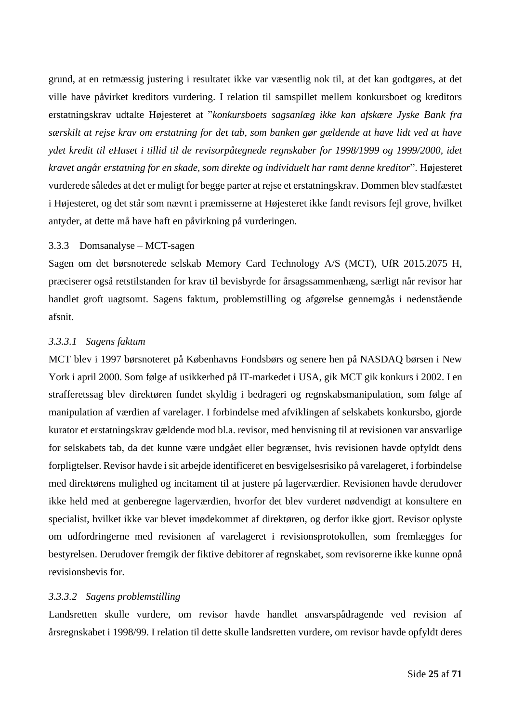grund, at en retmæssig justering i resultatet ikke var væsentlig nok til, at det kan godtgøres, at det ville have påvirket kreditors vurdering. I relation til samspillet mellem konkursboet og kreditors erstatningskrav udtalte Højesteret at "*konkursboets sagsanlæg ikke kan afskære Jyske Bank fra særskilt at rejse krav om erstatning for det tab, som banken gør gældende at have lidt ved at have ydet kredit til eHuset i tillid til de revisorpåtegnede regnskaber for 1998/1999 og 1999/2000, idet kravet angår erstatning for en skade, som direkte og individuelt har ramt denne kreditor*". Højesteret vurderede således at det er muligt for begge parter at rejse et erstatningskrav. Dommen blev stadfæstet i Højesteret, og det står som nævnt i præmisserne at Højesteret ikke fandt revisors fejl grove, hvilket antyder, at dette må have haft en påvirkning på vurderingen.

#### <span id="page-25-0"></span>3.3.3 Domsanalyse – MCT-sagen

Sagen om det børsnoterede selskab Memory Card Technology A/S (MCT), UfR 2015.2075 H, præciserer også retstilstanden for krav til bevisbyrde for årsagssammenhæng, særligt når revisor har handlet groft uagtsomt. Sagens faktum, problemstilling og afgørelse gennemgås i nedenstående afsnit.

#### <span id="page-25-1"></span>*3.3.3.1 Sagens faktum*

MCT blev i 1997 børsnoteret på Københavns Fondsbørs og senere hen på NASDAQ børsen i New York i april 2000. Som følge af usikkerhed på IT-markedet i USA, gik MCT gik konkurs i 2002. I en strafferetssag blev direktøren fundet skyldig i bedrageri og regnskabsmanipulation, som følge af manipulation af værdien af varelager. I forbindelse med afviklingen af selskabets konkursbo, gjorde kurator et erstatningskrav gældende mod bl.a. revisor, med henvisning til at revisionen var ansvarlige for selskabets tab, da det kunne være undgået eller begrænset, hvis revisionen havde opfyldt dens forpligtelser. Revisor havde i sit arbejde identificeret en besvigelsesrisiko på varelageret, i forbindelse med direktørens mulighed og incitament til at justere på lagerværdier. Revisionen havde derudover ikke held med at genberegne lagerværdien, hvorfor det blev vurderet nødvendigt at konsultere en specialist, hvilket ikke var blevet imødekommet af direktøren, og derfor ikke gjort. Revisor oplyste om udfordringerne med revisionen af varelageret i revisionsprotokollen, som fremlægges for bestyrelsen. Derudover fremgik der fiktive debitorer af regnskabet, som revisorerne ikke kunne opnå revisionsbevis for.

#### <span id="page-25-2"></span>*3.3.3.2 Sagens problemstilling*

Landsretten skulle vurdere, om revisor havde handlet ansvarspådragende ved revision af årsregnskabet i 1998/99. I relation til dette skulle landsretten vurdere, om revisor havde opfyldt deres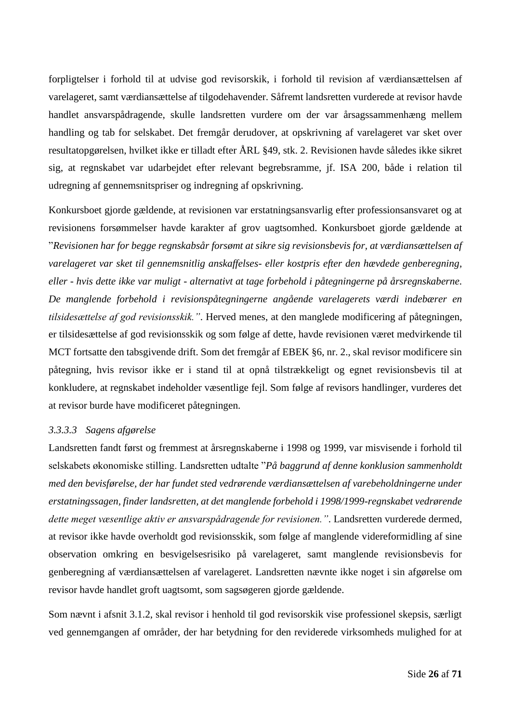forpligtelser i forhold til at udvise god revisorskik, i forhold til revision af værdiansættelsen af varelageret, samt værdiansættelse af tilgodehavender. Såfremt landsretten vurderede at revisor havde handlet ansvarspådragende, skulle landsretten vurdere om der var årsagssammenhæng mellem handling og tab for selskabet. Det fremgår derudover, at opskrivning af varelageret var sket over resultatopgørelsen, hvilket ikke er tilladt efter ÅRL §49, stk. 2. Revisionen havde således ikke sikret sig, at regnskabet var udarbejdet efter relevant begrebsramme, jf. ISA 200, både i relation til udregning af gennemsnitspriser og indregning af opskrivning.

Konkursboet gjorde gældende, at revisionen var erstatningsansvarlig efter professionsansvaret og at revisionens forsømmelser havde karakter af grov uagtsomhed. Konkursboet gjorde gældende at "*Revisionen har for begge regnskabsår forsømt at sikre sig revisionsbevis for, at værdiansættelsen af varelageret var sket til gennemsnitlig anskaffelses- eller kostpris efter den hævdede genberegning, eller - hvis dette ikke var muligt - alternativt at tage forbehold i påtegningerne på årsregnskaberne. De manglende forbehold i revisionspåtegningerne angående varelagerets værdi indebærer en tilsidesættelse af god revisionsskik."*. Herved menes, at den manglede modificering af påtegningen, er tilsidesættelse af god revisionsskik og som følge af dette, havde revisionen været medvirkende til MCT fortsatte den tabsgivende drift. Som det fremgår af EBEK §6, nr. 2., skal revisor modificere sin påtegning, hvis revisor ikke er i stand til at opnå tilstrækkeligt og egnet revisionsbevis til at konkludere, at regnskabet indeholder væsentlige fejl. Som følge af revisors handlinger, vurderes det at revisor burde have modificeret påtegningen.

## <span id="page-26-0"></span>*3.3.3.3 Sagens afgørelse*

Landsretten fandt først og fremmest at årsregnskaberne i 1998 og 1999, var misvisende i forhold til selskabets økonomiske stilling. Landsretten udtalte "*På baggrund af denne konklusion sammenholdt med den bevisførelse, der har fundet sted vedrørende værdiansættelsen af varebeholdningerne under erstatningssagen, finder landsretten, at det manglende forbehold i 1998/1999-regnskabet vedrørende dette meget væsentlige aktiv er ansvarspådragende for revisionen."*. Landsretten vurderede dermed, at revisor ikke havde overholdt god revisionsskik, som følge af manglende videreformidling af sine observation omkring en besvigelsesrisiko på varelageret, samt manglende revisionsbevis for genberegning af værdiansættelsen af varelageret. Landsretten nævnte ikke noget i sin afgørelse om revisor havde handlet groft uagtsomt, som sagsøgeren gjorde gældende.

Som nævnt i afsnit [3.1.2,](#page-11-3) skal revisor i henhold til god revisorskik vise professionel skepsis, særligt ved gennemgangen af områder, der har betydning for den reviderede virksomheds mulighed for at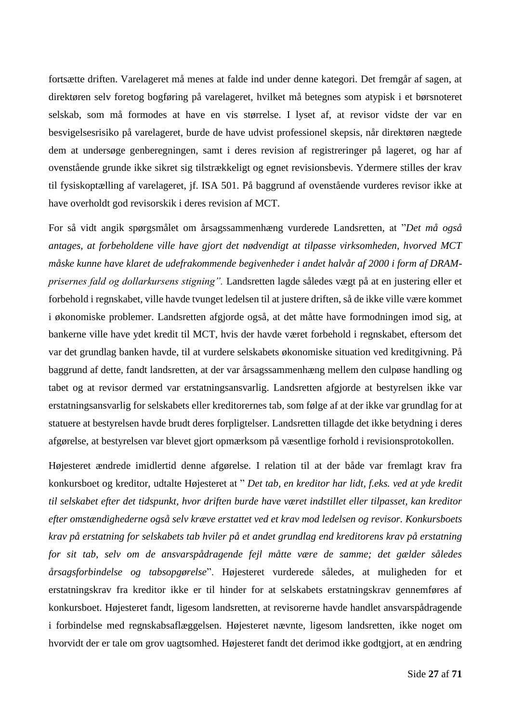fortsætte driften. Varelageret må menes at falde ind under denne kategori. Det fremgår af sagen, at direktøren selv foretog bogføring på varelageret, hvilket må betegnes som atypisk i et børsnoteret selskab, som må formodes at have en vis størrelse. I lyset af, at revisor vidste der var en besvigelsesrisiko på varelageret, burde de have udvist professionel skepsis, når direktøren nægtede dem at undersøge genberegningen, samt i deres revision af registreringer på lageret, og har af ovenstående grunde ikke sikret sig tilstrækkeligt og egnet revisionsbevis. Ydermere stilles der krav til fysiskoptælling af varelageret, jf. ISA 501. På baggrund af ovenstående vurderes revisor ikke at have overholdt god revisorskik i deres revision af MCT.

For så vidt angik spørgsmålet om årsagssammenhæng vurderede Landsretten, at "*Det må også antages, at forbeholdene ville have gjort det nødvendigt at tilpasse virksomheden, hvorved MCT måske kunne have klaret de udefrakommende begivenheder i andet halvår af 2000 i form af DRAMprisernes fald og dollarkursens stigning".* Landsretten lagde således vægt på at en justering eller et forbehold i regnskabet, ville havde tvunget ledelsen til at justere driften, så de ikke ville være kommet i økonomiske problemer. Landsretten afgjorde også, at det måtte have formodningen imod sig, at bankerne ville have ydet kredit til MCT, hvis der havde været forbehold i regnskabet, eftersom det var det grundlag banken havde, til at vurdere selskabets økonomiske situation ved kreditgivning. På baggrund af dette, fandt landsretten, at der var årsagssammenhæng mellem den culpøse handling og tabet og at revisor dermed var erstatningsansvarlig. Landsretten afgjorde at bestyrelsen ikke var erstatningsansvarlig for selskabets eller kreditorernes tab, som følge af at der ikke var grundlag for at statuere at bestyrelsen havde brudt deres forpligtelser. Landsretten tillagde det ikke betydning i deres afgørelse, at bestyrelsen var blevet gjort opmærksom på væsentlige forhold i revisionsprotokollen.

Højesteret ændrede imidlertid denne afgørelse. I relation til at der både var fremlagt krav fra konkursboet og kreditor, udtalte Højesteret at " *Det tab, en kreditor har lidt, f.eks. ved at yde kredit til selskabet efter det tidspunkt, hvor driften burde have været indstillet eller tilpasset, kan kreditor efter omstændighederne også selv kræve erstattet ved et krav mod ledelsen og revisor. Konkursboets krav på erstatning for selskabets tab hviler på et andet grundlag end kreditorens krav på erstatning for sit tab, selv om de ansvarspådragende fejl måtte være de samme; det gælder således årsagsforbindelse og tabsopgørelse*". Højesteret vurderede således, at muligheden for et erstatningskrav fra kreditor ikke er til hinder for at selskabets erstatningskrav gennemføres af konkursboet. Højesteret fandt, ligesom landsretten, at revisorerne havde handlet ansvarspådragende i forbindelse med regnskabsaflæggelsen. Højesteret nævnte, ligesom landsretten, ikke noget om hvorvidt der er tale om grov uagtsomhed. Højesteret fandt det derimod ikke godtgjort, at en ændring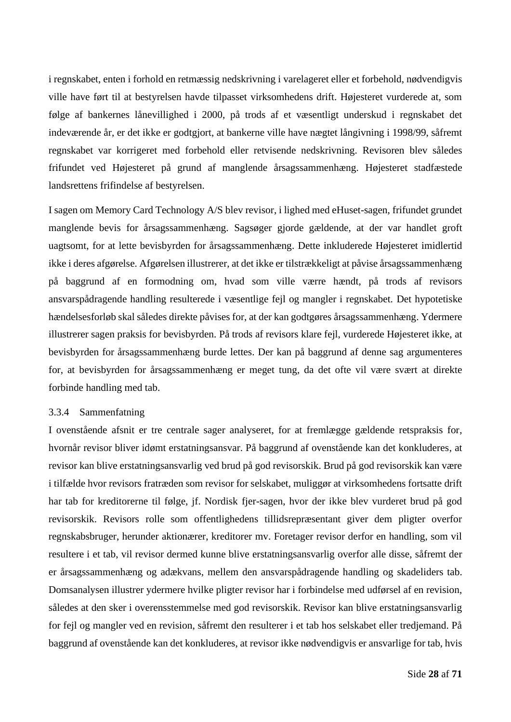i regnskabet, enten i forhold en retmæssig nedskrivning i varelageret eller et forbehold, nødvendigvis ville have ført til at bestyrelsen havde tilpasset virksomhedens drift. Højesteret vurderede at, som følge af bankernes lånevillighed i 2000, på trods af et væsentligt underskud i regnskabet det indeværende år, er det ikke er godtgjort, at bankerne ville have nægtet långivning i 1998/99, såfremt regnskabet var korrigeret med forbehold eller retvisende nedskrivning. Revisoren blev således frifundet ved Højesteret på grund af manglende årsagssammenhæng. Højesteret stadfæstede landsrettens frifindelse af bestyrelsen.

I sagen om Memory Card Technology A/S blev revisor, i lighed med eHuset-sagen, frifundet grundet manglende bevis for årsagssammenhæng. Sagsøger gjorde gældende, at der var handlet groft uagtsomt, for at lette bevisbyrden for årsagssammenhæng. Dette inkluderede Højesteret imidlertid ikke i deres afgørelse. Afgørelsen illustrerer, at det ikke er tilstrækkeligt at påvise årsagssammenhæng på baggrund af en formodning om, hvad som ville værre hændt, på trods af revisors ansvarspådragende handling resulterede i væsentlige fejl og mangler i regnskabet. Det hypotetiske hændelsesforløb skal således direkte påvises for, at der kan godtgøres årsagssammenhæng. Ydermere illustrerer sagen praksis for bevisbyrden. På trods af revisors klare fejl, vurderede Højesteret ikke, at bevisbyrden for årsagssammenhæng burde lettes. Der kan på baggrund af denne sag argumenteres for, at bevisbyrden for årsagssammenhæng er meget tung, da det ofte vil være svært at direkte forbinde handling med tab.

#### <span id="page-28-0"></span>3.3.4 Sammenfatning

I ovenstående afsnit er tre centrale sager analyseret, for at fremlægge gældende retspraksis for, hvornår revisor bliver idømt erstatningsansvar. På baggrund af ovenstående kan det konkluderes, at revisor kan blive erstatningsansvarlig ved brud på god revisorskik. Brud på god revisorskik kan være i tilfælde hvor revisors fratræden som revisor for selskabet, muliggør at virksomhedens fortsatte drift har tab for kreditorerne til følge, jf. Nordisk fjer-sagen, hvor der ikke blev vurderet brud på god revisorskik. Revisors rolle som offentlighedens tillidsrepræsentant giver dem pligter overfor regnskabsbruger, herunder aktionærer, kreditorer mv. Foretager revisor derfor en handling, som vil resultere i et tab, vil revisor dermed kunne blive erstatningsansvarlig overfor alle disse, såfremt der er årsagssammenhæng og adækvans, mellem den ansvarspådragende handling og skadeliders tab. Domsanalysen illustrer ydermere hvilke pligter revisor har i forbindelse med udførsel af en revision, således at den sker i overensstemmelse med god revisorskik. Revisor kan blive erstatningsansvarlig for fejl og mangler ved en revision, såfremt den resulterer i et tab hos selskabet eller tredjemand. På baggrund af ovenstående kan det konkluderes, at revisor ikke nødvendigvis er ansvarlige for tab, hvis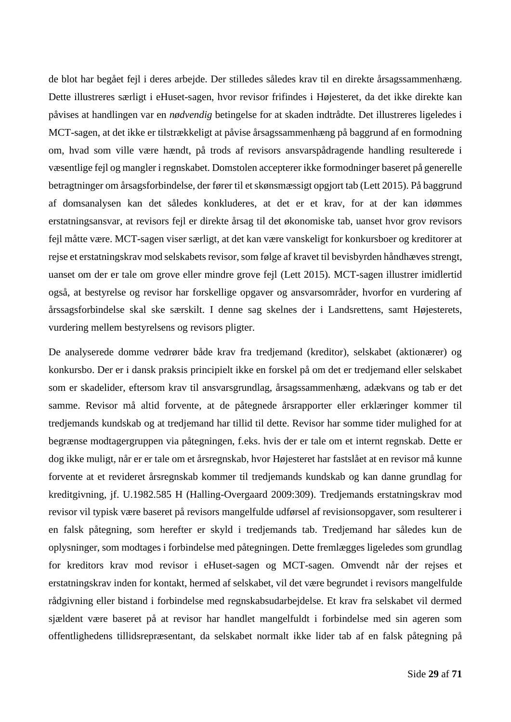de blot har begået fejl i deres arbejde. Der stilledes således krav til en direkte årsagssammenhæng. Dette illustreres særligt i eHuset-sagen, hvor revisor frifindes i Højesteret, da det ikke direkte kan påvises at handlingen var en *nødvendig* betingelse for at skaden indtrådte. Det illustreres ligeledes i MCT-sagen, at det ikke er tilstrækkeligt at påvise årsagssammenhæng på baggrund af en formodning om, hvad som ville være hændt, på trods af revisors ansvarspådragende handling resulterede i væsentlige fejl og mangler i regnskabet. Domstolen accepterer ikke formodninger baseret på generelle betragtninger om årsagsforbindelse, der fører til et skønsmæssigt opgjort tab (Lett 2015). På baggrund af domsanalysen kan det således konkluderes, at det er et krav, for at der kan idømmes erstatningsansvar, at revisors fejl er direkte årsag til det økonomiske tab, uanset hvor grov revisors fejl måtte være. MCT-sagen viser særligt, at det kan være vanskeligt for konkursboer og kreditorer at rejse et erstatningskrav mod selskabets revisor, som følge af kravet til bevisbyrden håndhæves strengt, uanset om der er tale om grove eller mindre grove fejl (Lett 2015). MCT-sagen illustrer imidlertid også, at bestyrelse og revisor har forskellige opgaver og ansvarsområder, hvorfor en vurdering af årssagsforbindelse skal ske særskilt. I denne sag skelnes der i Landsrettens, samt Højesterets, vurdering mellem bestyrelsens og revisors pligter.

De analyserede domme vedrører både krav fra tredjemand (kreditor), selskabet (aktionærer) og konkursbo. Der er i dansk praksis principielt ikke en forskel på om det er tredjemand eller selskabet som er skadelider, eftersom krav til ansvarsgrundlag, årsagssammenhæng, adækvans og tab er det samme. Revisor må altid forvente, at de påtegnede årsrapporter eller erklæringer kommer til tredjemands kundskab og at tredjemand har tillid til dette. Revisor har somme tider mulighed for at begrænse modtagergruppen via påtegningen, f.eks. hvis der er tale om et internt regnskab. Dette er dog ikke muligt, når er er tale om et årsregnskab, hvor Højesteret har fastslået at en revisor må kunne forvente at et revideret årsregnskab kommer til tredjemands kundskab og kan danne grundlag for kreditgivning, jf. U.1982.585 H (Halling-Overgaard 2009:309). Tredjemands erstatningskrav mod revisor vil typisk være baseret på revisors mangelfulde udførsel af revisionsopgaver, som resulterer i en falsk påtegning, som herefter er skyld i tredjemands tab. Tredjemand har således kun de oplysninger, som modtages i forbindelse med påtegningen. Dette fremlægges ligeledes som grundlag for kreditors krav mod revisor i eHuset-sagen og MCT-sagen. Omvendt når der rejses et erstatningskrav inden for kontakt, hermed af selskabet, vil det være begrundet i revisors mangelfulde rådgivning eller bistand i forbindelse med regnskabsudarbejdelse. Et krav fra selskabet vil dermed sjældent være baseret på at revisor har handlet mangelfuldt i forbindelse med sin ageren som offentlighedens tillidsrepræsentant, da selskabet normalt ikke lider tab af en falsk påtegning på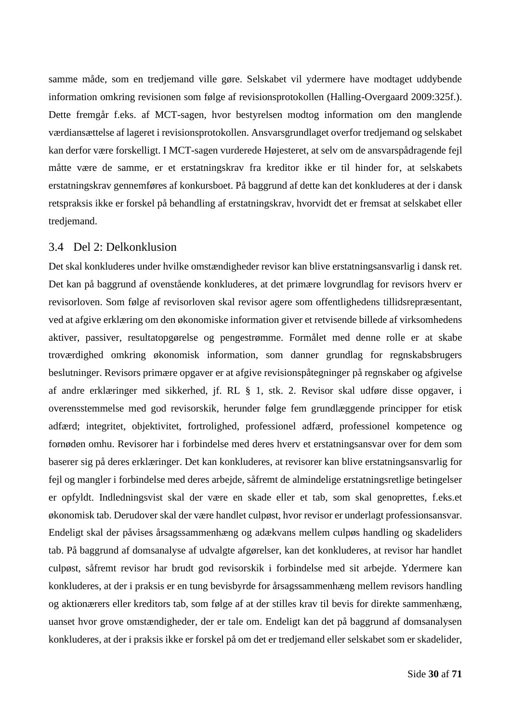samme måde, som en tredjemand ville gøre. Selskabet vil ydermere have modtaget uddybende information omkring revisionen som følge af revisionsprotokollen (Halling-Overgaard 2009:325f.). Dette fremgår f.eks. af MCT-sagen, hvor bestyrelsen modtog information om den manglende værdiansættelse af lageret i revisionsprotokollen. Ansvarsgrundlaget overfor tredjemand og selskabet kan derfor være forskelligt. I MCT-sagen vurderede Højesteret, at selv om de ansvarspådragende fejl måtte være de samme, er et erstatningskrav fra kreditor ikke er til hinder for, at selskabets erstatningskrav gennemføres af konkursboet. På baggrund af dette kan det konkluderes at der i dansk retspraksis ikke er forskel på behandling af erstatningskrav, hvorvidt det er fremsat at selskabet eller tredjemand.

## <span id="page-30-0"></span>3.4 Del 2: Delkonklusion

Det skal konkluderes under hvilke omstændigheder revisor kan blive erstatningsansvarlig i dansk ret. Det kan på baggrund af ovenstående konkluderes, at det primære lovgrundlag for revisors hverv er revisorloven. Som følge af revisorloven skal revisor agere som offentlighedens tillidsrepræsentant, ved at afgive erklæring om den økonomiske information giver et retvisende billede af virksomhedens aktiver, passiver, resultatopgørelse og pengestrømme. Formålet med denne rolle er at skabe troværdighed omkring økonomisk information, som danner grundlag for regnskabsbrugers beslutninger. Revisors primære opgaver er at afgive revisionspåtegninger på regnskaber og afgivelse af andre erklæringer med sikkerhed, jf. RL § 1, stk. 2. Revisor skal udføre disse opgaver, i overensstemmelse med god revisorskik, herunder følge fem grundlæggende principper for etisk adfærd; integritet, objektivitet, fortrolighed, professionel adfærd, professionel kompetence og fornøden omhu. Revisorer har i forbindelse med deres hverv et erstatningsansvar over for dem som baserer sig på deres erklæringer. Det kan konkluderes, at revisorer kan blive erstatningsansvarlig for fejl og mangler i forbindelse med deres arbejde, såfremt de almindelige erstatningsretlige betingelser er opfyldt. Indledningsvist skal der være en skade eller et tab, som skal genoprettes, f.eks.et økonomisk tab. Derudover skal der være handlet culpøst, hvor revisor er underlagt professionsansvar. Endeligt skal der påvises årsagssammenhæng og adækvans mellem culpøs handling og skadeliders tab. På baggrund af domsanalyse af udvalgte afgørelser, kan det konkluderes, at revisor har handlet culpøst, såfremt revisor har brudt god revisorskik i forbindelse med sit arbejde. Ydermere kan konkluderes, at der i praksis er en tung bevisbyrde for årsagssammenhæng mellem revisors handling og aktionærers eller kreditors tab, som følge af at der stilles krav til bevis for direkte sammenhæng, uanset hvor grove omstændigheder, der er tale om. Endeligt kan det på baggrund af domsanalysen konkluderes, at der i praksis ikke er forskel på om det er tredjemand eller selskabet som er skadelider,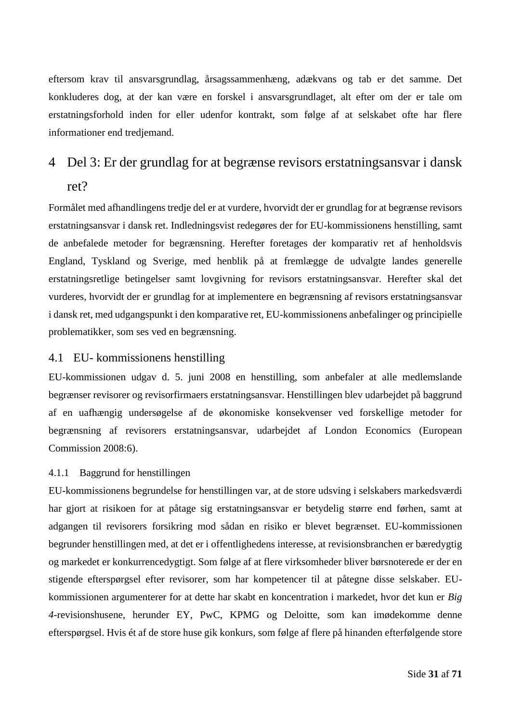eftersom krav til ansvarsgrundlag, årsagssammenhæng, adækvans og tab er det samme. Det konkluderes dog, at der kan være en forskel i ansvarsgrundlaget, alt efter om der er tale om erstatningsforhold inden for eller udenfor kontrakt, som følge af at selskabet ofte har flere informationer end tredjemand.

# <span id="page-31-0"></span>4 Del 3: Er der grundlag for at begrænse revisors erstatningsansvar i dansk

# ret?

Formålet med afhandlingens tredje del er at vurdere, hvorvidt der er grundlag for at begrænse revisors erstatningsansvar i dansk ret. Indledningsvist redegøres der for EU-kommissionens henstilling, samt de anbefalede metoder for begrænsning. Herefter foretages der komparativ ret af henholdsvis England, Tyskland og Sverige, med henblik på at fremlægge de udvalgte landes generelle erstatningsretlige betingelser samt lovgivning for revisors erstatningsansvar. Herefter skal det vurderes, hvorvidt der er grundlag for at implementere en begrænsning af revisors erstatningsansvar i dansk ret, med udgangspunkt i den komparative ret, EU-kommissionens anbefalinger og principielle problematikker, som ses ved en begrænsning.

# <span id="page-31-1"></span>4.1 EU- kommissionens henstilling

EU-kommissionen udgav d. 5. juni 2008 en henstilling, som anbefaler at alle medlemslande begrænser revisorer og revisorfirmaers erstatningsansvar. Henstillingen blev udarbejdet på baggrund af en uafhængig undersøgelse af de økonomiske konsekvenser ved forskellige metoder for begrænsning af revisorers erstatningsansvar, udarbejdet af London Economics (European Commission 2008:6).

# <span id="page-31-2"></span>4.1.1 Baggrund for henstillingen

EU-kommissionens begrundelse for henstillingen var, at de store udsving i selskabers markedsværdi har gjort at risikoen for at påtage sig erstatningsansvar er betydelig større end førhen, samt at adgangen til revisorers forsikring mod sådan en risiko er blevet begrænset. EU-kommissionen begrunder henstillingen med, at det er i offentlighedens interesse, at revisionsbranchen er bæredygtig og markedet er konkurrencedygtigt. Som følge af at flere virksomheder bliver børsnoterede er der en stigende efterspørgsel efter revisorer, som har kompetencer til at påtegne disse selskaber. EUkommissionen argumenterer for at dette har skabt en koncentration i markedet, hvor det kun er *Big 4-*revisionshusene, herunder EY, PwC, KPMG og Deloitte, som kan imødekomme denne efterspørgsel. Hvis ét af de store huse gik konkurs, som følge af flere på hinanden efterfølgende store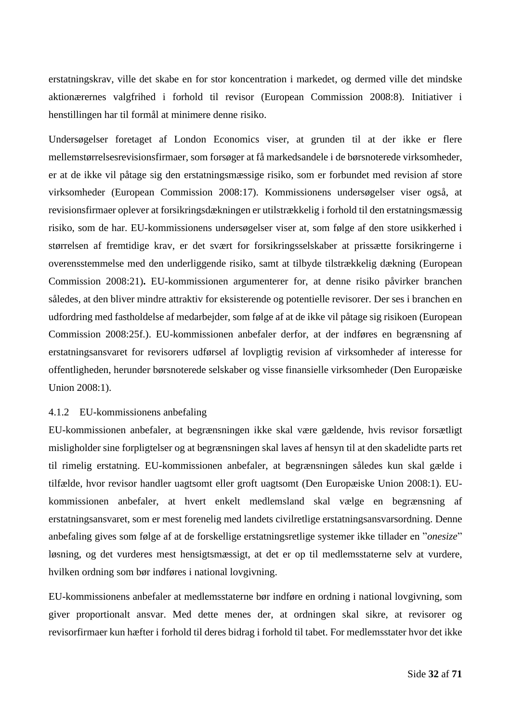erstatningskrav, ville det skabe en for stor koncentration i markedet, og dermed ville det mindske aktionærernes valgfrihed i forhold til revisor (European Commission 2008:8). Initiativer i henstillingen har til formål at minimere denne risiko.

Undersøgelser foretaget af London Economics viser, at grunden til at der ikke er flere mellemstørrelsesrevisionsfirmaer, som forsøger at få markedsandele i de børsnoterede virksomheder, er at de ikke vil påtage sig den erstatningsmæssige risiko, som er forbundet med revision af store virksomheder (European Commission 2008:17). Kommissionens undersøgelser viser også, at revisionsfirmaer oplever at forsikringsdækningen er utilstrækkelig i forhold til den erstatningsmæssig risiko, som de har. EU-kommissionens undersøgelser viser at, som følge af den store usikkerhed i størrelsen af fremtidige krav, er det svært for forsikringsselskaber at prissætte forsikringerne i overensstemmelse med den underliggende risiko, samt at tilbyde tilstrækkelig dækning (European Commission 2008:21)**.** EU-kommissionen argumenterer for, at denne risiko påvirker branchen således, at den bliver mindre attraktiv for eksisterende og potentielle revisorer. Der ses i branchen en udfordring med fastholdelse af medarbejder, som følge af at de ikke vil påtage sig risikoen (European Commission 2008:25f.). EU-kommissionen anbefaler derfor, at der indføres en begrænsning af erstatningsansvaret for revisorers udførsel af lovpligtig revision af virksomheder af interesse for offentligheden, herunder børsnoterede selskaber og visse finansielle virksomheder (Den Europæiske Union 2008:1).

## <span id="page-32-0"></span>4.1.2 EU-kommissionens anbefaling

EU-kommissionen anbefaler, at begrænsningen ikke skal være gældende, hvis revisor forsætligt misligholder sine forpligtelser og at begrænsningen skal laves af hensyn til at den skadelidte parts ret til rimelig erstatning. EU-kommissionen anbefaler, at begrænsningen således kun skal gælde i tilfælde, hvor revisor handler uagtsomt eller groft uagtsomt (Den Europæiske Union 2008:1). EUkommissionen anbefaler, at hvert enkelt medlemsland skal vælge en begrænsning af erstatningsansvaret, som er mest forenelig med landets civilretlige erstatningsansvarsordning. Denne anbefaling gives som følge af at de forskellige erstatningsretlige systemer ikke tillader en "*onesize*" løsning, og det vurderes mest hensigtsmæssigt, at det er op til medlemsstaterne selv at vurdere, hvilken ordning som bør indføres i national lovgivning.

EU-kommissionens anbefaler at medlemsstaterne bør indføre en ordning i national lovgivning, som giver proportionalt ansvar. Med dette menes der, at ordningen skal sikre, at revisorer og revisorfirmaer kun hæfter i forhold til deres bidrag i forhold til tabet. For medlemsstater hvor det ikke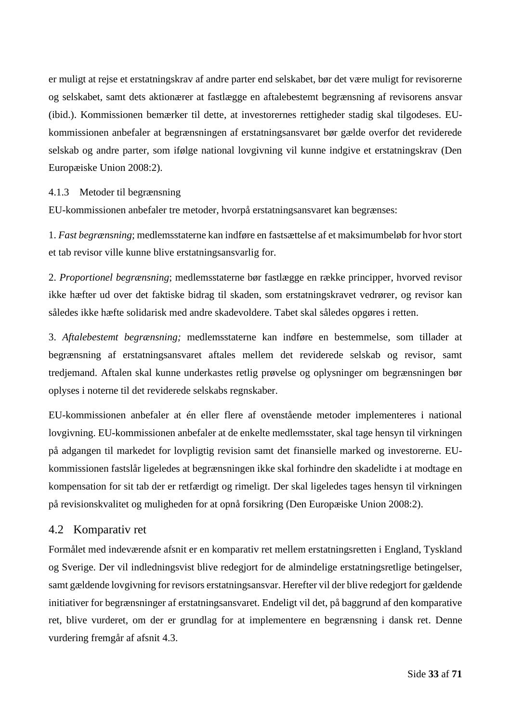er muligt at rejse et erstatningskrav af andre parter end selskabet, bør det være muligt for revisorerne og selskabet, samt dets aktionærer at fastlægge en aftalebestemt begrænsning af revisorens ansvar (ibid.). Kommissionen bemærker til dette, at investorernes rettigheder stadig skal tilgodeses. EUkommissionen anbefaler at begrænsningen af erstatningsansvaret bør gælde overfor det reviderede selskab og andre parter, som ifølge national lovgivning vil kunne indgive et erstatningskrav (Den Europæiske Union 2008:2).

## <span id="page-33-0"></span>4.1.3 Metoder til begrænsning

EU-kommissionen anbefaler tre metoder, hvorpå erstatningsansvaret kan begrænses:

1. *Fast begrænsning*; medlemsstaterne kan indføre en fastsættelse af et maksimumbeløb for hvor stort et tab revisor ville kunne blive erstatningsansvarlig for.

2. *Proportionel begrænsning*; medlemsstaterne bør fastlægge en række principper, hvorved revisor ikke hæfter ud over det faktiske bidrag til skaden, som erstatningskravet vedrører, og revisor kan således ikke hæfte solidarisk med andre skadevoldere. Tabet skal således opgøres i retten.

3. *Aftalebestemt begrænsning;* medlemsstaterne kan indføre en bestemmelse, som tillader at begrænsning af erstatningsansvaret aftales mellem det reviderede selskab og revisor, samt tredjemand. Aftalen skal kunne underkastes retlig prøvelse og oplysninger om begrænsningen bør oplyses i noterne til det reviderede selskabs regnskaber.

EU-kommissionen anbefaler at én eller flere af ovenstående metoder implementeres i national lovgivning. EU-kommissionen anbefaler at de enkelte medlemsstater, skal tage hensyn til virkningen på adgangen til markedet for lovpligtig revision samt det finansielle marked og investorerne. EUkommissionen fastslår ligeledes at begrænsningen ikke skal forhindre den skadelidte i at modtage en kompensation for sit tab der er retfærdigt og rimeligt. Der skal ligeledes tages hensyn til virkningen på revisionskvalitet og muligheden for at opnå forsikring (Den Europæiske Union 2008:2).

# <span id="page-33-1"></span>4.2 Komparativ ret

Formålet med indeværende afsnit er en komparativ ret mellem erstatningsretten i England, Tyskland og Sverige. Der vil indledningsvist blive redegjort for de almindelige erstatningsretlige betingelser, samt gældende lovgivning for revisors erstatningsansvar. Herefter vil der blive redegjort for gældende initiativer for begrænsninger af erstatningsansvaret. Endeligt vil det, på baggrund af den komparative ret, blive vurderet, om der er grundlag for at implementere en begrænsning i dansk ret. Denne vurdering fremgår af afsnit [4.3.](#page-47-0)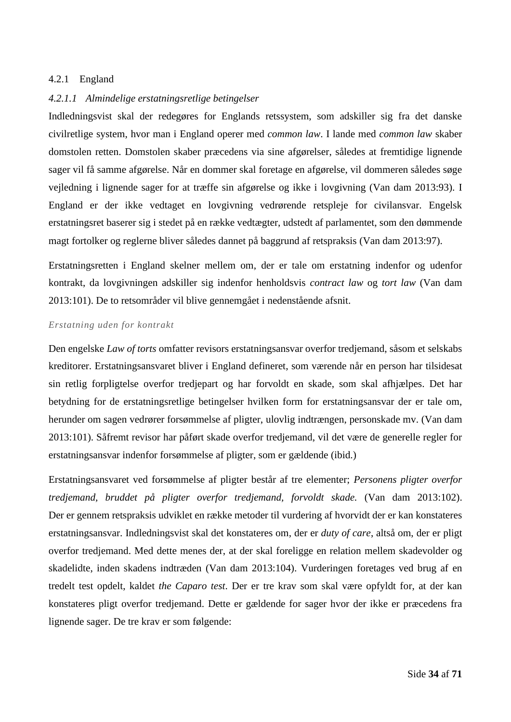## <span id="page-34-0"></span>4.2.1 England

## <span id="page-34-1"></span>*4.2.1.1 Almindelige erstatningsretlige betingelser*

Indledningsvist skal der redegøres for Englands retssystem, som adskiller sig fra det danske civilretlige system, hvor man i England operer med *common law*. I lande med *common law* skaber domstolen retten. Domstolen skaber præcedens via sine afgørelser, således at fremtidige lignende sager vil få samme afgørelse. Når en dommer skal foretage en afgørelse, vil dommeren således søge vejledning i lignende sager for at træffe sin afgørelse og ikke i lovgivning (Van dam 2013:93). I England er der ikke vedtaget en lovgivning vedrørende retspleje for civilansvar. Engelsk erstatningsret baserer sig i stedet på en række vedtægter, udstedt af parlamentet, som den dømmende magt fortolker og reglerne bliver således dannet på baggrund af retspraksis (Van dam 2013:97).

Erstatningsretten i England skelner mellem om, der er tale om erstatning indenfor og udenfor kontrakt, da lovgivningen adskiller sig indenfor henholdsvis *contract law* og *tort law* (Van dam 2013:101). De to retsområder vil blive gennemgået i nedenstående afsnit.

#### *Erstatning uden for kontrakt*

Den engelske *Law of torts* omfatter revisors erstatningsansvar overfor tredjemand, såsom et selskabs kreditorer. Erstatningsansvaret bliver i England defineret, som værende når en person har tilsidesat sin retlig forpligtelse overfor tredjepart og har forvoldt en skade, som skal afhjælpes. Det har betydning for de erstatningsretlige betingelser hvilken form for erstatningsansvar der er tale om, herunder om sagen vedrører forsømmelse af pligter, ulovlig indtrængen, personskade mv. (Van dam 2013:101). Såfremt revisor har påført skade overfor tredjemand, vil det være de generelle regler for erstatningsansvar indenfor forsømmelse af pligter, som er gældende (ibid.)

Erstatningsansvaret ved forsømmelse af pligter består af tre elementer; *Personens pligter overfor tredjemand, bruddet på pligter overfor tredjemand, forvoldt skade.* (Van dam 2013:102). Der er gennem retspraksis udviklet en række metoder til vurdering af hvorvidt der er kan konstateres erstatningsansvar. Indledningsvist skal det konstateres om, der er *duty of care*, altså om, der er pligt overfor tredjemand. Med dette menes der, at der skal foreligge en relation mellem skadevolder og skadelidte, inden skadens indtræden (Van dam 2013:104). Vurderingen foretages ved brug af en tredelt test opdelt, kaldet *the Caparo test*. Der er tre krav som skal være opfyldt for, at der kan konstateres pligt overfor tredjemand. Dette er gældende for sager hvor der ikke er præcedens fra lignende sager. De tre krav er som følgende: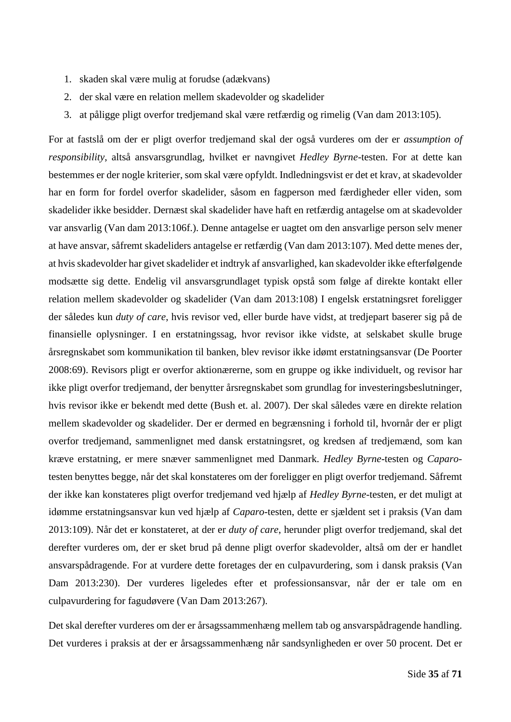- 1. skaden skal være mulig at forudse (adækvans)
- 2. der skal være en relation mellem skadevolder og skadelider
- 3. at påligge pligt overfor tredjemand skal være retfærdig og rimelig (Van dam 2013:105).

For at fastslå om der er pligt overfor tredjemand skal der også vurderes om der er *assumption of responsibility*, altså ansvarsgrundlag, hvilket er navngivet *Hedley Byrne*-testen. For at dette kan bestemmes er der nogle kriterier, som skal være opfyldt. Indledningsvist er det et krav, at skadevolder har en form for fordel overfor skadelider, såsom en fagperson med færdigheder eller viden, som skadelider ikke besidder. Dernæst skal skadelider have haft en retfærdig antagelse om at skadevolder var ansvarlig (Van dam 2013:106f.). Denne antagelse er uagtet om den ansvarlige person selv mener at have ansvar, såfremt skadeliders antagelse er retfærdig (Van dam 2013:107). Med dette menes der, at hvis skadevolder har givet skadelider et indtryk af ansvarlighed, kan skadevolder ikke efterfølgende modsætte sig dette. Endelig vil ansvarsgrundlaget typisk opstå som følge af direkte kontakt eller relation mellem skadevolder og skadelider (Van dam 2013:108) I engelsk erstatningsret foreligger der således kun *duty of care*, hvis revisor ved, eller burde have vidst, at tredjepart baserer sig på de finansielle oplysninger. I en erstatningssag, hvor revisor ikke vidste, at selskabet skulle bruge årsregnskabet som kommunikation til banken, blev revisor ikke idømt erstatningsansvar (De Poorter 2008:69). Revisors pligt er overfor aktionærerne, som en gruppe og ikke individuelt, og revisor har ikke pligt overfor tredjemand, der benytter årsregnskabet som grundlag for investeringsbeslutninger, hvis revisor ikke er bekendt med dette (Bush et. al. 2007). Der skal således være en direkte relation mellem skadevolder og skadelider. Der er dermed en begrænsning i forhold til, hvornår der er pligt overfor tredjemand, sammenlignet med dansk erstatningsret, og kredsen af tredjemænd, som kan kræve erstatning, er mere snæver sammenlignet med Danmark. *Hedley Byrne*-testen og *Caparo*testen benyttes begge, når det skal konstateres om der foreligger en pligt overfor tredjemand. Såfremt der ikke kan konstateres pligt overfor tredjemand ved hjælp af *Hedley Byrne*-testen, er det muligt at idømme erstatningsansvar kun ved hjælp af *Caparo*-testen, dette er sjældent set i praksis (Van dam 2013:109). Når det er konstateret, at der er *duty of care*, herunder pligt overfor tredjemand, skal det derefter vurderes om, der er sket brud på denne pligt overfor skadevolder, altså om der er handlet ansvarspådragende. For at vurdere dette foretages der en culpavurdering, som i dansk praksis (Van Dam 2013:230). Der vurderes ligeledes efter et professionsansvar, når der er tale om en culpavurdering for fagudøvere (Van Dam 2013:267).

Det skal derefter vurderes om der er årsagssammenhæng mellem tab og ansvarspådragende handling. Det vurderes i praksis at der er årsagssammenhæng når sandsynligheden er over 50 procent. Det er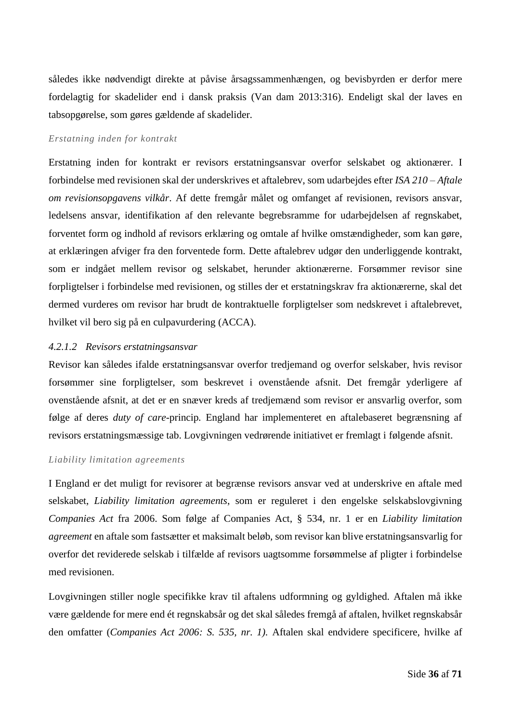således ikke nødvendigt direkte at påvise årsagssammenhængen, og bevisbyrden er derfor mere fordelagtig for skadelider end i dansk praksis (Van dam 2013:316). Endeligt skal der laves en tabsopgørelse, som gøres gældende af skadelider.

#### *Erstatning inden for kontrakt*

Erstatning inden for kontrakt er revisors erstatningsansvar overfor selskabet og aktionærer. I forbindelse med revisionen skal der underskrives et aftalebrev, som udarbejdes efter *ISA 210 – Aftale om revisionsopgavens vilkår*. Af dette fremgår målet og omfanget af revisionen, revisors ansvar, ledelsens ansvar, identifikation af den relevante begrebsramme for udarbejdelsen af regnskabet, forventet form og indhold af revisors erklæring og omtale af hvilke omstændigheder, som kan gøre, at erklæringen afviger fra den forventede form. Dette aftalebrev udgør den underliggende kontrakt, som er indgået mellem revisor og selskabet, herunder aktionærerne. Forsømmer revisor sine forpligtelser i forbindelse med revisionen, og stilles der et erstatningskrav fra aktionærerne, skal det dermed vurderes om revisor har brudt de kontraktuelle forpligtelser som nedskrevet i aftalebrevet, hvilket vil bero sig på en culpavurdering (ACCA).

## <span id="page-36-0"></span>*4.2.1.2 Revisors erstatningsansvar*

Revisor kan således ifalde erstatningsansvar overfor tredjemand og overfor selskaber, hvis revisor forsømmer sine forpligtelser, som beskrevet i ovenstående afsnit. Det fremgår yderligere af ovenstående afsnit, at det er en snæver kreds af tredjemænd som revisor er ansvarlig overfor, som følge af deres *duty of care-*princip*.* England har implementeret en aftalebaseret begrænsning af revisors erstatningsmæssige tab. Lovgivningen vedrørende initiativet er fremlagt i følgende afsnit.

#### *Liability limitation agreements*

I England er det muligt for revisorer at begrænse revisors ansvar ved at underskrive en aftale med selskabet, *Liability limitation agreements*, som er reguleret i den engelske selskabslovgivning *Companies Act* fra 2006. Som følge af Companies Act, § 534, nr. 1 er en *Liability limitation agreement* en aftale som fastsætter et maksimalt beløb, som revisor kan blive erstatningsansvarlig for overfor det reviderede selskab i tilfælde af revisors uagtsomme forsømmelse af pligter i forbindelse med revisionen.

Lovgivningen stiller nogle specifikke krav til aftalens udformning og gyldighed. Aftalen må ikke være gældende for mere end ét regnskabsår og det skal således fremgå af aftalen, hvilket regnskabsår den omfatter (*Companies Act 2006: S. 535, nr. 1).* Aftalen skal endvidere specificere, hvilke af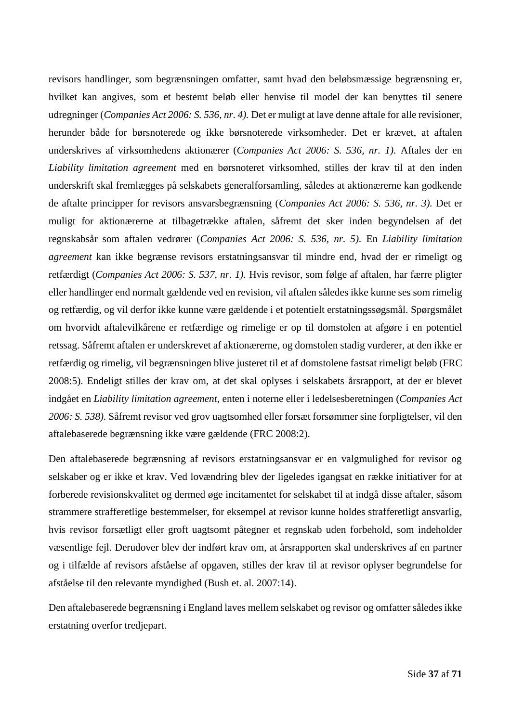revisors handlinger, som begrænsningen omfatter, samt hvad den beløbsmæssige begrænsning er, hvilket kan angives, som et bestemt beløb eller henvise til model der kan benyttes til senere udregninger (*Companies Act 2006: S. 536, nr. 4).* Det er muligt at lave denne aftale for alle revisioner, herunder både for børsnoterede og ikke børsnoterede virksomheder. Det er krævet, at aftalen underskrives af virksomhedens aktionærer (*Companies Act 2006: S. 536, nr. 1).* Aftales der en *Liability limitation agreement* med en børsnoteret virksomhed, stilles der krav til at den inden underskrift skal fremlægges på selskabets generalforsamling, således at aktionærerne kan godkende de aftalte principper for revisors ansvarsbegrænsning (*Companies Act 2006: S. 536, nr. 3).* Det er muligt for aktionærerne at tilbagetrække aftalen, såfremt det sker inden begyndelsen af det regnskabsår som aftalen vedrører (*Companies Act 2006: S. 536, nr. 5).* En *Liability limitation agreement* kan ikke begrænse revisors erstatningsansvar til mindre end, hvad der er rimeligt og retfærdigt (*Companies Act 2006: S. 537, nr. 1).* Hvis revisor, som følge af aftalen, har færre pligter eller handlinger end normalt gældende ved en revision, vil aftalen således ikke kunne ses som rimelig og retfærdig, og vil derfor ikke kunne være gældende i et potentielt erstatningssøgsmål. Spørgsmålet om hvorvidt aftalevilkårene er retfærdige og rimelige er op til domstolen at afgøre i en potentiel retssag. Såfremt aftalen er underskrevet af aktionærerne, og domstolen stadig vurderer, at den ikke er retfærdig og rimelig, vil begrænsningen blive justeret til et af domstolene fastsat rimeligt beløb (FRC 2008:5). Endeligt stilles der krav om, at det skal oplyses i selskabets årsrapport, at der er blevet indgået en *Liability limitation agreement,* enten i noterne eller i ledelsesberetningen (*Companies Act 2006: S. 538).* Såfremt revisor ved grov uagtsomhed eller forsæt forsømmer sine forpligtelser, vil den aftalebaserede begrænsning ikke være gældende (FRC 2008:2).

Den aftalebaserede begrænsning af revisors erstatningsansvar er en valgmulighed for revisor og selskaber og er ikke et krav. Ved lovændring blev der ligeledes igangsat en række initiativer for at forberede revisionskvalitet og dermed øge incitamentet for selskabet til at indgå disse aftaler, såsom strammere strafferetlige bestemmelser, for eksempel at revisor kunne holdes strafferetligt ansvarlig, hvis revisor forsætligt eller groft uagtsomt påtegner et regnskab uden forbehold, som indeholder væsentlige fejl. Derudover blev der indført krav om, at årsrapporten skal underskrives af en partner og i tilfælde af revisors afståelse af opgaven, stilles der krav til at revisor oplyser begrundelse for afståelse til den relevante myndighed (Bush et. al. 2007:14).

Den aftalebaserede begrænsning i England laves mellem selskabet og revisor og omfatter således ikke erstatning overfor tredjepart.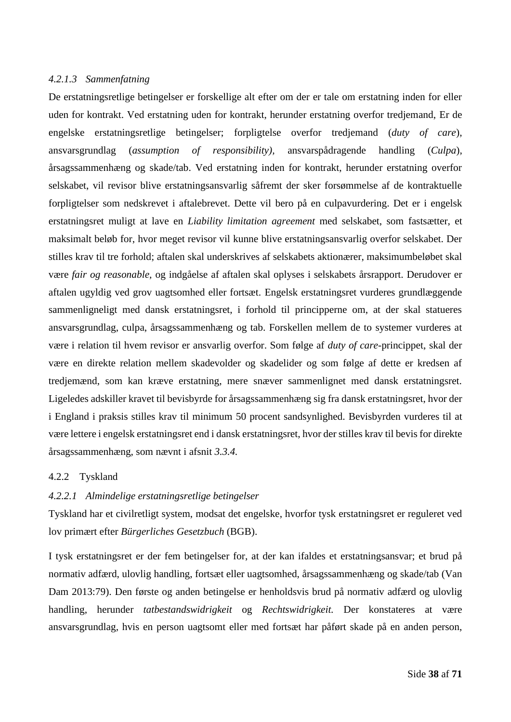## *4.2.1.3 Sammenfatning*

De erstatningsretlige betingelser er forskellige alt efter om der er tale om erstatning inden for eller uden for kontrakt. Ved erstatning uden for kontrakt, herunder erstatning overfor tredjemand, Er de engelske erstatningsretlige betingelser; forpligtelse overfor tredjemand (*duty of care*), ansvarsgrundlag (*assumption of responsibility),* ansvarspådragende handling (*Culpa*), årsagssammenhæng og skade/tab. Ved erstatning inden for kontrakt, herunder erstatning overfor selskabet, vil revisor blive erstatningsansvarlig såfremt der sker forsømmelse af de kontraktuelle forpligtelser som nedskrevet i aftalebrevet. Dette vil bero på en culpavurdering. Det er i engelsk erstatningsret muligt at lave en *Liability limitation agreement* med selskabet, som fastsætter, et maksimalt beløb for, hvor meget revisor vil kunne blive erstatningsansvarlig overfor selskabet. Der stilles krav til tre forhold; aftalen skal underskrives af selskabets aktionærer, maksimumbeløbet skal være *fair og reasonable,* og indgåelse af aftalen skal oplyses i selskabets årsrapport. Derudover er aftalen ugyldig ved grov uagtsomhed eller fortsæt. Engelsk erstatningsret vurderes grundlæggende sammenligneligt med dansk erstatningsret, i forhold til principperne om, at der skal statueres ansvarsgrundlag, culpa, årsagssammenhæng og tab. Forskellen mellem de to systemer vurderes at være i relation til hvem revisor er ansvarlig overfor. Som følge af *duty of care*-princippet, skal der være en direkte relation mellem skadevolder og skadelider og som følge af dette er kredsen af tredjemænd, som kan kræve erstatning, mere snæver sammenlignet med dansk erstatningsret. Ligeledes adskiller kravet til bevisbyrde for årsagssammenhæng sig fra dansk erstatningsret, hvor der i England i praksis stilles krav til minimum 50 procent sandsynlighed. Bevisbyrden vurderes til at være lettere i engelsk erstatningsret end i dansk erstatningsret, hvor der stilles krav til bevis for direkte årsagssammenhæng, som nævnt i afsnit *[3.3.4.](#page-28-0)*

## <span id="page-38-0"></span>4.2.2 Tyskland

## *4.2.2.1 Almindelige erstatningsretlige betingelser*

Tyskland har et civilretligt system, modsat det engelske, hvorfor tysk erstatningsret er reguleret ved lov primært efter *Bürgerliches Gesetzbuch* (BGB).

I tysk erstatningsret er der fem betingelser for, at der kan ifaldes et erstatningsansvar; et brud på normativ adfærd, ulovlig handling, fortsæt eller uagtsomhed, årsagssammenhæng og skade/tab (Van Dam 2013:79). Den første og anden betingelse er henholdsvis brud på normativ adfærd og ulovlig handling, herunder *tatbestandswidrigkeit* og *Rechtswidrigkeit.* Der konstateres at være ansvarsgrundlag, hvis en person uagtsomt eller med fortsæt har påført skade på en anden person,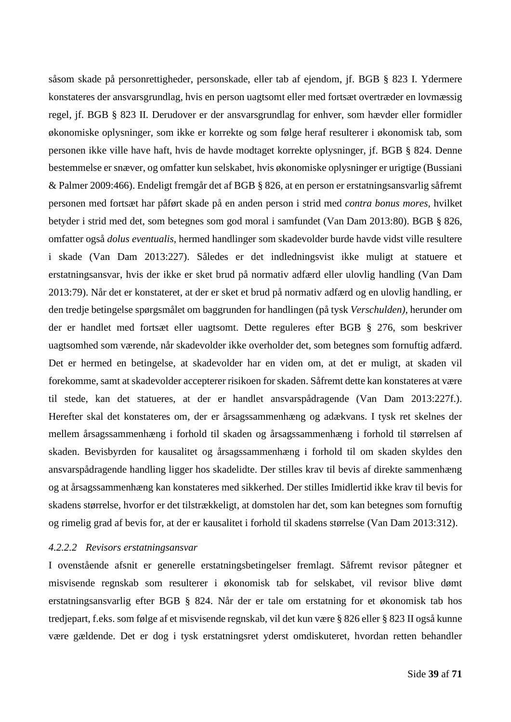såsom skade på personrettigheder, personskade, eller tab af ejendom, jf. BGB § 823 I. Ydermere konstateres der ansvarsgrundlag, hvis en person uagtsomt eller med fortsæt overtræder en lovmæssig regel, jf. BGB § 823 II. Derudover er der ansvarsgrundlag for enhver, som hævder eller formidler økonomiske oplysninger, som ikke er korrekte og som følge heraf resulterer i økonomisk tab, som personen ikke ville have haft, hvis de havde modtaget korrekte oplysninger, jf. BGB § 824. Denne bestemmelse er snæver, og omfatter kun selskabet, hvis økonomiske oplysninger er urigtige (Bussiani & Palmer 2009:466). Endeligt fremgår det af BGB § 826, at en person er erstatningsansvarlig såfremt personen med fortsæt har påført skade på en anden person i strid med *contra bonus mores,* hvilket betyder i strid med det, som betegnes som god moral i samfundet (Van Dam 2013:80). BGB § 826, omfatter også *dolus eventualis*, hermed handlinger som skadevolder burde havde vidst ville resultere i skade (Van Dam 2013:227). Således er det indledningsvist ikke muligt at statuere et erstatningsansvar, hvis der ikke er sket brud på normativ adfærd eller ulovlig handling (Van Dam 2013:79). Når det er konstateret, at der er sket et brud på normativ adfærd og en ulovlig handling, er den tredje betingelse spørgsmålet om baggrunden for handlingen (på tysk *Verschulden)*, herunder om der er handlet med fortsæt eller uagtsomt. Dette reguleres efter BGB § 276, som beskriver uagtsomhed som værende, når skadevolder ikke overholder det, som betegnes som fornuftig adfærd. Det er hermed en betingelse, at skadevolder har en viden om, at det er muligt, at skaden vil forekomme, samt at skadevolder accepterer risikoen for skaden. Såfremt dette kan konstateres at være til stede, kan det statueres, at der er handlet ansvarspådragende (Van Dam 2013:227f.). Herefter skal det konstateres om, der er årsagssammenhæng og adækvans. I tysk ret skelnes der mellem årsagssammenhæng i forhold til skaden og årsagssammenhæng i forhold til størrelsen af skaden. Bevisbyrden for kausalitet og årsagssammenhæng i forhold til om skaden skyldes den ansvarspådragende handling ligger hos skadelidte. Der stilles krav til bevis af direkte sammenhæng og at årsagssammenhæng kan konstateres med sikkerhed. Der stilles Imidlertid ikke krav til bevis for skadens størrelse, hvorfor er det tilstrækkeligt, at domstolen har det, som kan betegnes som fornuftig og rimelig grad af bevis for, at der er kausalitet i forhold til skadens størrelse (Van Dam 2013:312).

#### <span id="page-39-0"></span>*4.2.2.2 Revisors erstatningsansvar*

I ovenstående afsnit er generelle erstatningsbetingelser fremlagt. Såfremt revisor påtegner et misvisende regnskab som resulterer i økonomisk tab for selskabet, vil revisor blive dømt erstatningsansvarlig efter BGB § 824. Når der er tale om erstatning for et økonomisk tab hos tredjepart, f.eks. som følge af et misvisende regnskab, vil det kun være § 826 eller § 823 II også kunne være gældende. Det er dog i tysk erstatningsret yderst omdiskuteret, hvordan retten behandler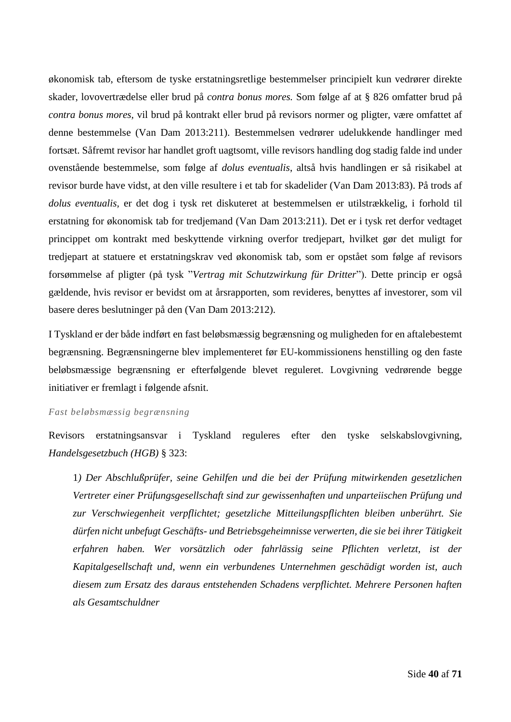økonomisk tab, eftersom de tyske erstatningsretlige bestemmelser principielt kun vedrører direkte skader, lovovertrædelse eller brud på *contra bonus mores.* Som følge af at § 826 omfatter brud på *contra bonus mores,* vil brud på kontrakt eller brud på revisors normer og pligter, være omfattet af denne bestemmelse (Van Dam 2013:211). Bestemmelsen vedrører udelukkende handlinger med fortsæt. Såfremt revisor har handlet groft uagtsomt, ville revisors handling dog stadig falde ind under ovenstående bestemmelse, som følge af *dolus eventualis*, altså hvis handlingen er så risikabel at revisor burde have vidst, at den ville resultere i et tab for skadelider (Van Dam 2013:83). På trods af *dolus eventualis,* er det dog i tysk ret diskuteret at bestemmelsen er utilstrækkelig, i forhold til erstatning for økonomisk tab for tredjemand (Van Dam 2013:211). Det er i tysk ret derfor vedtaget princippet om kontrakt med beskyttende virkning overfor tredjepart, hvilket gør det muligt for tredjepart at statuere et erstatningskrav ved økonomisk tab, som er opstået som følge af revisors forsømmelse af pligter (på tysk "*Vertrag mit Schutzwirkung für Dritter*"). Dette princip er også gældende, hvis revisor er bevidst om at årsrapporten, som revideres, benyttes af investorer, som vil basere deres beslutninger på den (Van Dam 2013:212).

I Tyskland er der både indført en fast beløbsmæssig begrænsning og muligheden for en aftalebestemt begrænsning. Begrænsningerne blev implementeret før EU-kommissionens henstilling og den faste beløbsmæssige begrænsning er efterfølgende blevet reguleret. Lovgivning vedrørende begge initiativer er fremlagt i følgende afsnit.

#### *Fast beløbsmæssig begrænsning*

Revisors erstatningsansvar i Tyskland reguleres efter den tyske selskabslovgivning, *Handelsgesetzbuch (HGB)* § 323:

1*) Der Abschlußprüfer, seine Gehilfen und die bei der Prüfung mitwirkenden gesetzlichen Vertreter einer Prüfungsgesellschaft sind zur gewissenhaften und unparteiischen Prüfung und zur Verschwiegenheit verpflichtet; gesetzliche Mitteilungspflichten bleiben unberührt. Sie dürfen nicht unbefugt Geschäfts- und Betriebsgeheimnisse verwerten, die sie bei ihrer Tätigkeit erfahren haben. Wer vorsätzlich oder fahrlässig seine Pflichten verletzt, ist der Kapitalgesellschaft und, wenn ein verbundenes Unternehmen geschädigt worden ist, auch diesem zum Ersatz des daraus entstehenden Schadens verpflichtet. Mehrere Personen haften als Gesamtschuldner*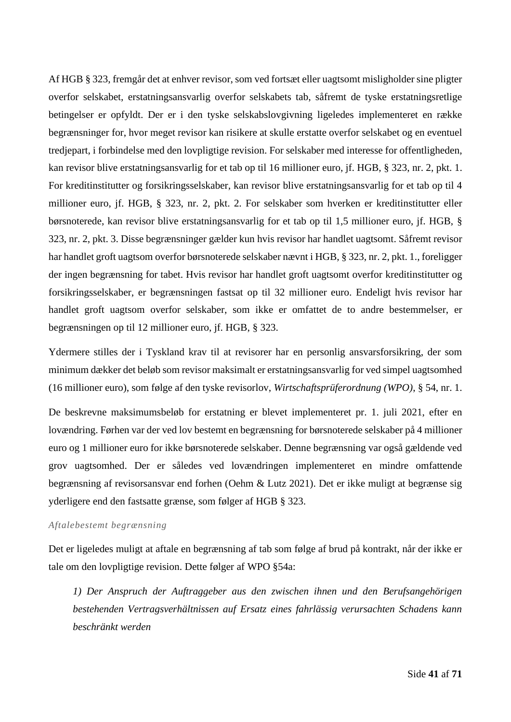Af HGB § 323, fremgår det at enhver revisor, som ved fortsæt eller uagtsomt misligholder sine pligter overfor selskabet, erstatningsansvarlig overfor selskabets tab, såfremt de tyske erstatningsretlige betingelser er opfyldt. Der er i den tyske selskabslovgivning ligeledes implementeret en række begrænsninger for, hvor meget revisor kan risikere at skulle erstatte overfor selskabet og en eventuel tredjepart, i forbindelse med den lovpligtige revision. For selskaber med interesse for offentligheden, kan revisor blive erstatningsansvarlig for et tab op til 16 millioner euro, jf. HGB, § 323, nr. 2, pkt. 1. For kreditinstitutter og forsikringsselskaber, kan revisor blive erstatningsansvarlig for et tab op til 4 millioner euro, jf. HGB, § 323, nr. 2, pkt. 2. For selskaber som hverken er kreditinstitutter eller børsnoterede, kan revisor blive erstatningsansvarlig for et tab op til 1,5 millioner euro, jf. HGB, § 323, nr. 2, pkt. 3. Disse begrænsninger gælder kun hvis revisor har handlet uagtsomt. Såfremt revisor har handlet groft uagtsom overfor børsnoterede selskaber nævnt i HGB, § 323, nr. 2, pkt. 1., foreligger der ingen begrænsning for tabet. Hvis revisor har handlet groft uagtsomt overfor kreditinstitutter og forsikringsselskaber, er begrænsningen fastsat op til 32 millioner euro. Endeligt hvis revisor har handlet groft uagtsom overfor selskaber, som ikke er omfattet de to andre bestemmelser, er begrænsningen op til 12 millioner euro, jf. HGB, § 323.

Ydermere stilles der i Tyskland krav til at revisorer har en personlig ansvarsforsikring, der som minimum dækker det beløb som revisor maksimalt er erstatningsansvarlig for ved simpel uagtsomhed (16 millioner euro), som følge af den tyske revisorlov, *Wirtschaftsprüferordnung (WPO)*, § 54, nr. 1.

De beskrevne maksimumsbeløb for erstatning er blevet implementeret pr. 1. juli 2021, efter en lovændring. Førhen var der ved lov bestemt en begrænsning for børsnoterede selskaber på 4 millioner euro og 1 millioner euro for ikke børsnoterede selskaber. Denne begrænsning var også gældende ved grov uagtsomhed. Der er således ved lovændringen implementeret en mindre omfattende begrænsning af revisorsansvar end forhen (Oehm & Lutz 2021). Det er ikke muligt at begrænse sig yderligere end den fastsatte grænse, som følger af HGB § 323.

#### *Aftalebestemt begrænsning*

Det er ligeledes muligt at aftale en begrænsning af tab som følge af brud på kontrakt, når der ikke er tale om den lovpligtige revision. Dette følger af WPO §54a:

*1) Der Anspruch der Auftraggeber aus den zwischen ihnen und den Berufsangehörigen bestehenden Vertragsverhältnissen auf Ersatz eines fahrlässig verursachten Schadens kann beschränkt werden*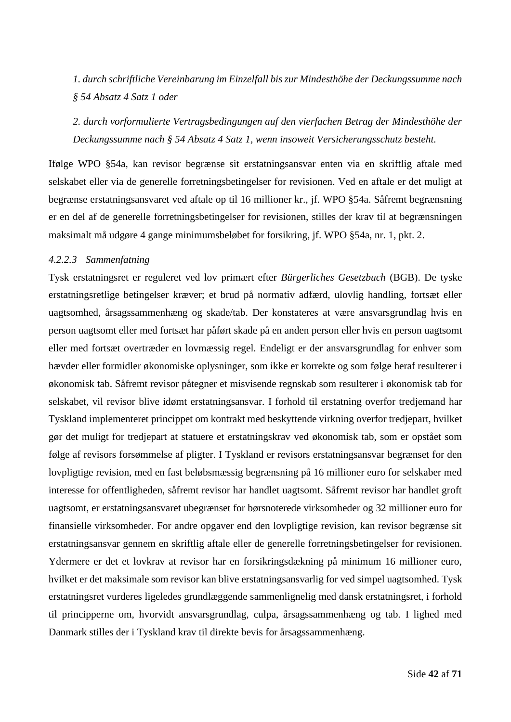*1. durch schriftliche Vereinbarung im Einzelfall bis zur Mindesthöhe der Deckungssumme nach § 54 Absatz 4 Satz 1 oder*

*2. durch vorformulierte Vertragsbedingungen auf den vierfachen Betrag der Mindesthöhe der Deckungssumme nach § 54 Absatz 4 Satz 1, wenn insoweit Versicherungsschutz besteht.*

Ifølge WPO §54a, kan revisor begrænse sit erstatningsansvar enten via en skriftlig aftale med selskabet eller via de generelle forretningsbetingelser for revisionen. Ved en aftale er det muligt at begrænse erstatningsansvaret ved aftale op til 16 millioner kr., jf. WPO §54a. Såfremt begrænsning er en del af de generelle forretningsbetingelser for revisionen, stilles der krav til at begrænsningen maksimalt må udgøre 4 gange minimumsbeløbet for forsikring, jf. WPO §54a, nr. 1, pkt. 2.

### *4.2.2.3 Sammenfatning*

Tysk erstatningsret er reguleret ved lov primært efter *Bürgerliches Gesetzbuch* (BGB). De tyske erstatningsretlige betingelser kræver; et brud på normativ adfærd, ulovlig handling, fortsæt eller uagtsomhed, årsagssammenhæng og skade/tab. Der konstateres at være ansvarsgrundlag hvis en person uagtsomt eller med fortsæt har påført skade på en anden person eller hvis en person uagtsomt eller med fortsæt overtræder en lovmæssig regel. Endeligt er der ansvarsgrundlag for enhver som hævder eller formidler økonomiske oplysninger, som ikke er korrekte og som følge heraf resulterer i økonomisk tab. Såfremt revisor påtegner et misvisende regnskab som resulterer i økonomisk tab for selskabet, vil revisor blive idømt erstatningsansvar. I forhold til erstatning overfor tredjemand har Tyskland implementeret princippet om kontrakt med beskyttende virkning overfor tredjepart, hvilket gør det muligt for tredjepart at statuere et erstatningskrav ved økonomisk tab, som er opstået som følge af revisors forsømmelse af pligter. I Tyskland er revisors erstatningsansvar begrænset for den lovpligtige revision, med en fast beløbsmæssig begrænsning på 16 millioner euro for selskaber med interesse for offentligheden, såfremt revisor har handlet uagtsomt. Såfremt revisor har handlet groft uagtsomt, er erstatningsansvaret ubegrænset for børsnoterede virksomheder og 32 millioner euro for finansielle virksomheder. For andre opgaver end den lovpligtige revision, kan revisor begrænse sit erstatningsansvar gennem en skriftlig aftale eller de generelle forretningsbetingelser for revisionen. Ydermere er det et lovkrav at revisor har en forsikringsdækning på minimum 16 millioner euro, hvilket er det maksimale som revisor kan blive erstatningsansvarlig for ved simpel uagtsomhed. Tysk erstatningsret vurderes ligeledes grundlæggende sammenlignelig med dansk erstatningsret, i forhold til principperne om, hvorvidt ansvarsgrundlag, culpa, årsagssammenhæng og tab. I lighed med Danmark stilles der i Tyskland krav til direkte bevis for årsagssammenhæng.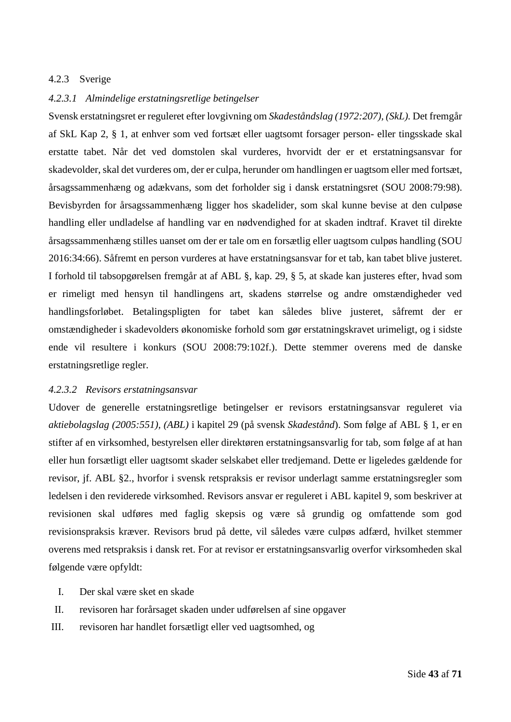## 4.2.3 Sverige

### *4.2.3.1 Almindelige erstatningsretlige betingelser*

Svensk erstatningsret er reguleret efter lovgivning om *Skadeståndslag (1972:207), (SkL).* Det fremgår af SkL Kap 2, § 1, at enhver som ved fortsæt eller uagtsomt forsager person- eller tingsskade skal erstatte tabet. Når det ved domstolen skal vurderes, hvorvidt der er et erstatningsansvar for skadevolder, skal det vurderes om, der er culpa, herunder om handlingen er uagtsom eller med fortsæt, årsagssammenhæng og adækvans, som det forholder sig i dansk erstatningsret (SOU 2008:79:98). Bevisbyrden for årsagssammenhæng ligger hos skadelider, som skal kunne bevise at den culpøse handling eller undladelse af handling var en nødvendighed for at skaden indtraf. Kravet til direkte årsagssammenhæng stilles uanset om der er tale om en forsætlig eller uagtsom culpøs handling (SOU 2016:34:66). Såfremt en person vurderes at have erstatningsansvar for et tab, kan tabet blive justeret. I forhold til tabsopgørelsen fremgår at af ABL §, kap. 29, § 5, at skade kan justeres efter, hvad som er rimeligt med hensyn til handlingens art, skadens størrelse og andre omstændigheder ved handlingsforløbet. Betalingspligten for tabet kan således blive justeret, såfremt der er omstændigheder i skadevolders økonomiske forhold som gør erstatningskravet urimeligt, og i sidste ende vil resultere i konkurs (SOU 2008:79:102f.). Dette stemmer overens med de danske erstatningsretlige regler.

#### <span id="page-43-0"></span>*4.2.3.2 Revisors erstatningsansvar*

Udover de generelle erstatningsretlige betingelser er revisors erstatningsansvar reguleret via *aktiebolagslag (2005:551), (ABL)* i kapitel 29 (på svensk *Skadestånd*). Som følge af ABL § 1, er en stifter af en virksomhed, bestyrelsen eller direktøren erstatningsansvarlig for tab, som følge af at han eller hun forsætligt eller uagtsomt skader selskabet eller tredjemand. Dette er ligeledes gældende for revisor, jf. ABL §2., hvorfor i svensk retspraksis er revisor underlagt samme erstatningsregler som ledelsen i den reviderede virksomhed. Revisors ansvar er reguleret i ABL kapitel 9, som beskriver at revisionen skal udføres med faglig skepsis og være så grundig og omfattende som god revisionspraksis kræver. Revisors brud på dette, vil således være culpøs adfærd, hvilket stemmer overens med retspraksis i dansk ret. For at revisor er erstatningsansvarlig overfor virksomheden skal følgende være opfyldt:

- I. Der skal være sket en skade
- II. revisoren har forårsaget skaden under udførelsen af sine opgaver
- III. revisoren har handlet forsætligt eller ved uagtsomhed, og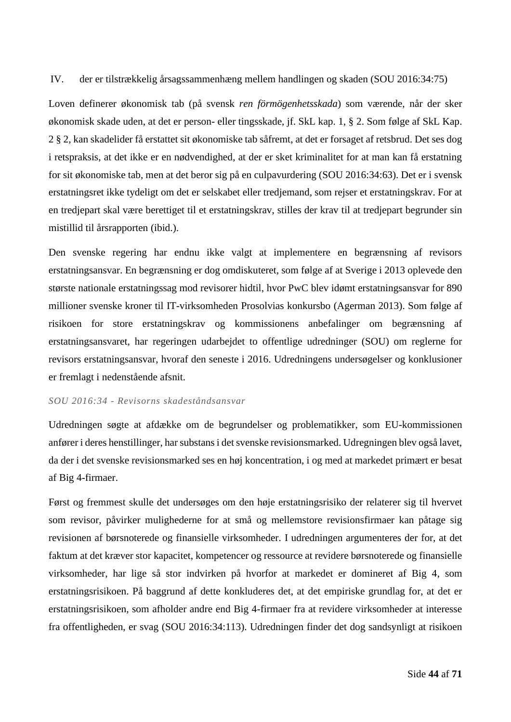IV. der er tilstrækkelig årsagssammenhæng mellem handlingen og skaden (SOU 2016:34:75)

Loven definerer økonomisk tab (på svensk *ren förmögenhetsskada*) som værende, når der sker økonomisk skade uden, at det er person- eller tingsskade, jf. SkL kap. 1, § 2. Som følge af SkL Kap. 2 § 2, kan skadelider få erstattet sit økonomiske tab såfremt, at det er forsaget af retsbrud. Det ses dog i retspraksis, at det ikke er en nødvendighed, at der er sket kriminalitet for at man kan få erstatning for sit økonomiske tab, men at det beror sig på en culpavurdering (SOU 2016:34:63). Det er i svensk erstatningsret ikke tydeligt om det er selskabet eller tredjemand, som rejser et erstatningskrav. For at en tredjepart skal være berettiget til et erstatningskrav, stilles der krav til at tredjepart begrunder sin mistillid til årsrapporten (ibid.).

Den svenske regering har endnu ikke valgt at implementere en begrænsning af revisors erstatningsansvar. En begrænsning er dog omdiskuteret, som følge af at Sverige i 2013 oplevede den største nationale erstatningssag mod revisorer hidtil, hvor PwC blev idømt erstatningsansvar for 890 millioner svenske kroner til IT-virksomheden Prosolvias konkursbo (Agerman 2013). Som følge af risikoen for store erstatningskrav og kommissionens anbefalinger om begrænsning af erstatningsansvaret, har regeringen udarbejdet to offentlige udredninger (SOU) om reglerne for revisors erstatningsansvar, hvoraf den seneste i 2016. Udredningens undersøgelser og konklusioner er fremlagt i nedenstående afsnit.

## *SOU 2016:34 - Revisorns skadeståndsansvar*

Udredningen søgte at afdække om de begrundelser og problematikker, som EU-kommissionen anfører i deres henstillinger, har substans i det svenske revisionsmarked. Udregningen blev også lavet, da der i det svenske revisionsmarked ses en høj koncentration, i og med at markedet primært er besat af Big 4-firmaer.

Først og fremmest skulle det undersøges om den høje erstatningsrisiko der relaterer sig til hvervet som revisor, påvirker mulighederne for at små og mellemstore revisionsfirmaer kan påtage sig revisionen af børsnoterede og finansielle virksomheder. I udredningen argumenteres der for, at det faktum at det kræver stor kapacitet, kompetencer og ressource at revidere børsnoterede og finansielle virksomheder, har lige så stor indvirken på hvorfor at markedet er domineret af Big 4, som erstatningsrisikoen. På baggrund af dette konkluderes det, at det empiriske grundlag for, at det er erstatningsrisikoen, som afholder andre end Big 4-firmaer fra at revidere virksomheder at interesse fra offentligheden, er svag (SOU 2016:34:113). Udredningen finder det dog sandsynligt at risikoen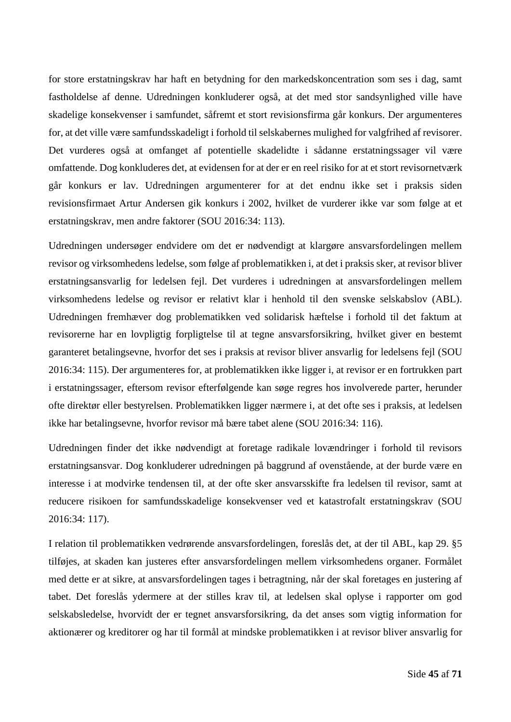for store erstatningskrav har haft en betydning for den markedskoncentration som ses i dag, samt fastholdelse af denne. Udredningen konkluderer også, at det med stor sandsynlighed ville have skadelige konsekvenser i samfundet, såfremt et stort revisionsfirma går konkurs. Der argumenteres for, at det ville være samfundsskadeligt i forhold til selskabernes mulighed for valgfrihed af revisorer. Det vurderes også at omfanget af potentielle skadelidte i sådanne erstatningssager vil være omfattende. Dog konkluderes det, at evidensen for at der er en reel risiko for at et stort revisornetværk går konkurs er lav. Udredningen argumenterer for at det endnu ikke set i praksis siden revisionsfirmaet Artur Andersen gik konkurs i 2002, hvilket de vurderer ikke var som følge at et erstatningskrav, men andre faktorer (SOU 2016:34: 113).

Udredningen undersøger endvidere om det er nødvendigt at klargøre ansvarsfordelingen mellem revisor og virksomhedens ledelse, som følge af problematikken i, at det i praksis sker, at revisor bliver erstatningsansvarlig for ledelsen fejl. Det vurderes i udredningen at ansvarsfordelingen mellem virksomhedens ledelse og revisor er relativt klar i henhold til den svenske selskabslov (ABL). Udredningen fremhæver dog problematikken ved solidarisk hæftelse i forhold til det faktum at revisorerne har en lovpligtig forpligtelse til at tegne ansvarsforsikring, hvilket giver en bestemt garanteret betalingsevne, hvorfor det ses i praksis at revisor bliver ansvarlig for ledelsens fejl (SOU 2016:34: 115). Der argumenteres for, at problematikken ikke ligger i, at revisor er en fortrukken part i erstatningssager, eftersom revisor efterfølgende kan søge regres hos involverede parter, herunder ofte direktør eller bestyrelsen. Problematikken ligger nærmere i, at det ofte ses i praksis, at ledelsen ikke har betalingsevne, hvorfor revisor må bære tabet alene (SOU 2016:34: 116).

Udredningen finder det ikke nødvendigt at foretage radikale lovændringer i forhold til revisors erstatningsansvar. Dog konkluderer udredningen på baggrund af ovenstående, at der burde være en interesse i at modvirke tendensen til, at der ofte sker ansvarsskifte fra ledelsen til revisor, samt at reducere risikoen for samfundsskadelige konsekvenser ved et katastrofalt erstatningskrav (SOU 2016:34: 117).

I relation til problematikken vedrørende ansvarsfordelingen, foreslås det, at der til ABL, kap 29. §5 tilføjes, at skaden kan justeres efter ansvarsfordelingen mellem virksomhedens organer. Formålet med dette er at sikre, at ansvarsfordelingen tages i betragtning, når der skal foretages en justering af tabet. Det foreslås ydermere at der stilles krav til, at ledelsen skal oplyse i rapporter om god selskabsledelse, hvorvidt der er tegnet ansvarsforsikring, da det anses som vigtig information for aktionærer og kreditorer og har til formål at mindske problematikken i at revisor bliver ansvarlig for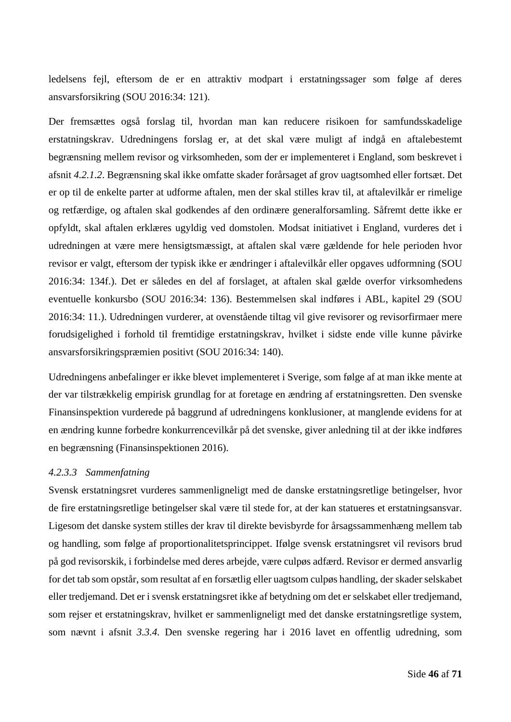ledelsens fejl, eftersom de er en attraktiv modpart i erstatningssager som følge af deres ansvarsforsikring (SOU 2016:34: 121).

Der fremsættes også forslag til, hvordan man kan reducere risikoen for samfundsskadelige erstatningskrav. Udredningens forslag er, at det skal være muligt af indgå en aftalebestemt begrænsning mellem revisor og virksomheden, som der er implementeret i England, som beskrevet i afsnit *[4.2.1.2](#page-36-0)*. Begrænsning skal ikke omfatte skader forårsaget af grov uagtsomhed eller fortsæt. Det er op til de enkelte parter at udforme aftalen, men der skal stilles krav til, at aftalevilkår er rimelige og retfærdige, og aftalen skal godkendes af den ordinære generalforsamling. Såfremt dette ikke er opfyldt, skal aftalen erklæres ugyldig ved domstolen. Modsat initiativet i England, vurderes det i udredningen at være mere hensigtsmæssigt, at aftalen skal være gældende for hele perioden hvor revisor er valgt, eftersom der typisk ikke er ændringer i aftalevilkår eller opgaves udformning (SOU 2016:34: 134f.). Det er således en del af forslaget, at aftalen skal gælde overfor virksomhedens eventuelle konkursbo (SOU 2016:34: 136). Bestemmelsen skal indføres i ABL, kapitel 29 (SOU 2016:34: 11.). Udredningen vurderer, at ovenstående tiltag vil give revisorer og revisorfirmaer mere forudsigelighed i forhold til fremtidige erstatningskrav, hvilket i sidste ende ville kunne påvirke ansvarsforsikringspræmien positivt (SOU 2016:34: 140).

Udredningens anbefalinger er ikke blevet implementeret i Sverige, som følge af at man ikke mente at der var tilstrækkelig empirisk grundlag for at foretage en ændring af erstatningsretten. Den svenske Finansinspektion vurderede på baggrund af udredningens konklusioner, at manglende evidens for at en ændring kunne forbedre konkurrencevilkår på det svenske, giver anledning til at der ikke indføres en begrænsning (Finansinspektionen 2016).

### *4.2.3.3 Sammenfatning*

Svensk erstatningsret vurderes sammenligneligt med de danske erstatningsretlige betingelser, hvor de fire erstatningsretlige betingelser skal være til stede for, at der kan statueres et erstatningsansvar. Ligesom det danske system stilles der krav til direkte bevisbyrde for årsagssammenhæng mellem tab og handling, som følge af proportionalitetsprincippet. Ifølge svensk erstatningsret vil revisors brud på god revisorskik, i forbindelse med deres arbejde, være culpøs adfærd. Revisor er dermed ansvarlig for det tab som opstår, som resultat af en forsætlig eller uagtsom culpøs handling, der skader selskabet eller tredjemand. Det er i svensk erstatningsret ikke af betydning om det er selskabet eller tredjemand, som rejser et erstatningskrav, hvilket er sammenligneligt med det danske erstatningsretlige system, som nævnt i afsnit *[3.3.4.](#page-28-0)* Den svenske regering har i 2016 lavet en offentlig udredning, som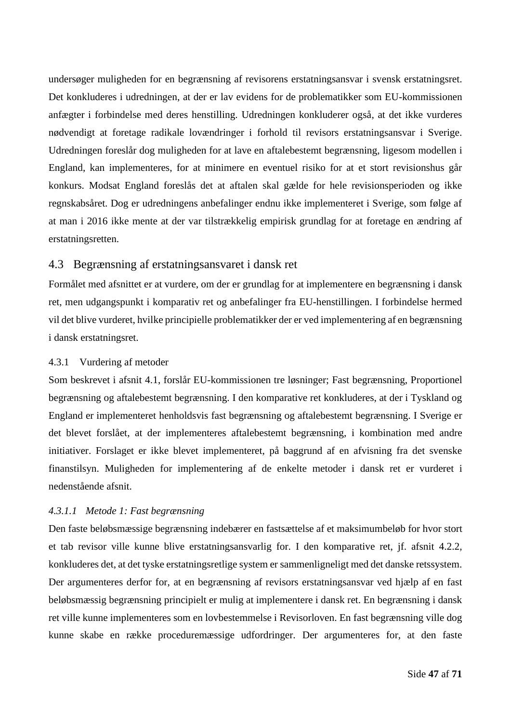undersøger muligheden for en begrænsning af revisorens erstatningsansvar i svensk erstatningsret. Det konkluderes i udredningen, at der er lav evidens for de problematikker som EU-kommissionen anfægter i forbindelse med deres henstilling. Udredningen konkluderer også, at det ikke vurderes nødvendigt at foretage radikale lovændringer i forhold til revisors erstatningsansvar i Sverige. Udredningen foreslår dog muligheden for at lave en aftalebestemt begrænsning, ligesom modellen i England, kan implementeres, for at minimere en eventuel risiko for at et stort revisionshus går konkurs. Modsat England foreslås det at aftalen skal gælde for hele revisionsperioden og ikke regnskabsåret. Dog er udredningens anbefalinger endnu ikke implementeret i Sverige, som følge af at man i 2016 ikke mente at der var tilstrækkelig empirisk grundlag for at foretage en ændring af erstatningsretten.

# <span id="page-47-0"></span>4.3 Begrænsning af erstatningsansvaret i dansk ret

Formålet med afsnittet er at vurdere, om der er grundlag for at implementere en begrænsning i dansk ret, men udgangspunkt i komparativ ret og anbefalinger fra EU-henstillingen. I forbindelse hermed vil det blive vurderet, hvilke principielle problematikker der er ved implementering af en begrænsning i dansk erstatningsret.

## 4.3.1 Vurdering af metoder

Som beskrevet i afsnit [4.1,](#page-31-0) forslår EU-kommissionen tre løsninger; Fast begrænsning, Proportionel begrænsning og aftalebestemt begrænsning. I den komparative ret konkluderes, at der i Tyskland og England er implementeret henholdsvis fast begrænsning og aftalebestemt begrænsning. I Sverige er det blevet forslået, at der implementeres aftalebestemt begrænsning, i kombination med andre initiativer. Forslaget er ikke blevet implementeret, på baggrund af en afvisning fra det svenske finanstilsyn. Muligheden for implementering af de enkelte metoder i dansk ret er vurderet i nedenstående afsnit.

## <span id="page-47-1"></span>*4.3.1.1 Metode 1: Fast begrænsning*

Den faste beløbsmæssige begrænsning indebærer en fastsættelse af et maksimumbeløb for hvor stort et tab revisor ville kunne blive erstatningsansvarlig for. I den komparative ret, jf. afsnit [4.2.2,](#page-38-0) konkluderes det, at det tyske erstatningsretlige system er sammenligneligt med det danske retssystem. Der argumenteres derfor for, at en begrænsning af revisors erstatningsansvar ved hjælp af en fast beløbsmæssig begrænsning principielt er mulig at implementere i dansk ret. En begrænsning i dansk ret ville kunne implementeres som en lovbestemmelse i Revisorloven. En fast begrænsning ville dog kunne skabe en række proceduremæssige udfordringer. Der argumenteres for, at den faste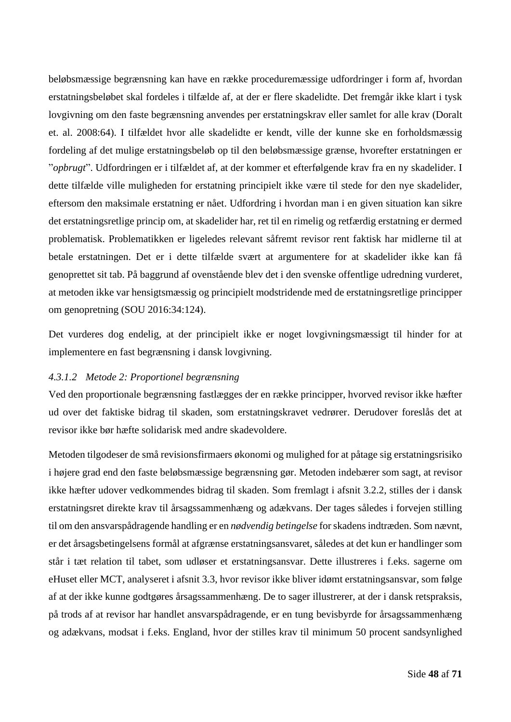beløbsmæssige begrænsning kan have en række proceduremæssige udfordringer i form af, hvordan erstatningsbeløbet skal fordeles i tilfælde af, at der er flere skadelidte. Det fremgår ikke klart i tysk lovgivning om den faste begrænsning anvendes per erstatningskrav eller samlet for alle krav (Doralt et. al. 2008:64). I tilfældet hvor alle skadelidte er kendt, ville der kunne ske en forholdsmæssig fordeling af det mulige erstatningsbeløb op til den beløbsmæssige grænse, hvorefter erstatningen er "*opbrugt*". Udfordringen er i tilfældet af, at der kommer et efterfølgende krav fra en ny skadelider. I dette tilfælde ville muligheden for erstatning principielt ikke være til stede for den nye skadelider, eftersom den maksimale erstatning er nået. Udfordring i hvordan man i en given situation kan sikre det erstatningsretlige princip om, at skadelider har, ret til en rimelig og retfærdig erstatning er dermed problematisk. Problematikken er ligeledes relevant såfremt revisor rent faktisk har midlerne til at betale erstatningen. Det er i dette tilfælde svært at argumentere for at skadelider ikke kan få genoprettet sit tab. På baggrund af ovenstående blev det i den svenske offentlige udredning vurderet, at metoden ikke var hensigtsmæssig og principielt modstridende med de erstatningsretlige principper om genopretning (SOU 2016:34:124).

Det vurderes dog endelig, at der principielt ikke er noget lovgivningsmæssigt til hinder for at implementere en fast begrænsning i dansk lovgivning.

## *4.3.1.2 Metode 2: Proportionel begrænsning*

Ved den proportionale begrænsning fastlægges der en række principper, hvorved revisor ikke hæfter ud over det faktiske bidrag til skaden, som erstatningskravet vedrører. Derudover foreslås det at revisor ikke bør hæfte solidarisk med andre skadevoldere.

Metoden tilgodeser de små revisionsfirmaers økonomi og mulighed for at påtage sig erstatningsrisiko i højere grad end den faste beløbsmæssige begrænsning gør. Metoden indebærer som sagt, at revisor ikke hæfter udover vedkommendes bidrag til skaden. Som fremlagt i afsnit [3.2.2,](#page-17-0) stilles der i dansk erstatningsret direkte krav til årsagssammenhæng og adækvans. Der tages således i forvejen stilling til om den ansvarspådragende handling er en *nødvendig betingelse* for skadens indtræden. Som nævnt, er det årsagsbetingelsens formål at afgrænse erstatningsansvaret, således at det kun er handlinger som står i tæt relation til tabet, som udløser et erstatningsansvar. Dette illustreres i f.eks. sagerne om eHuset eller MCT, analyseret i afsnit [3.3,](#page-20-0) hvor revisor ikke bliver idømt erstatningsansvar, som følge af at der ikke kunne godtgøres årsagssammenhæng. De to sager illustrerer, at der i dansk retspraksis, på trods af at revisor har handlet ansvarspådragende, er en tung bevisbyrde for årsagssammenhæng og adækvans, modsat i f.eks. England, hvor der stilles krav til minimum 50 procent sandsynlighed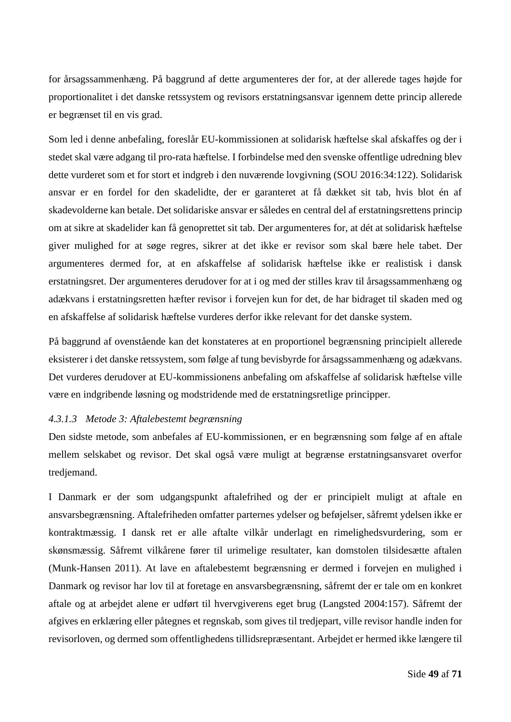for årsagssammenhæng. På baggrund af dette argumenteres der for, at der allerede tages højde for proportionalitet i det danske retssystem og revisors erstatningsansvar igennem dette princip allerede er begrænset til en vis grad.

Som led i denne anbefaling, foreslår EU-kommissionen at solidarisk hæftelse skal afskaffes og der i stedet skal være adgang til pro-rata hæftelse. I forbindelse med den svenske offentlige udredning blev dette vurderet som et for stort et indgreb i den nuværende lovgivning (SOU 2016:34:122). Solidarisk ansvar er en fordel for den skadelidte, der er garanteret at få dækket sit tab, hvis blot én af skadevolderne kan betale. Det solidariske ansvar er således en central del af erstatningsrettens princip om at sikre at skadelider kan få genoprettet sit tab. Der argumenteres for, at dét at solidarisk hæftelse giver mulighed for at søge regres, sikrer at det ikke er revisor som skal bære hele tabet. Der argumenteres dermed for, at en afskaffelse af solidarisk hæftelse ikke er realistisk i dansk erstatningsret. Der argumenteres derudover for at i og med der stilles krav til årsagssammenhæng og adækvans i erstatningsretten hæfter revisor i forvejen kun for det, de har bidraget til skaden med og en afskaffelse af solidarisk hæftelse vurderes derfor ikke relevant for det danske system.

På baggrund af ovenstående kan det konstateres at en proportionel begrænsning principielt allerede eksisterer i det danske retssystem, som følge af tung bevisbyrde for årsagssammenhæng og adækvans. Det vurderes derudover at EU-kommissionens anbefaling om afskaffelse af solidarisk hæftelse ville være en indgribende løsning og modstridende med de erstatningsretlige principper.

#### <span id="page-49-0"></span>*4.3.1.3 Metode 3: Aftalebestemt begrænsning*

Den sidste metode, som anbefales af EU-kommissionen, er en begrænsning som følge af en aftale mellem selskabet og revisor. Det skal også være muligt at begrænse erstatningsansvaret overfor tredjemand.

I Danmark er der som udgangspunkt aftalefrihed og der er principielt muligt at aftale en ansvarsbegrænsning. Aftalefriheden omfatter parternes ydelser og beføjelser, såfremt ydelsen ikke er kontraktmæssig. I dansk ret er alle aftalte vilkår underlagt en rimelighedsvurdering, som er skønsmæssig. Såfremt vilkårene fører til urimelige resultater, kan domstolen tilsidesætte aftalen (Munk-Hansen 2011). At lave en aftalebestemt begrænsning er dermed i forvejen en mulighed i Danmark og revisor har lov til at foretage en ansvarsbegrænsning, såfremt der er tale om en konkret aftale og at arbejdet alene er udført til hvervgiverens eget brug (Langsted 2004:157). Såfremt der afgives en erklæring eller påtegnes et regnskab, som gives til tredjepart, ville revisor handle inden for revisorloven, og dermed som offentlighedens tillidsrepræsentant. Arbejdet er hermed ikke længere til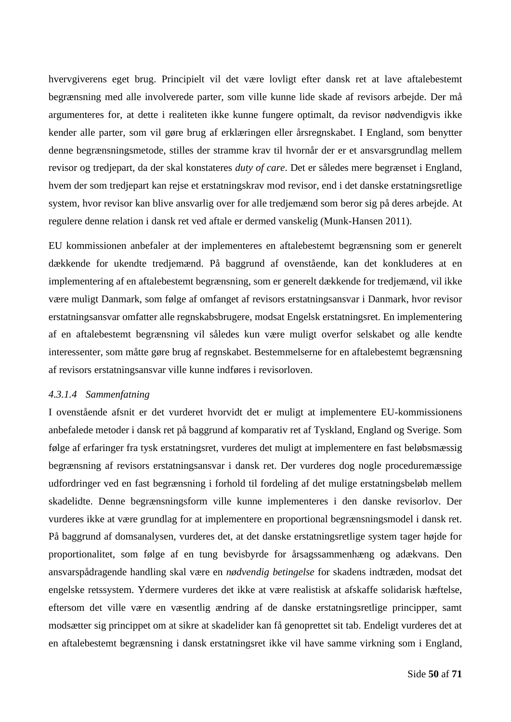hvervgiverens eget brug. Principielt vil det være lovligt efter dansk ret at lave aftalebestemt begrænsning med alle involverede parter, som ville kunne lide skade af revisors arbejde. Der må argumenteres for, at dette i realiteten ikke kunne fungere optimalt, da revisor nødvendigvis ikke kender alle parter, som vil gøre brug af erklæringen eller årsregnskabet. I England, som benytter denne begrænsningsmetode, stilles der stramme krav til hvornår der er et ansvarsgrundlag mellem revisor og tredjepart, da der skal konstateres *duty of care*. Det er således mere begrænset i England, hvem der som tredjepart kan rejse et erstatningskrav mod revisor, end i det danske erstatningsretlige system, hvor revisor kan blive ansvarlig over for alle tredjemænd som beror sig på deres arbejde. At regulere denne relation i dansk ret ved aftale er dermed vanskelig (Munk-Hansen 2011).

EU kommissionen anbefaler at der implementeres en aftalebestemt begrænsning som er generelt dækkende for ukendte tredjemænd. På baggrund af ovenstående, kan det konkluderes at en implementering af en aftalebestemt begrænsning, som er generelt dækkende for tredjemænd, vil ikke være muligt Danmark, som følge af omfanget af revisors erstatningsansvar i Danmark, hvor revisor erstatningsansvar omfatter alle regnskabsbrugere, modsat Engelsk erstatningsret. En implementering af en aftalebestemt begrænsning vil således kun være muligt overfor selskabet og alle kendte interessenter, som måtte gøre brug af regnskabet. Bestemmelserne for en aftalebestemt begrænsning af revisors erstatningsansvar ville kunne indføres i revisorloven.

#### *4.3.1.4 Sammenfatning*

I ovenstående afsnit er det vurderet hvorvidt det er muligt at implementere EU-kommissionens anbefalede metoder i dansk ret på baggrund af komparativ ret af Tyskland, England og Sverige. Som følge af erfaringer fra tysk erstatningsret, vurderes det muligt at implementere en fast beløbsmæssig begrænsning af revisors erstatningsansvar i dansk ret. Der vurderes dog nogle proceduremæssige udfordringer ved en fast begrænsning i forhold til fordeling af det mulige erstatningsbeløb mellem skadelidte. Denne begrænsningsform ville kunne implementeres i den danske revisorlov. Der vurderes ikke at være grundlag for at implementere en proportional begrænsningsmodel i dansk ret. På baggrund af domsanalysen, vurderes det, at det danske erstatningsretlige system tager højde for proportionalitet, som følge af en tung bevisbyrde for årsagssammenhæng og adækvans. Den ansvarspådragende handling skal være en *nødvendig betingelse* for skadens indtræden, modsat det engelske retssystem. Ydermere vurderes det ikke at være realistisk at afskaffe solidarisk hæftelse, eftersom det ville være en væsentlig ændring af de danske erstatningsretlige principper, samt modsætter sig princippet om at sikre at skadelider kan få genoprettet sit tab. Endeligt vurderes det at en aftalebestemt begrænsning i dansk erstatningsret ikke vil have samme virkning som i England,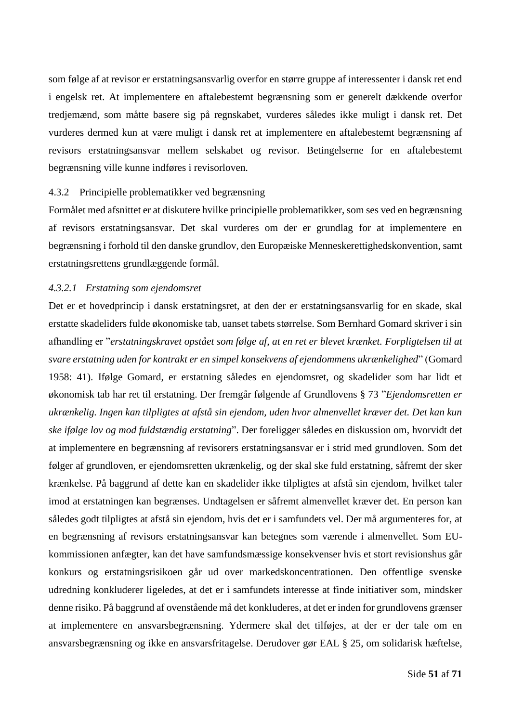som følge af at revisor er erstatningsansvarlig overfor en større gruppe af interessenter i dansk ret end i engelsk ret. At implementere en aftalebestemt begrænsning som er generelt dækkende overfor tredjemænd, som måtte basere sig på regnskabet, vurderes således ikke muligt i dansk ret. Det vurderes dermed kun at være muligt i dansk ret at implementere en aftalebestemt begrænsning af revisors erstatningsansvar mellem selskabet og revisor. Betingelserne for en aftalebestemt begrænsning ville kunne indføres i revisorloven.

### 4.3.2 Principielle problematikker ved begrænsning

Formålet med afsnittet er at diskutere hvilke principielle problematikker, som ses ved en begrænsning af revisors erstatningsansvar. Det skal vurderes om der er grundlag for at implementere en begrænsning i forhold til den danske grundlov, den Europæiske Menneskerettighedskonvention, samt erstatningsrettens grundlæggende formål.

### *4.3.2.1 Erstatning som ejendomsret*

Det er et hovedprincip i dansk erstatningsret, at den der er erstatningsansvarlig for en skade, skal erstatte skadeliders fulde økonomiske tab, uanset tabets størrelse. Som Bernhard Gomard skriver i sin afhandling er "*erstatningskravet opstået som følge af, at en ret er blevet krænket. Forpligtelsen til at svare erstatning uden for kontrakt er en simpel konsekvens af ejendommens ukrænkelighed*" (Gomard 1958: 41). Ifølge Gomard, er erstatning således en ejendomsret, og skadelider som har lidt et økonomisk tab har ret til erstatning. Der fremgår følgende af Grundlovens § 73 "*Ejendomsretten er ukrænkelig. Ingen kan tilpligtes at afstå sin ejendom, uden hvor almenvellet kræver det. Det kan kun ske ifølge lov og mod fuldstændig erstatning*". Der foreligger således en diskussion om, hvorvidt det at implementere en begrænsning af revisorers erstatningsansvar er i strid med grundloven. Som det følger af grundloven, er ejendomsretten ukrænkelig, og der skal ske fuld erstatning, såfremt der sker krænkelse. På baggrund af dette kan en skadelider ikke tilpligtes at afstå sin ejendom, hvilket taler imod at erstatningen kan begrænses. Undtagelsen er såfremt almenvellet kræver det. En person kan således godt tilpligtes at afstå sin ejendom, hvis det er i samfundets vel. Der må argumenteres for, at en begrænsning af revisors erstatningsansvar kan betegnes som værende i almenvellet. Som EUkommissionen anfægter, kan det have samfundsmæssige konsekvenser hvis et stort revisionshus går konkurs og erstatningsrisikoen går ud over markedskoncentrationen. Den offentlige svenske udredning konkluderer ligeledes, at det er i samfundets interesse at finde initiativer som, mindsker denne risiko. På baggrund af ovenstående må det konkluderes, at det er inden for grundlovens grænser at implementere en ansvarsbegrænsning. Ydermere skal det tilføjes, at der er der tale om en ansvarsbegrænsning og ikke en ansvarsfritagelse. Derudover gør EAL § 25, om solidarisk hæftelse,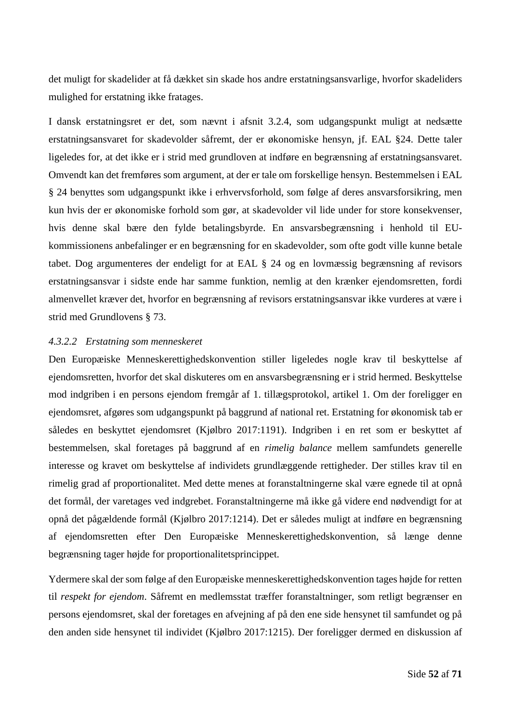det muligt for skadelider at få dækket sin skade hos andre erstatningsansvarlige, hvorfor skadeliders mulighed for erstatning ikke fratages.

I dansk erstatningsret er det, som nævnt i afsnit [3.2.4,](#page-19-0) som udgangspunkt muligt at nedsætte erstatningsansvaret for skadevolder såfremt, der er økonomiske hensyn, jf. EAL §24. Dette taler ligeledes for, at det ikke er i strid med grundloven at indføre en begrænsning af erstatningsansvaret. Omvendt kan det fremføres som argument, at der er tale om forskellige hensyn. Bestemmelsen i EAL § 24 benyttes som udgangspunkt ikke i erhvervsforhold, som følge af deres ansvarsforsikring, men kun hvis der er økonomiske forhold som gør, at skadevolder vil lide under for store konsekvenser, hvis denne skal bære den fylde betalingsbyrde. En ansvarsbegrænsning i henhold til EUkommissionens anbefalinger er en begrænsning for en skadevolder, som ofte godt ville kunne betale tabet. Dog argumenteres der endeligt for at EAL § 24 og en lovmæssig begrænsning af revisors erstatningsansvar i sidste ende har samme funktion, nemlig at den krænker ejendomsretten, fordi almenvellet kræver det, hvorfor en begrænsning af revisors erstatningsansvar ikke vurderes at være i strid med Grundlovens § 73.

### *4.3.2.2 Erstatning som menneskeret*

Den Europæiske Menneskerettighedskonvention stiller ligeledes nogle krav til beskyttelse af ejendomsretten, hvorfor det skal diskuteres om en ansvarsbegrænsning er i strid hermed. Beskyttelse mod indgriben i en persons ejendom fremgår af 1. tillægsprotokol, artikel 1. Om der foreligger en ejendomsret, afgøres som udgangspunkt på baggrund af national ret. Erstatning for økonomisk tab er således en beskyttet ejendomsret (Kjølbro 2017:1191). Indgriben i en ret som er beskyttet af bestemmelsen, skal foretages på baggrund af en *rimelig balance* mellem samfundets generelle interesse og kravet om beskyttelse af individets grundlæggende rettigheder. Der stilles krav til en rimelig grad af proportionalitet. Med dette menes at foranstaltningerne skal være egnede til at opnå det formål, der varetages ved indgrebet. Foranstaltningerne må ikke gå videre end nødvendigt for at opnå det pågældende formål (Kjølbro 2017:1214). Det er således muligt at indføre en begrænsning af ejendomsretten efter Den Europæiske Menneskerettighedskonvention, så længe denne begrænsning tager højde for proportionalitetsprincippet.

Ydermere skal der som følge af den Europæiske menneskerettighedskonvention tages højde for retten til *respekt for ejendom*. Såfremt en medlemsstat træffer foranstaltninger, som retligt begrænser en persons ejendomsret, skal der foretages en afvejning af på den ene side hensynet til samfundet og på den anden side hensynet til individet (Kjølbro 2017:1215). Der foreligger dermed en diskussion af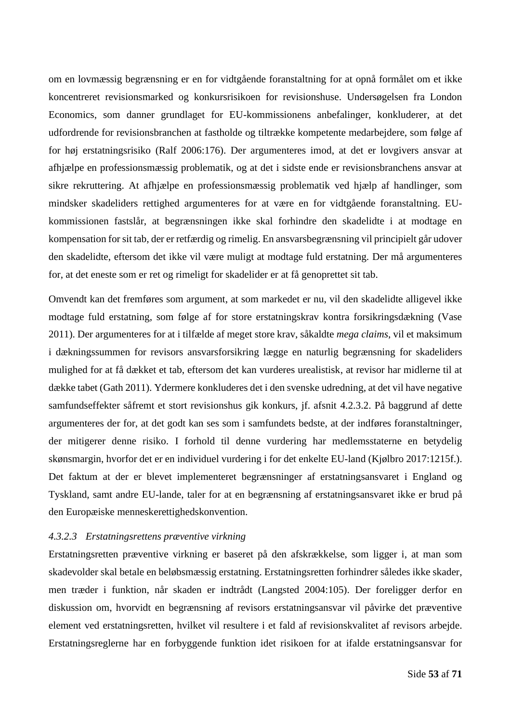om en lovmæssig begrænsning er en for vidtgående foranstaltning for at opnå formålet om et ikke koncentreret revisionsmarked og konkursrisikoen for revisionshuse. Undersøgelsen fra London Economics, som danner grundlaget for EU-kommissionens anbefalinger, konkluderer, at det udfordrende for revisionsbranchen at fastholde og tiltrække kompetente medarbejdere, som følge af for høj erstatningsrisiko (Ralf 2006:176). Der argumenteres imod, at det er lovgivers ansvar at afhjælpe en professionsmæssig problematik, og at det i sidste ende er revisionsbranchens ansvar at sikre rekruttering. At afhjælpe en professionsmæssig problematik ved hjælp af handlinger, som mindsker skadeliders rettighed argumenteres for at være en for vidtgående foranstaltning. EUkommissionen fastslår, at begrænsningen ikke skal forhindre den skadelidte i at modtage en kompensation for sit tab, der er retfærdig og rimelig. En ansvarsbegrænsning vil principielt går udover den skadelidte, eftersom det ikke vil være muligt at modtage fuld erstatning. Der må argumenteres for, at det eneste som er ret og rimeligt for skadelider er at få genoprettet sit tab.

Omvendt kan det fremføres som argument, at som markedet er nu, vil den skadelidte alligevel ikke modtage fuld erstatning, som følge af for store erstatningskrav kontra forsikringsdækning (Vase 2011). Der argumenteres for at i tilfælde af meget store krav, såkaldte *mega claims*, vil et maksimum i dækningssummen for revisors ansvarsforsikring lægge en naturlig begrænsning for skadeliders mulighed for at få dækket et tab, eftersom det kan vurderes urealistisk, at revisor har midlerne til at dække tabet (Gath 2011). Ydermere konkluderes det i den svenske udredning, at det vil have negative samfundseffekter såfremt et stort revisionshus gik konkurs, jf. afsnit [4.2.3.2.](#page-43-0) På baggrund af dette argumenteres der for, at det godt kan ses som i samfundets bedste, at der indføres foranstaltninger, der mitigerer denne risiko. I forhold til denne vurdering har medlemsstaterne en betydelig skønsmargin, hvorfor det er en individuel vurdering i for det enkelte EU-land (Kjølbro 2017:1215f.). Det faktum at der er blevet implementeret begrænsninger af erstatningsansvaret i England og Tyskland, samt andre EU-lande, taler for at en begrænsning af erstatningsansvaret ikke er brud på den Europæiske menneskerettighedskonvention.

## <span id="page-53-0"></span>*4.3.2.3 Erstatningsrettens præventive virkning*

Erstatningsretten præventive virkning er baseret på den afskrækkelse, som ligger i, at man som skadevolder skal betale en beløbsmæssig erstatning. Erstatningsretten forhindrer således ikke skader, men træder i funktion, når skaden er indtrådt (Langsted 2004:105). Der foreligger derfor en diskussion om, hvorvidt en begrænsning af revisors erstatningsansvar vil påvirke det præventive element ved erstatningsretten, hvilket vil resultere i et fald af revisionskvalitet af revisors arbejde. Erstatningsreglerne har en forbyggende funktion idet risikoen for at ifalde erstatningsansvar for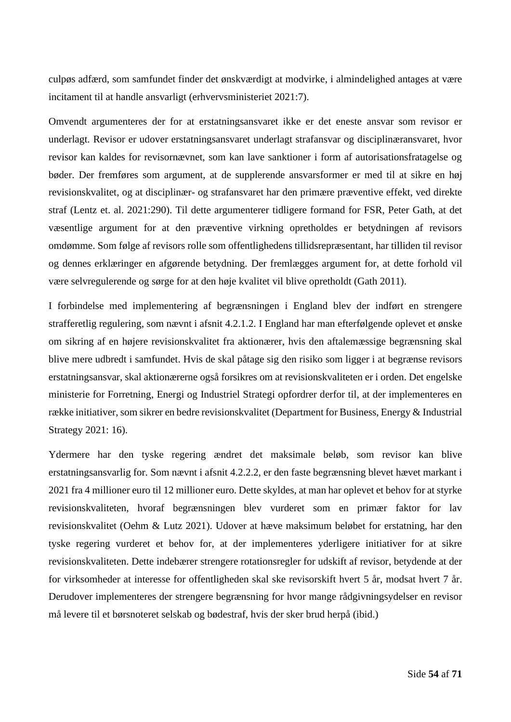culpøs adfærd, som samfundet finder det ønskværdigt at modvirke, i almindelighed antages at være incitament til at handle ansvarligt (erhvervsministeriet 2021:7).

Omvendt argumenteres der for at erstatningsansvaret ikke er det eneste ansvar som revisor er underlagt. Revisor er udover erstatningsansvaret underlagt strafansvar og disciplinæransvaret, hvor revisor kan kaldes for revisornævnet, som kan lave sanktioner i form af autorisationsfratagelse og bøder. Der fremføres som argument, at de supplerende ansvarsformer er med til at sikre en høj revisionskvalitet, og at disciplinær- og strafansvaret har den primære præventive effekt, ved direkte straf (Lentz et. al. 2021:290). Til dette argumenterer tidligere formand for FSR, Peter Gath, at det væsentlige argument for at den præventive virkning opretholdes er betydningen af revisors omdømme. Som følge af revisors rolle som offentlighedens tillidsrepræsentant, har tilliden til revisor og dennes erklæringer en afgørende betydning. Der fremlægges argument for, at dette forhold vil være selvregulerende og sørge for at den høje kvalitet vil blive opretholdt (Gath 2011).

I forbindelse med implementering af begrænsningen i England blev der indført en strengere strafferetlig regulering, som nævnt i afsnit [4.2.1.2.](#page-36-0) I England har man efterfølgende oplevet et ønske om sikring af en højere revisionskvalitet fra aktionærer, hvis den aftalemæssige begrænsning skal blive mere udbredt i samfundet. Hvis de skal påtage sig den risiko som ligger i at begrænse revisors erstatningsansvar, skal aktionærerne også forsikres om at revisionskvaliteten er i orden. Det engelske ministerie for Forretning, Energi og Industriel Strategi opfordrer derfor til, at der implementeres en række initiativer, som sikrer en bedre revisionskvalitet (Department for Business, Energy & Industrial Strategy 2021: 16).

Ydermere har den tyske regering ændret det maksimale beløb, som revisor kan blive erstatningsansvarlig for. Som nævnt i afsnit [4.2.2.2,](#page-39-0) er den faste begrænsning blevet hævet markant i 2021 fra 4 millioner euro til 12 millioner euro. Dette skyldes, at man har oplevet et behov for at styrke revisionskvaliteten, hvoraf begrænsningen blev vurderet som en primær faktor for lav revisionskvalitet (Oehm & Lutz 2021). Udover at hæve maksimum beløbet for erstatning, har den tyske regering vurderet et behov for, at der implementeres yderligere initiativer for at sikre revisionskvaliteten. Dette indebærer strengere rotationsregler for udskift af revisor, betydende at der for virksomheder at interesse for offentligheden skal ske revisorskift hvert 5 år, modsat hvert 7 år. Derudover implementeres der strengere begrænsning for hvor mange rådgivningsydelser en revisor må levere til et børsnoteret selskab og bødestraf, hvis der sker brud herpå (ibid.)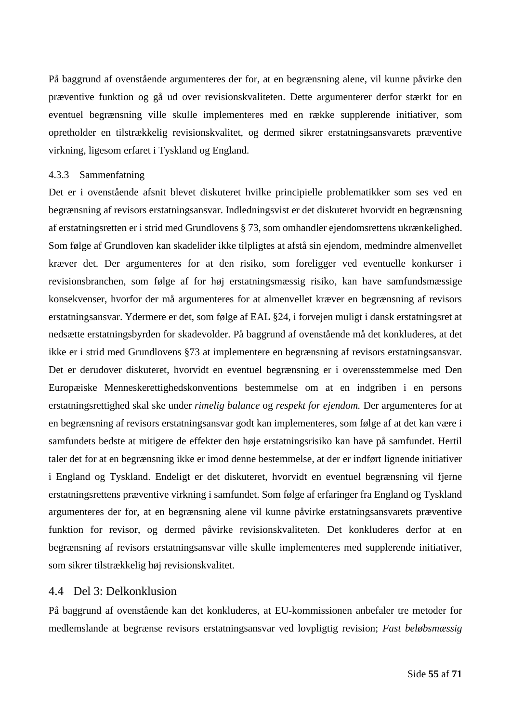På baggrund af ovenstående argumenteres der for, at en begrænsning alene, vil kunne påvirke den præventive funktion og gå ud over revisionskvaliteten. Dette argumenterer derfor stærkt for en eventuel begrænsning ville skulle implementeres med en række supplerende initiativer, som opretholder en tilstrækkelig revisionskvalitet, og dermed sikrer erstatningsansvarets præventive virkning, ligesom erfaret i Tyskland og England.

#### 4.3.3 Sammenfatning

Det er i ovenstående afsnit blevet diskuteret hvilke principielle problematikker som ses ved en begrænsning af revisors erstatningsansvar. Indledningsvist er det diskuteret hvorvidt en begrænsning af erstatningsretten er i strid med Grundlovens § 73, som omhandler ejendomsrettens ukrænkelighed. Som følge af Grundloven kan skadelider ikke tilpligtes at afstå sin ejendom, medmindre almenvellet kræver det. Der argumenteres for at den risiko, som foreligger ved eventuelle konkurser i revisionsbranchen, som følge af for høj erstatningsmæssig risiko, kan have samfundsmæssige konsekvenser, hvorfor der må argumenteres for at almenvellet kræver en begrænsning af revisors erstatningsansvar. Ydermere er det, som følge af EAL §24, i forvejen muligt i dansk erstatningsret at nedsætte erstatningsbyrden for skadevolder. På baggrund af ovenstående må det konkluderes, at det ikke er i strid med Grundlovens §73 at implementere en begrænsning af revisors erstatningsansvar. Det er derudover diskuteret, hvorvidt en eventuel begrænsning er i overensstemmelse med Den Europæiske Menneskerettighedskonventions bestemmelse om at en indgriben i en persons erstatningsrettighed skal ske under *rimelig balance* og *respekt for ejendom.* Der argumenteres for at en begrænsning af revisors erstatningsansvar godt kan implementeres, som følge af at det kan være i samfundets bedste at mitigere de effekter den høje erstatningsrisiko kan have på samfundet. Hertil taler det for at en begrænsning ikke er imod denne bestemmelse, at der er indført lignende initiativer i England og Tyskland. Endeligt er det diskuteret, hvorvidt en eventuel begrænsning vil fjerne erstatningsrettens præventive virkning i samfundet. Som følge af erfaringer fra England og Tyskland argumenteres der for, at en begrænsning alene vil kunne påvirke erstatningsansvarets præventive funktion for revisor, og dermed påvirke revisionskvaliteten. Det konkluderes derfor at en begrænsning af revisors erstatningsansvar ville skulle implementeres med supplerende initiativer, som sikrer tilstrækkelig høj revisionskvalitet.

## 4.4 Del 3: Delkonklusion

På baggrund af ovenstående kan det konkluderes, at EU-kommissionen anbefaler tre metoder for medlemslande at begrænse revisors erstatningsansvar ved lovpligtig revision; *Fast beløbsmæssig*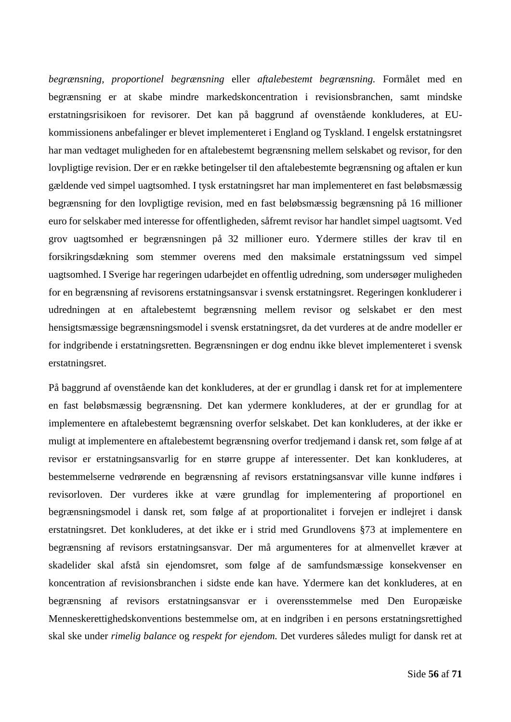*begrænsning, proportionel begrænsning* eller *aftalebestemt begrænsning.* Formålet med en begrænsning er at skabe mindre markedskoncentration i revisionsbranchen, samt mindske erstatningsrisikoen for revisorer. Det kan på baggrund af ovenstående konkluderes, at EUkommissionens anbefalinger er blevet implementeret i England og Tyskland. I engelsk erstatningsret har man vedtaget muligheden for en aftalebestemt begrænsning mellem selskabet og revisor, for den lovpligtige revision. Der er en række betingelser til den aftalebestemte begrænsning og aftalen er kun gældende ved simpel uagtsomhed. I tysk erstatningsret har man implementeret en fast beløbsmæssig begrænsning for den lovpligtige revision, med en fast beløbsmæssig begrænsning på 16 millioner euro for selskaber med interesse for offentligheden, såfremt revisor har handlet simpel uagtsomt. Ved grov uagtsomhed er begrænsningen på 32 millioner euro. Ydermere stilles der krav til en forsikringsdækning som stemmer overens med den maksimale erstatningssum ved simpel uagtsomhed. I Sverige har regeringen udarbejdet en offentlig udredning, som undersøger muligheden for en begrænsning af revisorens erstatningsansvar i svensk erstatningsret. Regeringen konkluderer i udredningen at en aftalebestemt begrænsning mellem revisor og selskabet er den mest hensigtsmæssige begrænsningsmodel i svensk erstatningsret, da det vurderes at de andre modeller er for indgribende i erstatningsretten. Begrænsningen er dog endnu ikke blevet implementeret i svensk erstatningsret.

På baggrund af ovenstående kan det konkluderes, at der er grundlag i dansk ret for at implementere en fast beløbsmæssig begrænsning. Det kan ydermere konkluderes, at der er grundlag for at implementere en aftalebestemt begrænsning overfor selskabet. Det kan konkluderes, at der ikke er muligt at implementere en aftalebestemt begrænsning overfor tredjemand i dansk ret, som følge af at revisor er erstatningsansvarlig for en større gruppe af interessenter. Det kan konkluderes, at bestemmelserne vedrørende en begrænsning af revisors erstatningsansvar ville kunne indføres i revisorloven. Der vurderes ikke at være grundlag for implementering af proportionel en begrænsningsmodel i dansk ret, som følge af at proportionalitet i forvejen er indlejret i dansk erstatningsret. Det konkluderes, at det ikke er i strid med Grundlovens §73 at implementere en begrænsning af revisors erstatningsansvar. Der må argumenteres for at almenvellet kræver at skadelider skal afstå sin ejendomsret, som følge af de samfundsmæssige konsekvenser en koncentration af revisionsbranchen i sidste ende kan have. Ydermere kan det konkluderes, at en begrænsning af revisors erstatningsansvar er i overensstemmelse med Den Europæiske Menneskerettighedskonventions bestemmelse om, at en indgriben i en persons erstatningsrettighed skal ske under *rimelig balance* og *respekt for ejendom.* Det vurderes således muligt for dansk ret at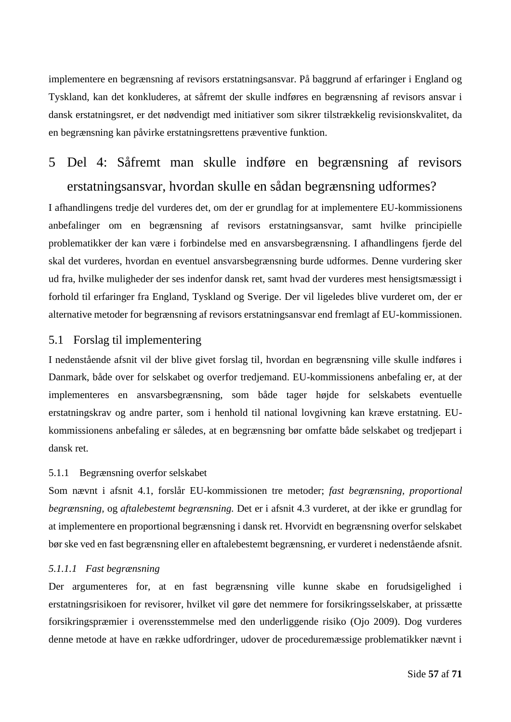implementere en begrænsning af revisors erstatningsansvar. På baggrund af erfaringer i England og Tyskland, kan det konkluderes, at såfremt der skulle indføres en begrænsning af revisors ansvar i dansk erstatningsret, er det nødvendigt med initiativer som sikrer tilstrækkelig revisionskvalitet, da en begrænsning kan påvirke erstatningsrettens præventive funktion.

# 5 Del 4: Såfremt man skulle indføre en begrænsning af revisors erstatningsansvar, hvordan skulle en sådan begrænsning udformes?

I afhandlingens tredje del vurderes det, om der er grundlag for at implementere EU-kommissionens anbefalinger om en begrænsning af revisors erstatningsansvar, samt hvilke principielle problematikker der kan være i forbindelse med en ansvarsbegrænsning. I afhandlingens fjerde del skal det vurderes, hvordan en eventuel ansvarsbegrænsning burde udformes. Denne vurdering sker ud fra, hvilke muligheder der ses indenfor dansk ret, samt hvad der vurderes mest hensigtsmæssigt i forhold til erfaringer fra England, Tyskland og Sverige. Der vil ligeledes blive vurderet om, der er alternative metoder for begrænsning af revisors erstatningsansvar end fremlagt af EU-kommissionen.

## 5.1 Forslag til implementering

I nedenstående afsnit vil der blive givet forslag til, hvordan en begrænsning ville skulle indføres i Danmark, både over for selskabet og overfor tredjemand. EU-kommissionens anbefaling er, at der implementeres en ansvarsbegrænsning, som både tager højde for selskabets eventuelle erstatningskrav og andre parter, som i henhold til national lovgivning kan kræve erstatning. EUkommissionens anbefaling er således, at en begrænsning bør omfatte både selskabet og tredjepart i dansk ret.

#### 5.1.1 Begrænsning overfor selskabet

Som nævnt i afsnit [4.1,](#page-31-0) forslår EU-kommissionen tre metoder; *fast begrænsning, proportional begrænsning,* og *aftalebestemt begrænsning.* Det er i afsnit [4.3](#page-47-0) vurderet, at der ikke er grundlag for at implementere en proportional begrænsning i dansk ret. Hvorvidt en begrænsning overfor selskabet bør ske ved en fast begrænsning eller en aftalebestemt begrænsning, er vurderet i nedenstående afsnit.

## *5.1.1.1 Fast begrænsning*

Der argumenteres for, at en fast begrænsning ville kunne skabe en forudsigelighed i erstatningsrisikoen for revisorer, hvilket vil gøre det nemmere for forsikringsselskaber, at prissætte forsikringspræmier i overensstemmelse med den underliggende risiko (Ojo 2009). Dog vurderes denne metode at have en række udfordringer, udover de proceduremæssige problematikker nævnt i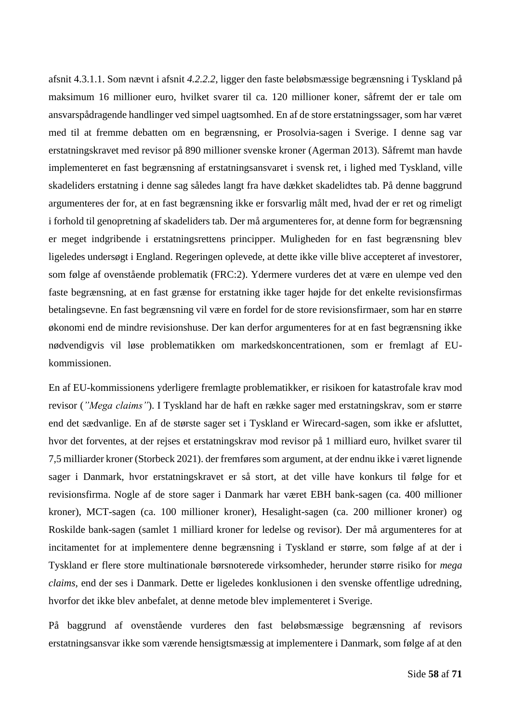afsnit [4.3.1.1.](#page-47-1) Som nævnt i afsnit *[4.2.2.2](#page-39-0)*, ligger den faste beløbsmæssige begrænsning i Tyskland på maksimum 16 millioner euro, hvilket svarer til ca. 120 millioner koner, såfremt der er tale om ansvarspådragende handlinger ved simpel uagtsomhed. En af de store erstatningssager, som har været med til at fremme debatten om en begrænsning, er Prosolvia-sagen i Sverige. I denne sag var erstatningskravet med revisor på 890 millioner svenske kroner (Agerman 2013). Såfremt man havde implementeret en fast begrænsning af erstatningsansvaret i svensk ret, i lighed med Tyskland, ville skadeliders erstatning i denne sag således langt fra have dækket skadelidtes tab. På denne baggrund argumenteres der for, at en fast begrænsning ikke er forsvarlig målt med, hvad der er ret og rimeligt i forhold til genopretning af skadeliders tab. Der må argumenteres for, at denne form for begrænsning er meget indgribende i erstatningsrettens principper. Muligheden for en fast begrænsning blev ligeledes undersøgt i England. Regeringen oplevede, at dette ikke ville blive accepteret af investorer, som følge af ovenstående problematik (FRC:2). Ydermere vurderes det at være en ulempe ved den faste begrænsning, at en fast grænse for erstatning ikke tager højde for det enkelte revisionsfirmas betalingsevne. En fast begrænsning vil være en fordel for de store revisionsfirmaer, som har en større økonomi end de mindre revisionshuse. Der kan derfor argumenteres for at en fast begrænsning ikke nødvendigvis vil løse problematikken om markedskoncentrationen, som er fremlagt af EUkommissionen.

En af EU-kommissionens yderligere fremlagte problematikker, er risikoen for katastrofale krav mod revisor (*"Mega claims"*). I Tyskland har de haft en række sager med erstatningskrav, som er større end det sædvanlige. En af de største sager set i Tyskland er Wirecard-sagen, som ikke er afsluttet, hvor det forventes, at der rejses et erstatningskrav mod revisor på 1 milliard euro, hvilket svarer til 7,5 milliarder kroner (Storbeck 2021). der fremføres som argument, at der endnu ikke i været lignende sager i Danmark, hvor erstatningskravet er så stort, at det ville have konkurs til følge for et revisionsfirma. Nogle af de store sager i Danmark har været EBH bank-sagen (ca. 400 millioner kroner), MCT-sagen (ca. 100 millioner kroner), Hesalight-sagen (ca. 200 millioner kroner) og Roskilde bank-sagen (samlet 1 milliard kroner for ledelse og revisor). Der må argumenteres for at incitamentet for at implementere denne begrænsning i Tyskland er større, som følge af at der i Tyskland er flere store multinationale børsnoterede virksomheder, herunder større risiko for *mega claims,* end der ses i Danmark. Dette er ligeledes konklusionen i den svenske offentlige udredning, hvorfor det ikke blev anbefalet, at denne metode blev implementeret i Sverige.

På baggrund af ovenstående vurderes den fast beløbsmæssige begrænsning af revisors erstatningsansvar ikke som værende hensigtsmæssig at implementere i Danmark, som følge af at den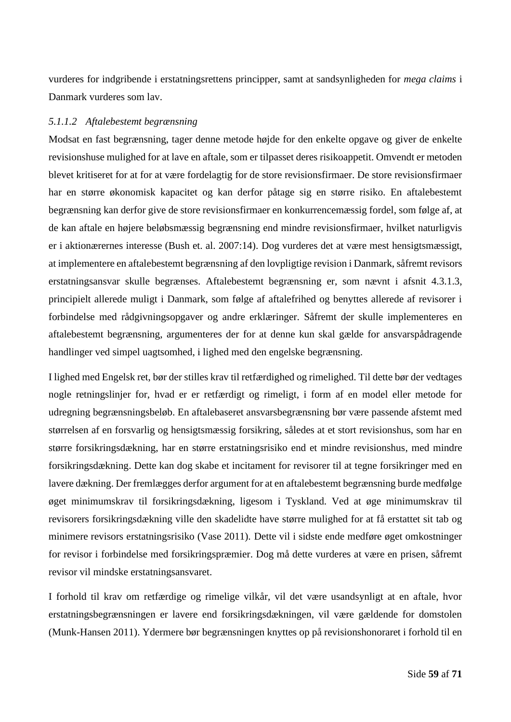vurderes for indgribende i erstatningsrettens principper, samt at sandsynligheden for *mega claims* i Danmark vurderes som lav.

## *5.1.1.2 Aftalebestemt begrænsning*

Modsat en fast begrænsning, tager denne metode højde for den enkelte opgave og giver de enkelte revisionshuse mulighed for at lave en aftale, som er tilpasset deres risikoappetit. Omvendt er metoden blevet kritiseret for at for at være fordelagtig for de store revisionsfirmaer. De store revisionsfirmaer har en større økonomisk kapacitet og kan derfor påtage sig en større risiko. En aftalebestemt begrænsning kan derfor give de store revisionsfirmaer en konkurrencemæssig fordel, som følge af, at de kan aftale en højere beløbsmæssig begrænsning end mindre revisionsfirmaer, hvilket naturligvis er i aktionærernes interesse (Bush et. al. 2007:14). Dog vurderes det at være mest hensigtsmæssigt, at implementere en aftalebestemt begrænsning af den lovpligtige revision i Danmark, såfremt revisors erstatningsansvar skulle begrænses. Aftalebestemt begrænsning er, som nævnt i afsnit [4.3.1.3,](#page-49-0) principielt allerede muligt i Danmark, som følge af aftalefrihed og benyttes allerede af revisorer i forbindelse med rådgivningsopgaver og andre erklæringer. Såfremt der skulle implementeres en aftalebestemt begrænsning, argumenteres der for at denne kun skal gælde for ansvarspådragende handlinger ved simpel uagtsomhed, i lighed med den engelske begrænsning.

I lighed med Engelsk ret, bør der stilles krav til retfærdighed og rimelighed. Til dette bør der vedtages nogle retningslinjer for, hvad er er retfærdigt og rimeligt, i form af en model eller metode for udregning begrænsningsbeløb. En aftalebaseret ansvarsbegrænsning bør være passende afstemt med størrelsen af en forsvarlig og hensigtsmæssig forsikring, således at et stort revisionshus, som har en større forsikringsdækning, har en større erstatningsrisiko end et mindre revisionshus, med mindre forsikringsdækning. Dette kan dog skabe et incitament for revisorer til at tegne forsikringer med en lavere dækning. Der fremlægges derfor argument for at en aftalebestemt begrænsning burde medfølge øget minimumskrav til forsikringsdækning, ligesom i Tyskland. Ved at øge minimumskrav til revisorers forsikringsdækning ville den skadelidte have større mulighed for at få erstattet sit tab og minimere revisors erstatningsrisiko (Vase 2011). Dette vil i sidste ende medføre øget omkostninger for revisor i forbindelse med forsikringspræmier. Dog må dette vurderes at være en prisen, såfremt revisor vil mindske erstatningsansvaret.

I forhold til krav om retfærdige og rimelige vilkår, vil det være usandsynligt at en aftale, hvor erstatningsbegrænsningen er lavere end forsikringsdækningen, vil være gældende for domstolen (Munk-Hansen 2011). Ydermere bør begrænsningen knyttes op på revisionshonoraret i forhold til en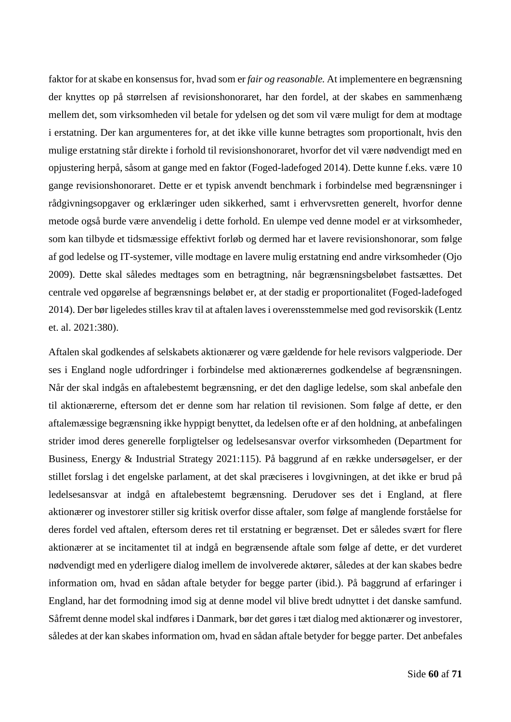faktor for at skabe en konsensus for, hvad som er *fair og reasonable.* At implementere en begrænsning der knyttes op på størrelsen af revisionshonoraret, har den fordel, at der skabes en sammenhæng mellem det, som virksomheden vil betale for ydelsen og det som vil være muligt for dem at modtage i erstatning. Der kan argumenteres for, at det ikke ville kunne betragtes som proportionalt, hvis den mulige erstatning står direkte i forhold til revisionshonoraret, hvorfor det vil være nødvendigt med en opjustering herpå, såsom at gange med en faktor (Foged-ladefoged 2014). Dette kunne f.eks. være 10 gange revisionshonoraret. Dette er et typisk anvendt benchmark i forbindelse med begrænsninger i rådgivningsopgaver og erklæringer uden sikkerhed, samt i erhvervsretten generelt, hvorfor denne metode også burde være anvendelig i dette forhold. En ulempe ved denne model er at virksomheder, som kan tilbyde et tidsmæssige effektivt forløb og dermed har et lavere revisionshonorar, som følge af god ledelse og IT-systemer, ville modtage en lavere mulig erstatning end andre virksomheder (Ojo 2009). Dette skal således medtages som en betragtning, når begrænsningsbeløbet fastsættes. Det centrale ved opgørelse af begrænsnings beløbet er, at der stadig er proportionalitet (Foged-ladefoged 2014). Der bør ligeledes stilles krav til at aftalen laves i overensstemmelse med god revisorskik (Lentz et. al. 2021:380).

Aftalen skal godkendes af selskabets aktionærer og være gældende for hele revisors valgperiode. Der ses i England nogle udfordringer i forbindelse med aktionærernes godkendelse af begrænsningen. Når der skal indgås en aftalebestemt begrænsning, er det den daglige ledelse, som skal anbefale den til aktionærerne, eftersom det er denne som har relation til revisionen. Som følge af dette, er den aftalemæssige begrænsning ikke hyppigt benyttet, da ledelsen ofte er af den holdning, at anbefalingen strider imod deres generelle forpligtelser og ledelsesansvar overfor virksomheden (Department for Business, Energy & Industrial Strategy 2021:115). På baggrund af en række undersøgelser, er der stillet forslag i det engelske parlament, at det skal præciseres i lovgivningen, at det ikke er brud på ledelsesansvar at indgå en aftalebestemt begrænsning. Derudover ses det i England, at flere aktionærer og investorer stiller sig kritisk overfor disse aftaler, som følge af manglende forståelse for deres fordel ved aftalen, eftersom deres ret til erstatning er begrænset. Det er således svært for flere aktionærer at se incitamentet til at indgå en begrænsende aftale som følge af dette, er det vurderet nødvendigt med en yderligere dialog imellem de involverede aktører, således at der kan skabes bedre information om, hvad en sådan aftale betyder for begge parter (ibid.). På baggrund af erfaringer i England, har det formodning imod sig at denne model vil blive bredt udnyttet i det danske samfund. Såfremt denne model skal indføres i Danmark, bør det gøres i tæt dialog med aktionærer og investorer, således at der kan skabes information om, hvad en sådan aftale betyder for begge parter. Det anbefales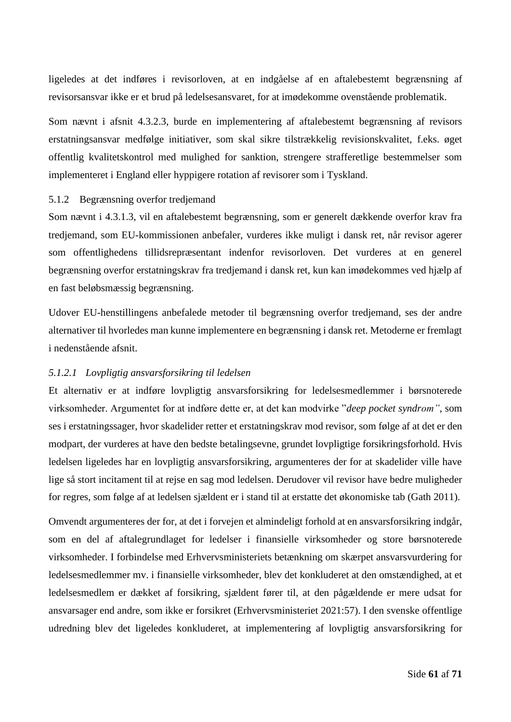ligeledes at det indføres i revisorloven, at en indgåelse af en aftalebestemt begrænsning af revisorsansvar ikke er et brud på ledelsesansvaret, for at imødekomme ovenstående problematik.

Som nævnt i afsnit [4.3.2.3,](#page-53-0) burde en implementering af aftalebestemt begrænsning af revisors erstatningsansvar medfølge initiativer, som skal sikre tilstrækkelig revisionskvalitet, f.eks. øget offentlig kvalitetskontrol med mulighed for sanktion, strengere strafferetlige bestemmelser som implementeret i England eller hyppigere rotation af revisorer som i Tyskland.

### 5.1.2 Begrænsning overfor tredjemand

Som nævnt i [4.3.1.3,](#page-49-0) vil en aftalebestemt begrænsning, som er generelt dækkende overfor krav fra tredjemand, som EU-kommissionen anbefaler, vurderes ikke muligt i dansk ret, når revisor agerer som offentlighedens tillidsrepræsentant indenfor revisorloven. Det vurderes at en generel begrænsning overfor erstatningskrav fra tredjemand i dansk ret, kun kan imødekommes ved hjælp af en fast beløbsmæssig begrænsning.

Udover EU-henstillingens anbefalede metoder til begrænsning overfor tredjemand, ses der andre alternativer til hvorledes man kunne implementere en begrænsning i dansk ret. Metoderne er fremlagt i nedenstående afsnit.

#### *5.1.2.1 Lovpligtig ansvarsforsikring til ledelsen*

Et alternativ er at indføre lovpligtig ansvarsforsikring for ledelsesmedlemmer i børsnoterede virksomheder. Argumentet for at indføre dette er, at det kan modvirke "*deep pocket syndrom"*, som ses i erstatningssager, hvor skadelider retter et erstatningskrav mod revisor, som følge af at det er den modpart, der vurderes at have den bedste betalingsevne, grundet lovpligtige forsikringsforhold. Hvis ledelsen ligeledes har en lovpligtig ansvarsforsikring, argumenteres der for at skadelider ville have lige så stort incitament til at rejse en sag mod ledelsen. Derudover vil revisor have bedre muligheder for regres, som følge af at ledelsen sjældent er i stand til at erstatte det økonomiske tab (Gath 2011).

Omvendt argumenteres der for, at det i forvejen et almindeligt forhold at en ansvarsforsikring indgår, som en del af aftalegrundlaget for ledelser i finansielle virksomheder og store børsnoterede virksomheder. I forbindelse med Erhvervsministeriets betænkning om skærpet ansvarsvurdering for ledelsesmedlemmer mv. i finansielle virksomheder, blev det konkluderet at den omstændighed, at et ledelsesmedlem er dækket af forsikring, sjældent fører til, at den pågældende er mere udsat for ansvarsager end andre, som ikke er forsikret (Erhvervsministeriet 2021:57). I den svenske offentlige udredning blev det ligeledes konkluderet, at implementering af lovpligtig ansvarsforsikring for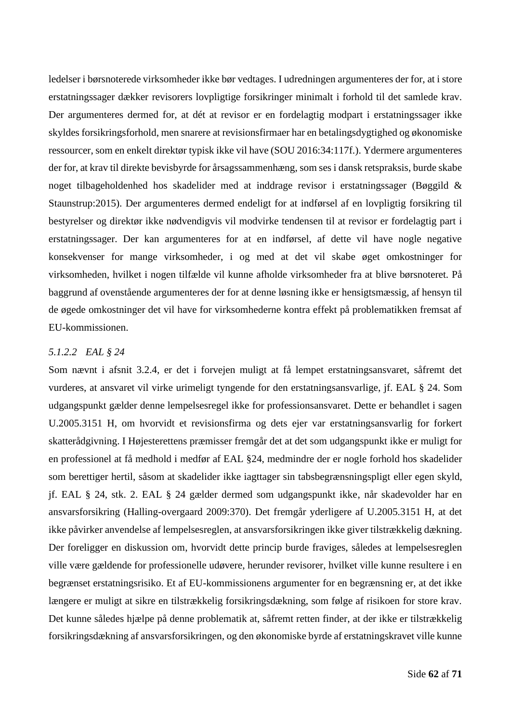ledelser i børsnoterede virksomheder ikke bør vedtages. I udredningen argumenteres der for, at i store erstatningssager dækker revisorers lovpligtige forsikringer minimalt i forhold til det samlede krav. Der argumenteres dermed for, at dét at revisor er en fordelagtig modpart i erstatningssager ikke skyldes forsikringsforhold, men snarere at revisionsfirmaer har en betalingsdygtighed og økonomiske ressourcer, som en enkelt direktør typisk ikke vil have (SOU 2016:34:117f.). Ydermere argumenteres der for, at krav til direkte bevisbyrde for årsagssammenhæng, som ses i dansk retspraksis, burde skabe noget tilbageholdenhed hos skadelider med at inddrage revisor i erstatningssager (Bøggild & Staunstrup:2015). Der argumenteres dermed endeligt for at indførsel af en lovpligtig forsikring til bestyrelser og direktør ikke nødvendigvis vil modvirke tendensen til at revisor er fordelagtig part i erstatningssager. Der kan argumenteres for at en indførsel, af dette vil have nogle negative konsekvenser for mange virksomheder, i og med at det vil skabe øget omkostninger for virksomheden, hvilket i nogen tilfælde vil kunne afholde virksomheder fra at blive børsnoteret. På baggrund af ovenstående argumenteres der for at denne løsning ikke er hensigtsmæssig, af hensyn til de øgede omkostninger det vil have for virksomhederne kontra effekt på problematikken fremsat af EU-kommissionen.

## *5.1.2.2 EAL § 24*

Som nævnt i afsnit [3.2.4,](#page-19-0) er det i forvejen muligt at få lempet erstatningsansvaret, såfremt det vurderes, at ansvaret vil virke urimeligt tyngende for den erstatningsansvarlige, jf. EAL § 24. Som udgangspunkt gælder denne lempelsesregel ikke for professionsansvaret. Dette er behandlet i sagen U.2005.3151 H, om hvorvidt et revisionsfirma og dets ejer var erstatningsansvarlig for forkert skatterådgivning. I Højesterettens præmisser fremgår det at det som udgangspunkt ikke er muligt for en professionel at få medhold i medfør af EAL §24, medmindre der er nogle forhold hos skadelider som berettiger hertil, såsom at skadelider ikke iagttager sin tabsbegrænsningspligt eller egen skyld, jf. EAL § 24, stk. 2. EAL § 24 gælder dermed som udgangspunkt ikke, når skadevolder har en ansvarsforsikring (Halling-overgaard 2009:370). Det fremgår yderligere af U.2005.3151 H, at det ikke påvirker anvendelse af lempelsesreglen, at ansvarsforsikringen ikke giver tilstrækkelig dækning. Der foreligger en diskussion om, hvorvidt dette princip burde fraviges, således at lempelsesreglen ville være gældende for professionelle udøvere, herunder revisorer, hvilket ville kunne resultere i en begrænset erstatningsrisiko. Et af EU-kommissionens argumenter for en begrænsning er, at det ikke længere er muligt at sikre en tilstrækkelig forsikringsdækning, som følge af risikoen for store krav. Det kunne således hjælpe på denne problematik at, såfremt retten finder, at der ikke er tilstrækkelig forsikringsdækning af ansvarsforsikringen, og den økonomiske byrde af erstatningskravet ville kunne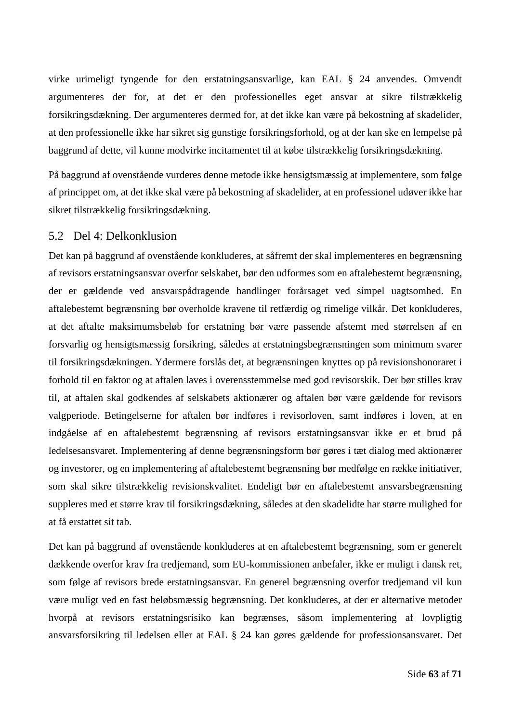virke urimeligt tyngende for den erstatningsansvarlige, kan EAL § 24 anvendes. Omvendt argumenteres der for, at det er den professionelles eget ansvar at sikre tilstrækkelig forsikringsdækning. Der argumenteres dermed for, at det ikke kan være på bekostning af skadelider, at den professionelle ikke har sikret sig gunstige forsikringsforhold, og at der kan ske en lempelse på baggrund af dette, vil kunne modvirke incitamentet til at købe tilstrækkelig forsikringsdækning.

På baggrund af ovenstående vurderes denne metode ikke hensigtsmæssig at implementere, som følge af princippet om, at det ikke skal være på bekostning af skadelider, at en professionel udøver ikke har sikret tilstrækkelig forsikringsdækning.

## 5.2 Del 4: Delkonklusion

Det kan på baggrund af ovenstående konkluderes, at såfremt der skal implementeres en begrænsning af revisors erstatningsansvar overfor selskabet, bør den udformes som en aftalebestemt begrænsning, der er gældende ved ansvarspådragende handlinger forårsaget ved simpel uagtsomhed. En aftalebestemt begrænsning bør overholde kravene til retfærdig og rimelige vilkår. Det konkluderes, at det aftalte maksimumsbeløb for erstatning bør være passende afstemt med størrelsen af en forsvarlig og hensigtsmæssig forsikring, således at erstatningsbegrænsningen som minimum svarer til forsikringsdækningen. Ydermere forslås det, at begrænsningen knyttes op på revisionshonoraret i forhold til en faktor og at aftalen laves i overensstemmelse med god revisorskik. Der bør stilles krav til, at aftalen skal godkendes af selskabets aktionærer og aftalen bør være gældende for revisors valgperiode. Betingelserne for aftalen bør indføres i revisorloven, samt indføres i loven, at en indgåelse af en aftalebestemt begrænsning af revisors erstatningsansvar ikke er et brud på ledelsesansvaret. Implementering af denne begrænsningsform bør gøres i tæt dialog med aktionærer og investorer, og en implementering af aftalebestemt begrænsning bør medfølge en række initiativer, som skal sikre tilstrækkelig revisionskvalitet. Endeligt bør en aftalebestemt ansvarsbegrænsning suppleres med et større krav til forsikringsdækning, således at den skadelidte har større mulighed for at få erstattet sit tab.

Det kan på baggrund af ovenstående konkluderes at en aftalebestemt begrænsning, som er generelt dækkende overfor krav fra tredjemand, som EU-kommissionen anbefaler, ikke er muligt i dansk ret, som følge af revisors brede erstatningsansvar. En generel begrænsning overfor tredjemand vil kun være muligt ved en fast beløbsmæssig begrænsning. Det konkluderes, at der er alternative metoder hvorpå at revisors erstatningsrisiko kan begrænses, såsom implementering af lovpligtig ansvarsforsikring til ledelsen eller at EAL § 24 kan gøres gældende for professionsansvaret. Det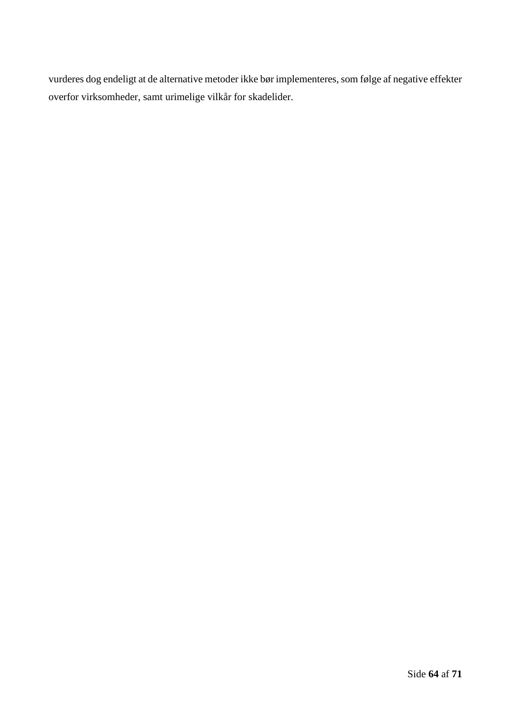vurderes dog endeligt at de alternative metoder ikke bør implementeres, som følge af negative effekter overfor virksomheder, samt urimelige vilkår for skadelider.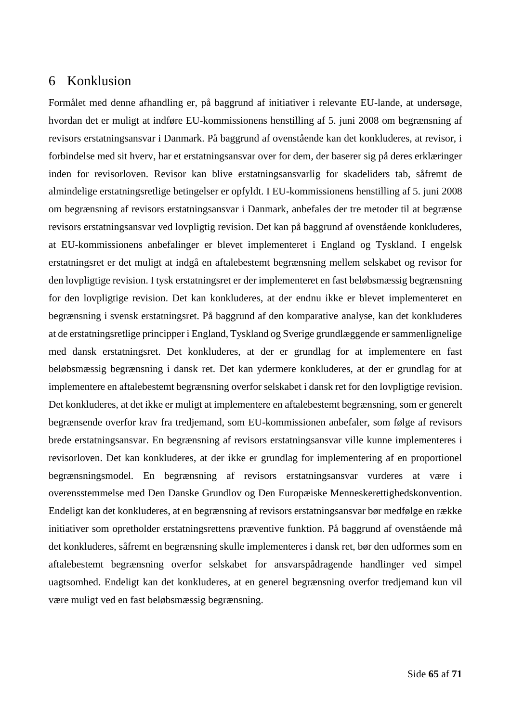# 6 Konklusion

Formålet med denne afhandling er, på baggrund af initiativer i relevante EU-lande, at undersøge, hvordan det er muligt at indføre EU-kommissionens henstilling af 5. juni 2008 om begrænsning af revisors erstatningsansvar i Danmark. På baggrund af ovenstående kan det konkluderes, at revisor, i forbindelse med sit hverv, har et erstatningsansvar over for dem, der baserer sig på deres erklæringer inden for revisorloven. Revisor kan blive erstatningsansvarlig for skadeliders tab, såfremt de almindelige erstatningsretlige betingelser er opfyldt. I EU-kommissionens henstilling af 5. juni 2008 om begrænsning af revisors erstatningsansvar i Danmark, anbefales der tre metoder til at begrænse revisors erstatningsansvar ved lovpligtig revision. Det kan på baggrund af ovenstående konkluderes, at EU-kommissionens anbefalinger er blevet implementeret i England og Tyskland. I engelsk erstatningsret er det muligt at indgå en aftalebestemt begrænsning mellem selskabet og revisor for den lovpligtige revision. I tysk erstatningsret er der implementeret en fast beløbsmæssig begrænsning for den lovpligtige revision. Det kan konkluderes, at der endnu ikke er blevet implementeret en begrænsning i svensk erstatningsret. På baggrund af den komparative analyse, kan det konkluderes at de erstatningsretlige principper i England, Tyskland og Sverige grundlæggende er sammenlignelige med dansk erstatningsret. Det konkluderes, at der er grundlag for at implementere en fast beløbsmæssig begrænsning i dansk ret. Det kan ydermere konkluderes, at der er grundlag for at implementere en aftalebestemt begrænsning overfor selskabet i dansk ret for den lovpligtige revision. Det konkluderes, at det ikke er muligt at implementere en aftalebestemt begrænsning, som er generelt begrænsende overfor krav fra tredjemand, som EU-kommissionen anbefaler, som følge af revisors brede erstatningsansvar. En begrænsning af revisors erstatningsansvar ville kunne implementeres i revisorloven. Det kan konkluderes, at der ikke er grundlag for implementering af en proportionel begrænsningsmodel. En begrænsning af revisors erstatningsansvar vurderes at være i overensstemmelse med Den Danske Grundlov og Den Europæiske Menneskerettighedskonvention. Endeligt kan det konkluderes, at en begrænsning af revisors erstatningsansvar bør medfølge en række initiativer som opretholder erstatningsrettens præventive funktion. På baggrund af ovenstående må det konkluderes, såfremt en begrænsning skulle implementeres i dansk ret, bør den udformes som en aftalebestemt begrænsning overfor selskabet for ansvarspådragende handlinger ved simpel uagtsomhed. Endeligt kan det konkluderes, at en generel begrænsning overfor tredjemand kun vil være muligt ved en fast beløbsmæssig begrænsning.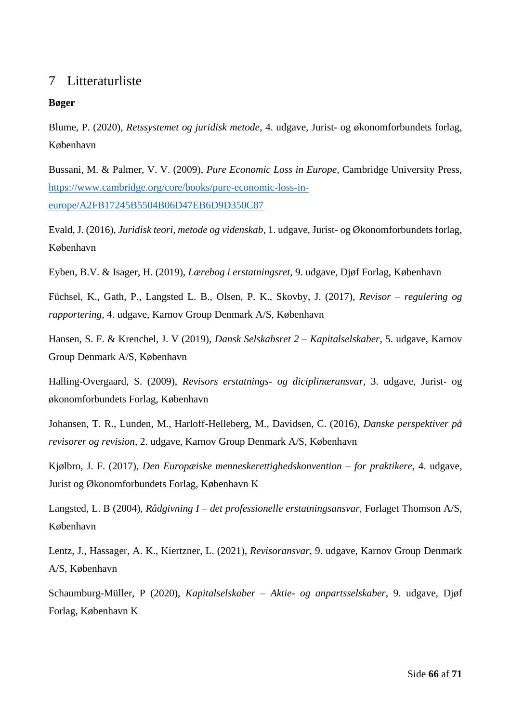# 7 Litteraturliste

## **Bøger**

Blume, P. (2020), *Retssystemet og juridisk metode*, 4. udgave, Jurist- og økonomforbundets forlag, København

Bussani, M. & Palmer, V. V. (2009), *Pure Economic Loss in Europe,* Cambridge University Press, [https://www.cambridge.org/core/books/pure-economic-loss-in](https://www.cambridge.org/core/books/pure-economic-loss-in-europe/A2FB17245B5504B06D47EB6D9D350C87)[europe/A2FB17245B5504B06D47EB6D9D350C87](https://www.cambridge.org/core/books/pure-economic-loss-in-europe/A2FB17245B5504B06D47EB6D9D350C87)

Evald, J. (2016), *Juridisk teori, metode og videnskab*, 1. udgave, Jurist- og Økonomforbundets forlag, København

Eyben, B.V. & Isager, H. (2019), *Lærebog i erstatningsret*, 9. udgave, Djøf Forlag, København

Füchsel, K., Gath, P., Langsted L. B., Olsen, P. K., Skovby, J. (2017), *Revisor – regulering og rapportering*, 4. udgave, Karnov Group Denmark A/S, København

Hansen, S. F. & Krenchel, J. V (2019), *Dansk Selskabsret 2 – Kapitalselskaber*, 5. udgave, Karnov Group Denmark A/S, København

Halling-Overgaard, S. (2009), *Revisors erstatnings- og diciplinæransvar*, 3. udgave, Jurist- og økonomforbundets Forlag, København

Johansen, T. R., Lunden, M., Harloff-Helleberg, M., Davidsen, C. (2016), *Danske perspektiver på revisorer og revision*, 2. udgave, Karnov Group Denmark A/S, København

Kjølbro, J. F. (2017), *Den Europæiske menneskerettighedskonvention – for praktikere*, 4. udgave, Jurist og Økonomforbundets Forlag, København K

Langsted, L. B (2004), *Rådgivning I – det professionelle erstatningsansvar*, Forlaget Thomson A/S, København

Lentz, J., Hassager, A. K., Kiertzner, L. (2021), *Revisoransvar,* 9. udgave, Karnov Group Denmark A/S, København

Schaumburg-Müller, P (2020), *Kapitalselskaber – Aktie- og anpartsselskaber*, 9. udgave, Djøf Forlag, København K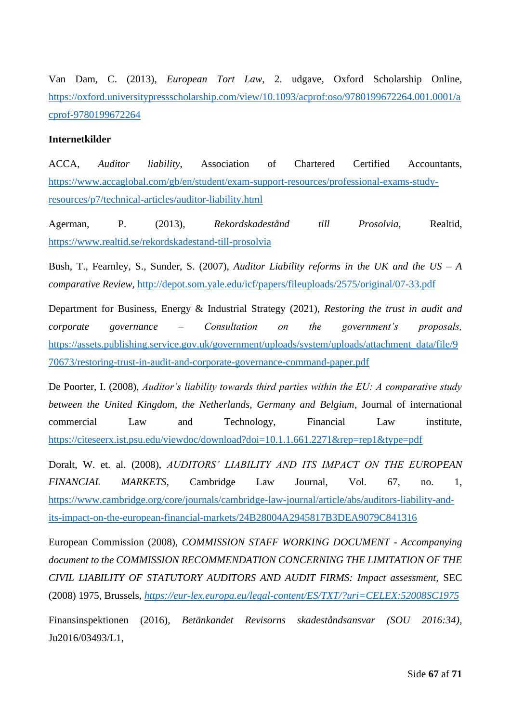Van Dam, C. (2013), *European Tort Law*, 2. udgave, Oxford Scholarship Online, [https://oxford.universitypressscholarship.com/view/10.1093/acprof:oso/9780199672264.001.0001/a](https://oxford.universitypressscholarship.com/view/10.1093/acprof:oso/9780199672264.001.0001/acprof-9780199672264) [cprof-9780199672264](https://oxford.universitypressscholarship.com/view/10.1093/acprof:oso/9780199672264.001.0001/acprof-9780199672264)

## **Internetkilder**

ACCA, *Auditor liability*, Association of Chartered Certified Accountants, [https://www.accaglobal.com/gb/en/student/exam-support-resources/professional-exams-study](https://www.accaglobal.com/gb/en/student/exam-support-resources/professional-exams-study-resources/p7/technical-articles/auditor-liability.html)[resources/p7/technical-articles/auditor-liability.html](https://www.accaglobal.com/gb/en/student/exam-support-resources/professional-exams-study-resources/p7/technical-articles/auditor-liability.html)

Agerman, P. (2013), *Rekordskadestånd till Prosolvia,* Realtid, <https://www.realtid.se/rekordskadestand-till-prosolvia>

Bush, T., Fearnley, S., Sunder, S. (2007), *Auditor Liability reforms in the UK and the US – A comparative Review,* <http://depot.som.yale.edu/icf/papers/fileuploads/2575/original/07-33.pdf>

Department for Business, Energy & Industrial Strategy (2021), *Restoring the trust in audit and corporate governance – Consultation on the government's proposals,*  [https://assets.publishing.service.gov.uk/government/uploads/system/uploads/attachment\\_data/file/9](https://assets.publishing.service.gov.uk/government/uploads/system/uploads/attachment_data/file/970673/restoring-trust-in-audit-and-corporate-governance-command-paper.pdf) [70673/restoring-trust-in-audit-and-corporate-governance-command-paper.pdf](https://assets.publishing.service.gov.uk/government/uploads/system/uploads/attachment_data/file/970673/restoring-trust-in-audit-and-corporate-governance-command-paper.pdf)

De Poorter, I. (2008), *Auditor's liability towards third parties within the EU: A comparative study between the United Kingdom, the Netherlands, Germany and Belgium*, Journal of international commercial Law and Technology, Financial Law institute, <https://citeseerx.ist.psu.edu/viewdoc/download?doi=10.1.1.661.2271&rep=rep1&type=pdf>

Doralt, W. et. al. (2008), *AUDITORS' LIABILITY AND ITS IMPACT ON THE EUROPEAN FINANCIAL MARKETS,* Cambridge Law Journal, Vol. 67, no. 1, [https://www.cambridge.org/core/journals/cambridge-law-journal/article/abs/auditors-liability-and](https://www.cambridge.org/core/journals/cambridge-law-journal/article/abs/auditors-liability-and-its-impact-on-the-european-financial-markets/24B28004A2945817B3DEA9079C841316)[its-impact-on-the-european-financial-markets/24B28004A2945817B3DEA9079C841316](https://www.cambridge.org/core/journals/cambridge-law-journal/article/abs/auditors-liability-and-its-impact-on-the-european-financial-markets/24B28004A2945817B3DEA9079C841316)

European Commission (2008), *COMMISSION STAFF WORKING DOCUMENT - Accompanying document to the COMMISSION RECOMMENDATION CONCERNING THE LIMITATION OF THE CIVIL LIABILITY OF STATUTORY AUDITORS AND AUDIT FIRMS: Impact assessment,* SEC (2008) 1975, Brussels, *<https://eur-lex.europa.eu/legal-content/ES/TXT/?uri=CELEX:52008SC1975>*

Finansinspektionen (2016), *Betänkandet Revisorns skadeståndsansvar (SOU 2016:34)*, Ju2016/03493/L1,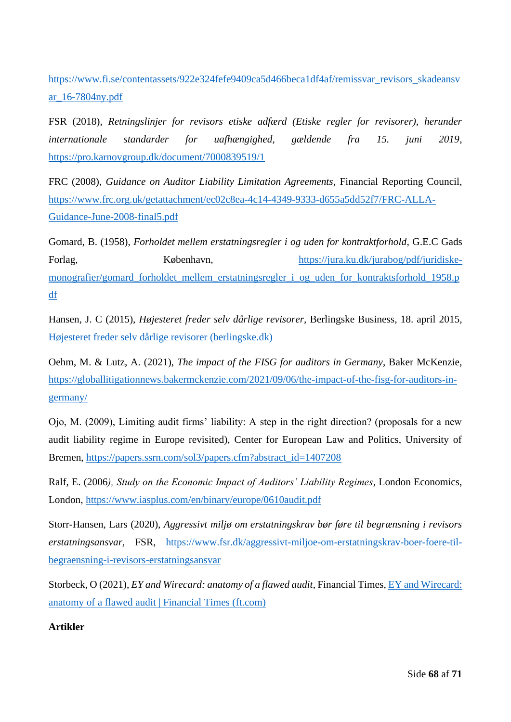[https://www.fi.se/contentassets/922e324fefe9409ca5d466beca1df4af/remissvar\\_revisors\\_skadeansv](https://www.fi.se/contentassets/922e324fefe9409ca5d466beca1df4af/remissvar_revisors_skadeansvar_16-7804ny.pdf) [ar\\_16-7804ny.pdf](https://www.fi.se/contentassets/922e324fefe9409ca5d466beca1df4af/remissvar_revisors_skadeansvar_16-7804ny.pdf)

FSR (2018), *Retningslinjer for revisors etiske adfærd (Etiske regler for revisorer), herunder internationale standarder for uafhængighed, gældende fra 15. juni 2019*, <https://pro.karnovgroup.dk/document/7000839519/1>

FRC (2008), *Guidance on Auditor Liability Limitation Agreements,* Financial Reporting Council, [https://www.frc.org.uk/getattachment/ec02c8ea-4c14-4349-9333-d655a5dd52f7/FRC-ALLA-](https://www.frc.org.uk/getattachment/ec02c8ea-4c14-4349-9333-d655a5dd52f7/FRC-ALLA-Guidance-June-2008-final5.pdf)[Guidance-June-2008-final5.pdf](https://www.frc.org.uk/getattachment/ec02c8ea-4c14-4349-9333-d655a5dd52f7/FRC-ALLA-Guidance-June-2008-final5.pdf)

Gomard, B. (1958), *Forholdet mellem erstatningsregler i og uden for kontraktforhold*, G.E.C Gads Forlag, København, [https://jura.ku.dk/jurabog/pdf/juridiske](https://jura.ku.dk/jurabog/pdf/juridiske-monografier/gomard_forholdet_mellem_erstatningsregler_i_og_uden_for_kontraktsforhold_1958.pdf)[monografier/gomard\\_forholdet\\_mellem\\_erstatningsregler\\_i\\_og\\_uden\\_for\\_kontraktsforhold\\_1958.p](https://jura.ku.dk/jurabog/pdf/juridiske-monografier/gomard_forholdet_mellem_erstatningsregler_i_og_uden_for_kontraktsforhold_1958.pdf) [df](https://jura.ku.dk/jurabog/pdf/juridiske-monografier/gomard_forholdet_mellem_erstatningsregler_i_og_uden_for_kontraktsforhold_1958.pdf)

Hansen, J. C (2015), *Højesteret freder selv dårlige revisorer,* Berlingske Business, 18. april 2015, [Højesteret freder selv dårlige revisorer \(berlingske.dk\)](https://www.berlingske.dk/virksomheder/hoejesteret-freder-selv-daarlige-revisorer)

Oehm, M. & Lutz, A. (2021), *The impact of the FISG for auditors in Germany*, Baker McKenzie, [https://globallitigationnews.bakermckenzie.com/2021/09/06/the-impact-of-the-fisg-for-auditors-in](https://globallitigationnews.bakermckenzie.com/2021/09/06/the-impact-of-the-fisg-for-auditors-in-germany/)[germany/](https://globallitigationnews.bakermckenzie.com/2021/09/06/the-impact-of-the-fisg-for-auditors-in-germany/)

Ojo, M. (2009), Limiting audit firms' liability: A step in the right direction? (proposals for a new audit liability regime in Europe revisited), Center for European Law and Politics, University of Bremen, [https://papers.ssrn.com/sol3/papers.cfm?abstract\\_id=1407208](https://papers.ssrn.com/sol3/papers.cfm?abstract_id=1407208)

Ralf, E. (2006*), Study on the Economic Impact of Auditors' Liability Regimes*, London Economics, London,<https://www.iasplus.com/en/binary/europe/0610audit.pdf>

Storr-Hansen, Lars (2020), *Aggressivt miljø om erstatningskrav bør føre til begrænsning i revisors erstatningsansvar,* FSR, [https://www.fsr.dk/aggressivt-miljoe-om-erstatningskrav-boer-foere-til](https://www.fsr.dk/aggressivt-miljoe-om-erstatningskrav-boer-foere-til-begraensning-i-revisors-erstatningsansvar)[begraensning-i-revisors-erstatningsansvar](https://www.fsr.dk/aggressivt-miljoe-om-erstatningskrav-boer-foere-til-begraensning-i-revisors-erstatningsansvar)

Storbeck, O (2021), *EY and Wirecard: anatomy of a flawed audit*, Financial Times[, EY and Wirecard:](https://www.ft.com/content/bcadbdcb-5cd7-487e-afdd-1e926831e9b7)  [anatomy of a flawed audit | Financial Times \(ft.com\)](https://www.ft.com/content/bcadbdcb-5cd7-487e-afdd-1e926831e9b7)

# **Artikler**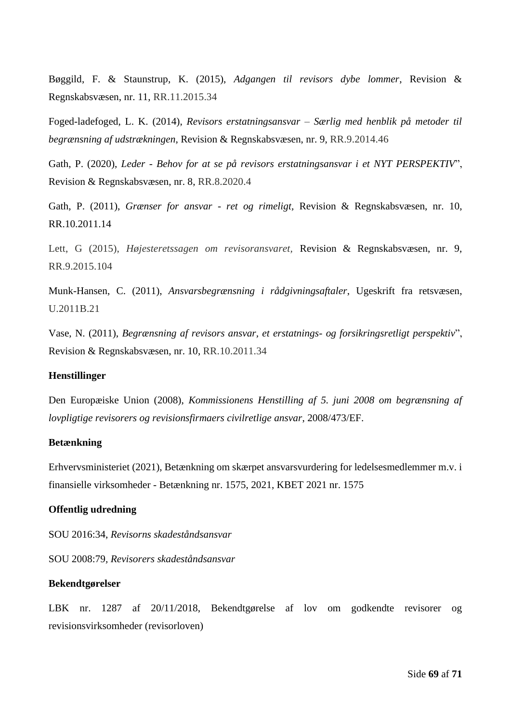Bøggild, F. & Staunstrup, K. (2015), *Adgangen til revisors dybe lommer*, Revision & Regnskabsvæsen, nr. 11, RR.11.2015.34

Foged-ladefoged, L. K. (2014), *Revisors erstatningsansvar – Særlig med henblik på metoder til begrænsning af udstrækningen*, Revision & Regnskabsvæsen, nr. 9, RR.9.2014.46

Gath, P. (2020), *Leder - Behov for at se på revisors erstatningsansvar i et NYT PERSPEKTIV*", Revision & Regnskabsvæsen, nr. 8, RR.8.2020.4

Gath, P. (2011), *Grænser for ansvar - ret og rimeligt,* Revision & Regnskabsvæsen, nr. 10, RR.10.2011.14

Lett, G (2015), *Højesteretssagen om revisoransvaret,* Revision & Regnskabsvæsen, nr. 9, RR.9.2015.104

Munk-Hansen, C. (2011), *Ansvarsbegrænsning i rådgivningsaftaler*, Ugeskrift fra retsvæsen, U.2011B.21

Vase, N. (2011), *Begrænsning af revisors ansvar, et erstatnings- og forsikringsretligt perspektiv*", Revision & Regnskabsvæsen, nr. 10, RR.10.2011.34

#### **Henstillinger**

Den Europæiske Union (2008), *Kommissionens Henstilling af 5. juni 2008 om begrænsning af lovpligtige revisorers og revisionsfirmaers civilretlige ansvar*, 2008/473/EF.

#### **Betænkning**

Erhvervsministeriet (2021), Betænkning om skærpet ansvarsvurdering for ledelsesmedlemmer m.v. i finansielle virksomheder - Betænkning nr. 1575, 2021, KBET 2021 nr. 1575

#### **Offentlig udredning**

SOU 2016:34, *Revisorns skadeståndsansvar*

SOU 2008:79*, Revisorers skadeståndsansvar*

#### **Bekendtgørelser**

LBK nr. 1287 af 20/11/2018, Bekendtgørelse af lov om godkendte revisorer og revisionsvirksomheder (revisorloven)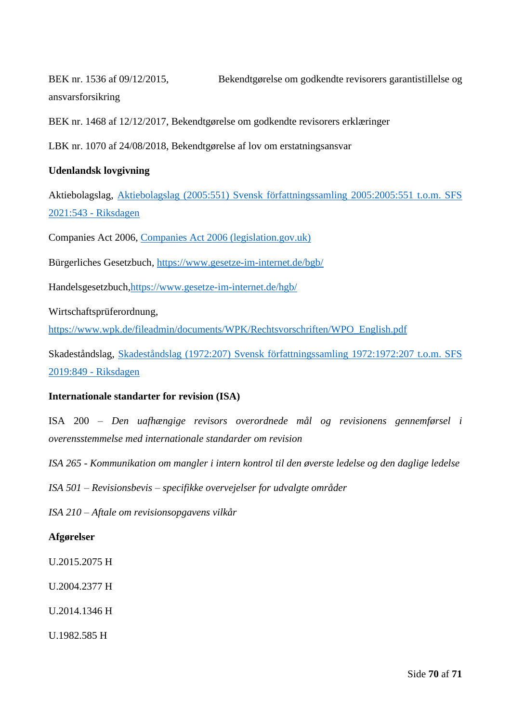BEK nr. 1536 af 09/12/2015, Bekendtgørelse om godkendte revisorers garantistillelse og ansvarsforsikring

BEK nr. 1468 af 12/12/2017, Bekendtgørelse om godkendte revisorers erklæringer

LBK nr. 1070 af 24/08/2018, Bekendtgørelse af lov om erstatningsansvar

## **Udenlandsk lovgivning**

Aktiebolagslag, [Aktiebolagslag \(2005:551\) Svensk författningssamling 2005:2005:551 t.o.m. SFS](https://www.riksdagen.se/sv/dokument-lagar/dokument/svensk-forfattningssamling/aktiebolagslag-2005551_sfs-2005-551)  [2021:543 -](https://www.riksdagen.se/sv/dokument-lagar/dokument/svensk-forfattningssamling/aktiebolagslag-2005551_sfs-2005-551) Riksdagen

Companies Act 2006, [Companies Act 2006 \(legislation.gov.uk\)](https://www.legislation.gov.uk/ukpga/2006/46/part/16)

Bürgerliches Gesetzbuch*,* <https://www.gesetze-im-internet.de/bgb/>

Handelsgesetzbuch[,https://www.gesetze-im-internet.de/hgb/](https://www.gesetze-im-internet.de/hgb/)

Wirtschaftsprüferordnung,

[https://www.wpk.de/fileadmin/documents/WPK/Rechtsvorschriften/WPO\\_English.pdf](https://www.wpk.de/fileadmin/documents/WPK/Rechtsvorschriften/WPO_English.pdf)

Skadeståndslag, [Skadeståndslag \(1972:207\) Svensk författningssamling 1972:1972:207 t.o.m. SFS](https://www.riksdagen.se/sv/dokument-lagar/dokument/svensk-forfattningssamling/skadestandslag-1972207_sfs-1972-207)  [2019:849 -](https://www.riksdagen.se/sv/dokument-lagar/dokument/svensk-forfattningssamling/skadestandslag-1972207_sfs-1972-207) Riksdagen

## **Internationale standarter for revision (ISA)**

ISA 200 – *Den uafhængige revisors overordnede mål og revisionens gennemførsel i overensstemmelse med internationale standarder om revision*

*ISA 265 - Kommunikation om mangler i intern kontrol til den øverste ledelse og den daglige ledelse*

*ISA 501 – Revisionsbevis – specifikke overvejelser for udvalgte områder*

*ISA 210 – Aftale om revisionsopgavens vilkår*

## **Afgørelser**

U.2015.2075 H

U.2004.2377 H

U.2014.1346 H

U.1982.585 H